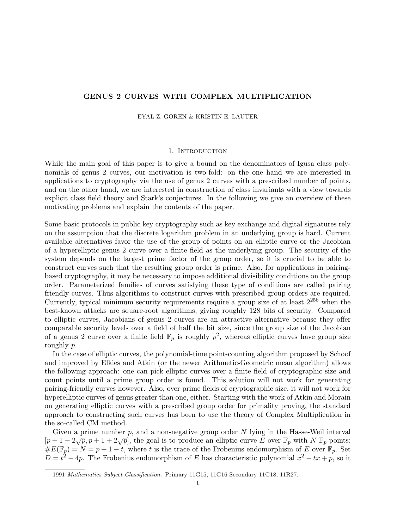## GENUS 2 CURVES WITH COMPLEX MULTIPLICATION

#### EYAL Z. GOREN & KRISTIN E. LAUTER

### 1. Introduction

While the main goal of this paper is to give a bound on the denominators of Igusa class polynomials of genus 2 curves, our motivation is two-fold: on the one hand we are interested in applications to cryptography via the use of genus 2 curves with a prescribed number of points, and on the other hand, we are interested in construction of class invariants with a view towards explicit class field theory and Stark's conjectures. In the following we give an overview of these motivating problems and explain the contents of the paper.

Some basic protocols in public key cryptography such as key exchange and digital signatures rely on the assumption that the discrete logarithm problem in an underlying group is hard. Current available alternatives favor the use of the group of points on an elliptic curve or the Jacobian of a hyperelliptic genus 2 curve over a finite field as the underlying group. The security of the system depends on the largest prime factor of the group order, so it is crucial to be able to construct curves such that the resulting group order is prime. Also, for applications in pairingbased cryptography, it may be necessary to impose additional divisibility conditions on the group order. Parameterized families of curves satisfying these type of conditions are called pairing friendly curves. Thus algorithms to construct curves with prescribed group orders are required. Currently, typical minimum security requirements require a group size of at least  $2^{256}$  when the best-known attacks are square-root algorithms, giving roughly 128 bits of security. Compared to elliptic curves, Jacobians of genus 2 curves are an attractive alternative because they offer comparable security levels over a field of half the bit size, since the group size of the Jacobian of a genus 2 curve over a finite field  $\mathbb{F}_p$  is roughly  $p^2$ , whereas elliptic curves have group size roughly p.

In the case of elliptic curves, the polynomial-time point-counting algorithm proposed by Schoof and improved by Elkies and Atkin (or the newer Arithmetic-Geometric mean algorithm) allows the following approach: one can pick elliptic curves over a finite field of cryptographic size and count points until a prime group order is found. This solution will not work for generating pairing-friendly curves however. Also, over prime fields of cryptographic size, it will not work for hyperelliptic curves of genus greater than one, either. Starting with the work of Atkin and Morain on generating elliptic curves with a prescribed group order for primality proving, the standard approach to constructing such curves has been to use the theory of Complex Multiplication in the so-called CM method.

Given a prime number  $p$ , and a non-negative group order  $N$  lying in the Hasse-Weil interval Given a prime number p, and a non-negative group order *N* fying in the rasse-wen interval  $[p+1-2\sqrt{p}, p+1+2\sqrt{p}]$ , the goal is to produce an elliptic curve E over  $\mathbb{F}_p$  with  $N \mathbb{F}_p$ -points:  $\#E(\mathbb{F}_p) = N = p + 1 - t$ , where t is the trace of the Frobenius endomorphism of E over  $\mathbb{F}_p$ . Set  $D = t^2 - 4p$ . The Frobenius endomorphism of E has characteristic polynomial  $x^2 - tx + p$ , so it

<sup>1991</sup> Mathematics Subject Classification. Primary 11G15, 11G16 Secondary 11G18, 11R27.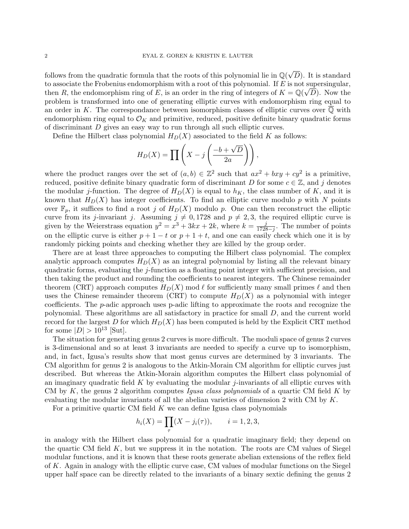follows from the quadratic formula that the roots of this polynomial lie in  $\mathbb{Q}(\sqrt{\mathbb{Q}})$ D). It is standard to associate the Frobenius endomorphism with a root of this polynomial. If E is not supersingular, then R, the endomorphism ring of E, is an order in the ring of integers of  $K = \mathbb{Q}(\sqrt{D})$ . Now the problem is transformed into one of generating elliptic curves with endomorphism ring equal to an order in K. The correspondance between isomorphism classes of elliptic curves over  $\overline{Q}$  with endomorphism ring equal to  $\mathcal{O}_K$  and primitive, reduced, positive definite binary quadratic forms of discriminant D gives an easy way to run through all such elliptic curves.

Define the Hilbert class polynomial  $H_D(X)$  associated to the field K as follows:

$$
H_D(X) = \prod \left( X - j \left( \frac{-b + \sqrt{D}}{2a} \right) \right),
$$

where the product ranges over the set of  $(a, b) \in \mathbb{Z}^2$  such that  $ax^2 + bxy + cy^2$  is a primitive, reduced, positive definite binary quadratic form of discriminant D for some  $c \in \mathbb{Z}$ , and j denotes the modular j-function. The degree of  $H_D(X)$  is equal to  $h_K$ , the class number of K, and it is known that  $H_D(X)$  has integer coefficients. To find an elliptic curve modulo p with N points over  $\mathbb{F}_p$ , it suffices to find a root j of  $H_D(X)$  modulo p. One can then reconstruct the elliptic curve from its j-invariant j. Assuming  $j \neq 0, 1728$  and  $p \neq 2, 3$ , the required elliptic curve is given by the Weierstrass equation  $y^2 = x^3 + 3kx + 2k$ , where  $k = \frac{j}{1728}$  $\frac{j}{1728-j}$ . The number of points on the elliptic curve is either  $p + 1 - t$  or  $p + 1 + t$ , and one can easily check which one it is by randomly picking points and checking whether they are killed by the group order.

There are at least three approaches to computing the Hilbert class polynomial. The complex analytic approach computes  $H_D(X)$  as an integral polynomial by listing all the relevant binary quadratic forms, evaluating the j-function as a floating point integer with sufficient precision, and then taking the product and rounding the coefficients to nearest integers. The Chinese remainder theorem (CRT) approach computes  $H_D(X)$  mod  $\ell$  for sufficiently many small primes  $\ell$  and then uses the Chinese remainder theorem (CRT) to compute  $H_D(X)$  as a polynomial with integer coefficients. The p-adic approach uses p-adic lifting to approximate the roots and recognize the polynomial. These algorithms are all satisfactory in practice for small D, and the current world record for the largest D for which  $H_D(X)$  has been computed is held by the Explicit CRT method for some  $|D| > 10^{13}$  [Sut].

The situation for generating genus 2 curves is more difficult. The moduli space of genus 2 curves is 3-dimensional and so at least 3 invariants are needed to specify a curve up to isomorphism, and, in fact, Igusa's results show that most genus curves are determined by 3 invariants. The CM algorithm for genus 2 is analogous to the Atkin-Morain CM algorithm for elliptic curves just described. But whereas the Atkin-Morain algorithm computes the Hilbert class polynomial of an imaginary quadratic field  $K$  by evaluating the modular j-invariants of all elliptic curves with CM by  $K$ , the genus 2 algorithm computes Igusa class polynomials of a quartic CM field  $K$  by evaluating the modular invariants of all the abelian varieties of dimension 2 with CM by  $K$ .

For a primitive quartic CM field  $K$  we can define Igusa class polynomials

$$
h_i(X) = \prod_{\tau} (X - j_i(\tau)), \quad i = 1, 2, 3,
$$

in analogy with the Hilbert class polynomial for a quadratic imaginary field; they depend on the quartic CM field  $K$ , but we suppress it in the notation. The roots are CM values of Siegel modular functions, and it is known that these roots generate abelian extensions of the reflex field of K. Again in analogy with the elliptic curve case, CM values of modular functions on the Siegel upper half space can be directly related to the invariants of a binary sextic defining the genus 2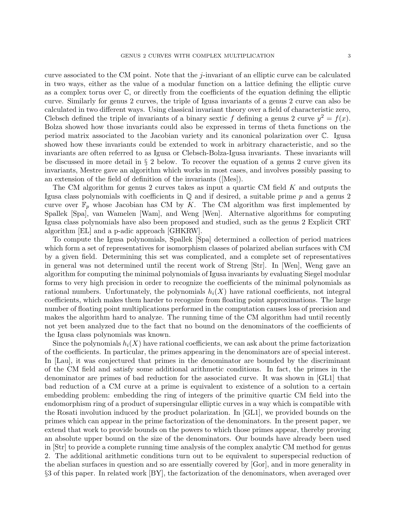curve associated to the CM point. Note that the *j*-invariant of an elliptic curve can be calculated in two ways, either as the value of a modular function on a lattice defining the elliptic curve as a complex torus over  $\mathbb{C}$ , or directly from the coefficients of the equation defining the elliptic curve. Similarly for genus 2 curves, the triple of Igusa invariants of a genus 2 curve can also be calculated in two different ways. Using classical invariant theory over a field of characteristic zero, Clebsch defined the triple of invariants of a binary sextic f defining a genus 2 curve  $y^2 = f(x)$ . Bolza showed how those invariants could also be expressed in terms of theta functions on the period matrix associated to the Jacobian variety and its canonical polarization over C. Igusa showed how these invariants could be extended to work in arbitrary characteristic, and so the invariants are often referred to as Igusa or Clebsch-Bolza-Igusa invariants. These invariants will be discussed in more detail in  $\S 2$  below. To recover the equation of a genus 2 curve given its invariants, Mestre gave an algorithm which works in most cases, and involves possibly passing to an extension of the field of definition of the invariants ([Mes]).

The CM algorithm for genus 2 curves takes as input a quartic CM field  $K$  and outputs the Igusa class polynomials with coefficients in  $\mathbb Q$  and if desired, a suitable prime p and a genus 2 curve over  $\mathbb{F}_p$  whose Jacobian has CM by K. The CM algorithm was first implemented by Spallek [Spa], van Wamelen [Wam], and Weng [Wen]. Alternative algorithms for computing Igusa class polynomials have also been proposed and studied, such as the genus 2 Explicit CRT algorithm [EL] and a p-adic approach [GHKRW].

To compute the Igusa polynomials, Spallek [Spa] determined a collection of period matrices which form a set of representatives for isomorphism classes of polarized abelian surfaces with CM by a given field. Determining this set was complicated, and a complete set of representatives in general was not determined until the recent work of Streng [Str]. In [Wen], Weng gave an algorithm for computing the minimal polynomials of Igusa invariants by evaluating Siegel modular forms to very high precision in order to recognize the coefficients of the minimal polynomials as rational numbers. Unfortunately, the polynomials  $h_i(X)$  have rational coefficients, not integral coefficients, which makes them harder to recognize from floating point approximations. The large number of floating point multiplications performed in the computation causes loss of precision and makes the algorithm hard to analyze. The running time of the CM algorithm had until recently not yet been analyzed due to the fact that no bound on the denominators of the coefficients of the Igusa class polynomials was known.

Since the polynomials  $h_i(X)$  have rational coefficients, we can ask about the prime factorization of the coefficients. In particular, the primes appearing in the denominators are of special interest. In [Lau], it was conjectured that primes in the denominator are bounded by the discriminant of the CM field and satisfy some additional arithmetic conditions. In fact, the primes in the denominator are primes of bad reduction for the associated curve. It was shown in [GL1] that bad reduction of a CM curve at a prime is equivalent to existence of a solution to a certain embedding problem: embedding the ring of integers of the primitive quartic CM field into the endomorphism ring of a product of supersingular elliptic curves in a way which is compatible with the Rosati involution induced by the product polarization. In [GL1], we provided bounds on the primes which can appear in the prime factorization of the denominators. In the present paper, we extend that work to provide bounds on the powers to which those primes appear, thereby proving an absolute upper bound on the size of the denominators. Our bounds have already been used in [Str] to provide a complete running time analysis of the complex analytic CM method for genus 2. The additional arithmetic conditions turn out to be equivalent to superspecial reduction of the abelian surfaces in question and so are essentially covered by [Gor], and in more generality in §3 of this paper. In related work [BY], the factorization of the denominators, when averaged over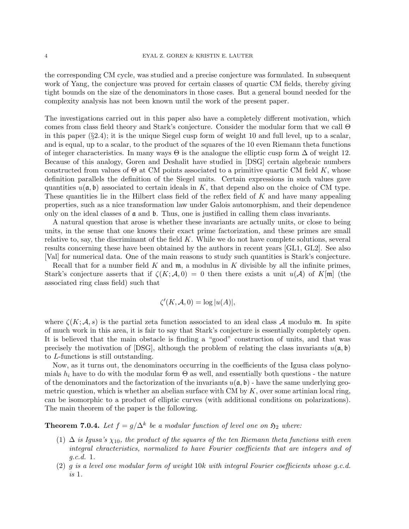the corresponding CM cycle, was studied and a precise conjecture was formulated. In subsequent work of Yang, the conjecture was proved for certain classes of quartic CM fields, thereby giving tight bounds on the size of the denominators in those cases. But a general bound needed for the complexity analysis has not been known until the work of the present paper.

The investigations carried out in this paper also have a completely different motivation, which comes from class field theory and Stark's conjecture. Consider the modular form that we call Θ in this paper  $(\S2.4)$ ; it is the unique Siegel cusp form of weight 10 and full level, up to a scalar, and is equal, up to a scalar, to the product of the squares of the 10 even Riemann theta functions of integer characteristics. In many ways  $\Theta$  is the analogue the elliptic cusp form  $\Delta$  of weight 12. Because of this analogy, Goren and Deshalit have studied in [DSG] certain algebraic numbers constructed from values of  $\Theta$  at CM points associated to a primitive quartic CM field K, whose definition parallels the definition of the Siegel units. Certain expressions in such values gave quantities  $u(\mathfrak{a}, \mathfrak{b})$  associated to certain ideals in K, that depend also on the choice of CM type. These quantities lie in the Hilbert class field of the reflex field of  $K$  and have many appealing properties, such as a nice transformation law under Galois automorphism, and their dependence only on the ideal classes of  $\mathfrak a$  and  $\mathfrak b$ . Thus, one is justified in calling them class invariants.

A natural question that arose is whether these invariants are actually units, or close to being units, in the sense that one knows their exact prime factorization, and these primes are small relative to, say, the discriminant of the field  $K$ . While we do not have complete solutions, several results concerning these have been obtained by the authors in recent years [GL1, GL2]. See also [Val] for numerical data. One of the main reasons to study such quantities is Stark's conjecture.

Recall that for a number field  $K$  and  $\mathfrak{m}$ , a modulus in K divisible by all the infinite primes, Stark's conjecture asserts that if  $\zeta(K; \mathcal{A}, 0) = 0$  then there exists a unit  $u(\mathcal{A})$  of  $K[\mathfrak{m}]$  (the associated ring class field) such that

$$
\zeta'(K, \mathcal{A}, 0) = \log |u(A)|,
$$

where  $\zeta(K; \mathcal{A}, s)$  is the partial zeta function associated to an ideal class A modulo m. In spite of much work in this area, it is fair to say that Stark's conjecture is essentially completely open. It is believed that the main obstacle is finding a "good" construction of units, and that was precisely the motivation of [DSG], although the problem of relating the class invariants  $u(\mathfrak{a}, \mathfrak{b})$ to L-functions is still outstanding.

Now, as it turns out, the denominators occurring in the coefficients of the Igusa class polynomials  $h_i$  have to do with the modular form  $\Theta$  as well, and essentially both questions - the nature of the denominators and the factorization of the invariants  $u(\mathfrak{a}, \mathfrak{b})$  - have the same underlying geometric question, which is whether an abelian surface with CM by  $K$ , over some artinian local ring, can be isomorphic to a product of elliptic curves (with additional conditions on polarizations). The main theorem of the paper is the following.

**Theorem 7.0.4.** Let  $f = g/\Delta^k$  be a modular function of level one on  $\mathfrak{H}_2$  where:

- (1)  $\Delta$  is Igusa's  $\chi_{10}$ , the product of the squares of the ten Riemann theta functions with even integral chracteristics, normalized to have Fourier coefficients that are integers and of g.c.d. 1.
- (2)  $g$  is a level one modular form of weight 10k with integral Fourier coefficients whose q.c.d. is 1.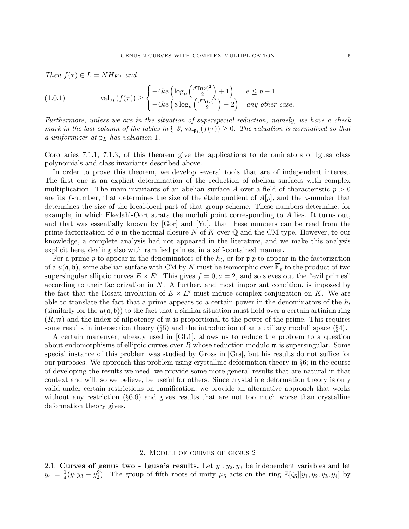Then  $f(\tau) \in L = NH_{K^*}$  and

(1.0.1) 
$$
\operatorname{val}_{\mathfrak{p}_L}(f(\tau)) \ge \begin{cases} -4ke \left( \log_p \left( \frac{d \operatorname{Tr}(r)^2}{2} \right) + 1 \right) & e \le p - 1 \\ -4ke \left( 8 \log_p \left( \frac{d \operatorname{Tr}(r)^2}{2} \right) + 2 \right) & any \ other \ case. \end{cases}
$$

Furthermore, unless we are in the situation of superspecial reduction, namely, we have a check mark in the last column of the tables in § 3,  $\text{val}_{\mathfrak{p}_L}(f(\tau)) \geq 0$ . The valuation is normalized so that a uniformizer at  $\mathfrak{p}_L$  has valuation 1.

Corollaries 7.1.1, 7.1.3, of this theorem give the applications to denominators of Igusa class polynomials and class invariants described above.

In order to prove this theorem, we develop several tools that are of independent interest. The first one is an explicit determination of the reduction of abelian surfaces with complex multiplication. The main invariants of an abelian surface A over a field of characteristic  $p > 0$ are its f-number, that determines the size of the étale quotient of  $A[p]$ , and the a-number that determines the size of the local-local part of that group scheme. These numbers determine, for example, in which Ekedahl-Oort strata the moduli point corresponding to A lies. It turns out, and that was essentially known by [Gor] and [Yu], that these numbers can be read from the prime factorization of p in the normal closure N of K over  $\mathbb Q$  and the CM type. However, to our knowledge, a complete analysis had not appeared in the literature, and we make this analysis explicit here, dealing also with ramified primes, in a self-contained manner.

For a prime p to appear in the denominators of the  $h_i$ , or for  $\mathfrak{p}|p$  to appear in the factorization of a  $u(\mathfrak{a}, \mathfrak{b})$ , some abelian surface with CM by K must be isomorphic over  $\mathbb{F}_p$  to the product of two supersingular elliptic curves  $E \times E'$ . This gives  $f = 0, a = 2$ , and so sieves out the "evil primes" according to their factorization in  $N$ . A further, and most important condition, is imposed by the fact that the Rosati involution of  $E \times E'$  must induce complex conjugation on K. We are able to translate the fact that a prime appears to a certain power in the denominators of the  $h_i$ (similarly for the  $u(\mathfrak{a}, \mathfrak{b})$ ) to the fact that a similar situation must hold over a certain artinian ring  $(R, \mathfrak{m})$  and the index of nilpotency of  $\mathfrak{m}$  is proportional to the power of the prime. This requires some results in intersection theory  $(\S 5)$  and the introduction of an auxiliary moduli space  $(\S 4)$ .

A certain maneuver, already used in [GL1], allows us to reduce the problem to a question about endomorphisms of elliptic curves over R whose reduction modulo  $\mathfrak{m}$  is supersingular. Some special instance of this problem was studied by Gross in [Grs], but his results do not suffice for our purposes. We approach this problem using crystalline deformation theory in  $\S6$ ; in the course of developing the results we need, we provide some more general results that are natural in that context and will, so we believe, be useful for others. Since crystalline deformation theory is only valid under certain restrictions on ramification, we provide an alternative approach that works without any restriction  $(\S 6.6)$  and gives results that are not too much worse than crystalline deformation theory gives.

#### 2. Moduli of curves of genus 2

2.1. Curves of genus two - Igusa's results. Let  $y_1, y_2, y_3$  be independent variables and let  $y_4 = \frac{1}{4}$  $\frac{1}{4}(y_1y_3-y_2^2)$ . The group of fifth roots of unity  $\mu_5$  acts on the ring  $\mathbb{Z}[\zeta_5][y_1, y_2, y_3, y_4]$  by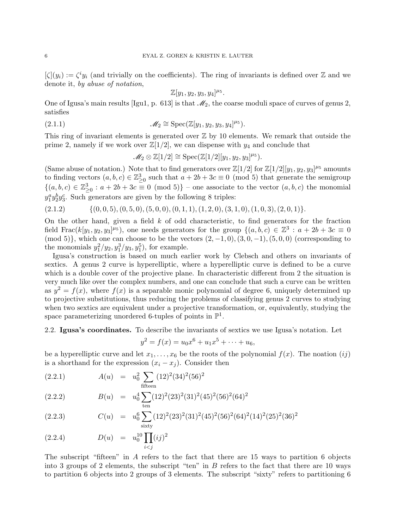$[\zeta](y_i) := \zeta^i y_i$  (and trivially on the coefficients). The ring of invariants is defined over Z and we denote it, by abuse of notation,

$$
\mathbb{Z}[y_1,y_2,y_3,y_4]^{\mu_5}.
$$

One of Igusa's main results [Igu1, p. 613] is that  $\mathcal{M}_2$ , the coarse moduli space of curves of genus 2, satisfies

(2.1.1) 
$$
\mathscr{M}_2 \cong \text{Spec}(\mathbb{Z}[y_1, y_2, y_3, y_4]^{\mu_5}).
$$

This ring of invariant elements is generated over  $\mathbb Z$  by 10 elements. We remark that outside the prime 2, namely if we work over  $\mathbb{Z}[1/2]$ , we can dispense with  $y_4$  and conclude that

$$
\mathscr{M}_2 \otimes \mathbb{Z}[1/2] \cong \mathrm{Spec}(\mathbb{Z}[1/2][y_1, y_2, y_3]^{\mu_5}).
$$

(Same abuse of notation.) Note that to find generators over  $\mathbb{Z}[1/2]$  for  $\mathbb{Z}[1/2][y_1, y_2, y_3]^{\mu_5}$  amounts to finding vectors  $(a, b, c) \in \mathbb{Z}_{\geq 0}^3$  such that  $a + 2b + 3c \equiv 0 \pmod{5}$  that generate the semigroup  $\{(a, b, c) \in \mathbb{Z}_{\geq 0}^3 : a + 2b + 3c \equiv 0 \pmod{5}\}$  – one associate to the vector  $(a, b, c)$  the monomial  $y_1^a y_2^b y_3^c$ . Such generators are given by the following 8 triples:

$$
(2.1.2) \qquad \{ (0,0,5), (0,5,0), (5,0,0), (0,1,1), (1,2,0), (3,1,0), (1,0,3), (2,0,1) \}.
$$

On the other hand, given a field  $k$  of odd characteristic, to find generators for the fraction field Frac $(k[y_1, y_2, y_3]^{\mu_5})$ , one needs generators for the group  $\{(a, b, c) \in \mathbb{Z}^3 : a + 2b + 3c \equiv 0\}$  $(\text{mod } 5)$ , which one can choose to be the vectors  $(2, -1, 0), (3, 0, -1), (5, 0, 0)$  (corresponding to the monomials  $y_1^2/y_2, y_1^3/y_3, y_1^5$ , for example.

Igusa's construction is based on much earlier work by Clebsch and others on invariants of sextics. A genus 2 curve is hyperelliptic, where a hyperelliptic curve is defined to be a curve which is a double cover of the projective plane. In characteristic different from 2 the situation is very much like over the complex numbers, and one can conclude that such a curve can be written as  $y^2 = f(x)$ , where  $f(x)$  is a separable monic polynomial of degree 6, uniquely determined up to projective substitutions, thus reducing the problems of classifying genus 2 curves to studying when two sextics are equivalent under a projective transformation, or, equivalently, studying the space parameterizing unordered 6-tuples of points in  $\mathbb{P}^1$ .

### 2.2. Igusa's coordinates. To describe the invariants of sextics we use Igusa's notation. Let

$$
y^2 = f(x) = u_0 x^6 + u_1 x^5 + \dots + u_6,
$$

be a hyperelliptic curve and let  $x_1, \ldots, x_6$  be the roots of the polynomial  $f(x)$ . The noation  $(ij)$ is a shorthand for the expression  $(x_i - x_j)$ . Consider then

(2.2.1) 
$$
A(u) = u_0^2 \sum_{\text{fifteen}} (12)^2 (34)^2 (56)^2
$$

(2.2.2) 
$$
B(u) = u_0^4 \sum_{\text{ten}} (12)^2 (23)^2 (31)^2 (45)^2 (56)^2 (64)^2
$$

(2.2.3) 
$$
C(u) = u_0^6 \sum_{\text{sixty}} (12)^2 (23)^2 (31)^2 (45)^2 (56)^2 (64)^2 (14)^2 (25)^2 (36)^2
$$

(2.2.4) 
$$
D(u) = u_0^{10} \prod_{i < j} (ij)^2
$$

The subscript "fifteen" in A refers to the fact that there are 15 ways to partition 6 objects into 3 groups of 2 elements, the subscript "ten" in  $B$  refers to the fact that there are 10 ways to partition 6 objects into 2 groups of 3 elements. The subscript "sixty" refers to partitioning 6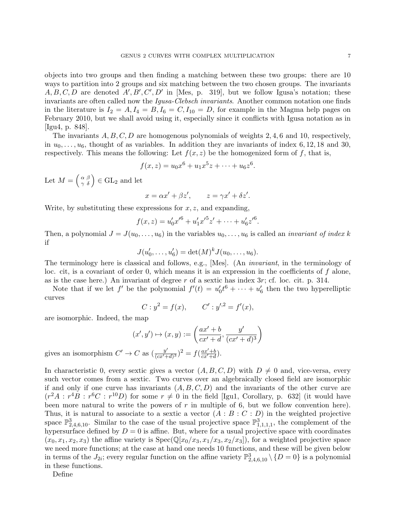objects into two groups and then finding a matching between these two groups: there are 10 ways to partition into 2 groups and six matching between the two chosen groups. The invariants  $A, B, C, D$  are denoted  $A', B', C', D'$  in [Mes, p. 319], but we follow Igusa's notation; these invariants are often called now the Igusa-Clebsch invariants. Another common notation one finds in the literature is  $I_2 = A, I_4 = B, I_6 = C, I_{10} = D$ , for example in the Magma help pages on February 2010, but we shall avoid using it, especially since it conflicts with Igusa notation as in [Igu4, p. 848].

The invariants  $A, B, C, D$  are homogenous polynomials of weights 2, 4, 6 and 10, respectively, in  $u_0, \ldots, u_6$ , thought of as variables. In addition they are invariants of index 6, 12, 18 and 30, respectively. This means the following: Let  $f(x, z)$  be the homogenized form of f, that is,

$$
f(x, z) = u_0 x^6 + u_1 x^5 z + \dots + u_6 z^6.
$$

Let  $M = \begin{pmatrix} \alpha & \beta \\ \gamma & \delta \end{pmatrix} \in GL_2$  and let

$$
x = \alpha x' + \beta z', \qquad z = \gamma x' + \delta z'.
$$

Write, by substituting these expressions for  $x, z$ , and expanding,

$$
f(x,z) = u'_0 x'^6 + u'_1 x'^5 z' + \dots + u'_6 z'^6.
$$

Then, a polynomial  $J = J(u_0, \ldots, u_6)$  in the variables  $u_0, \ldots, u_6$  is called an *invariant of index k* if

$$
J(u'_0,\ldots,u'_6) = \det(M)^k J(u_0,\ldots,u_6).
$$

The terminology here is classical and follows, e.g., [Mes]. (An invariant, in the terminology of loc. cit, is a covariant of order  $0$ , which means it is an expression in the coefficients of  $f$  alone, as is the case here.) An invariant of degree r of a sextic has index  $3r$ ; cf. loc. cit. p. 314.

Note that if we let f' be the polynomial  $f'(t) = u'_0 t^6 + \cdots + u'_6$  then the two hyperelliptic curves

$$
C: y^2 = f(x),
$$
  $C': y'^2 = f'(x),$ 

are isomorphic. Indeed, the map

$$
(x',y')\mapsto (x,y):=\left(\frac{ax'+b}{cx'+d},\frac{y'}{(cx'+d)^3}\right)
$$

gives an isomorphism  $C' \to C$  as  $\left(\frac{y'}{\sqrt{C}}\right)$  $\frac{y'}{(cx'+d)^3}$ )<sup>2</sup> =  $f(\frac{ax'+b}{cx'+d})$  $\frac{ax'+b}{cx'+d}$ .

In characteristic 0, every sextic gives a vector  $(A, B, C, D)$  with  $D \neq 0$  and, vice-versa, every such vector comes from a sextic. Two curves over an algebraically closed field are isomorphic if and only if one curve has invariants  $(A, B, C, D)$  and the invariants of the other curve are  $(r^2A : r^4B : r^6C : r^{10}D)$  for some  $r \neq 0$  in the field [Igu1, Corollary, p. 632] (it would have been more natural to write the powers of  $r$  in multiple of 6, but we follow convention here). Thus, it is natural to associate to a sextic a vector  $(A : B : C : D)$  in the weighted projective space  $\mathbb{P}^3_{2,4,6,10}$ . Similar to the case of the usual projective space  $\mathbb{P}^3_{1,1,1,1}$ , the complement of the hypersurface defined by  $D = 0$  is affine. But, where for a usual projective space with coordinates  $(x_0, x_1, x_2, x_3)$  the affine variety is  $Spec(\mathbb{Q}[x_0/x_3, x_1/x_3, x_2/x_3])$ , for a weighted projective space we need more functions; at the case at hand one needs 10 functions, and these will be given below in terms of the  $J_{2i}$ ; every regular function on the affine variety  $\mathbb{P}^3_{2,4,6,10} \setminus \{D=0\}$  is a polynomial in these functions.

Define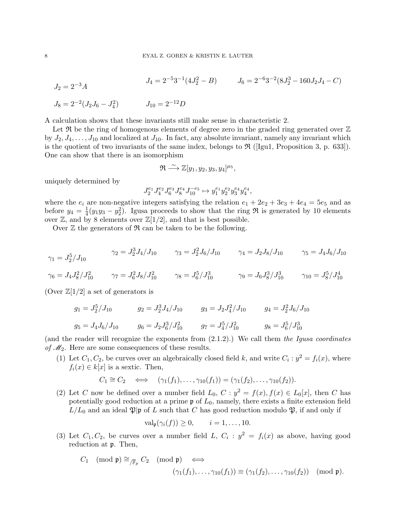$$
J_2 = 2^{-3}A
$$
  
\n
$$
J_3 = 2^{-2}(J_2J_6 - J_4^2)
$$
  
\n
$$
J_4 = 2^{-5}3^{-1}(4J_2^2 - B)
$$
  
\n
$$
J_5 = 2^{-6}3^{-2}(8J_2^3 - 160J_2J_4 - C)
$$
  
\n
$$
J_{10} = 2^{-12}D
$$

A calculation shows that these invariants still make sense in characteristic 2.

Let  $\mathfrak{R}$  be the ring of homogenous elements of degree zero in the graded ring generated over  $\mathbb Z$ by  $J_2, J_4, \ldots, J_{10}$  and localized at  $J_{10}$ . In fact, any absolute invariant, namely any invariant which is the quotient of two invariants of the same index, belongs to  $\Re$  ([Igu1, Proposition 3, p. 633]). One can show that there is an isomorphism

$$
\mathfrak{R} \stackrel{\sim}{\longrightarrow} \mathbb{Z}[y_1, y_2, y_3, y_4]^{\mu_5},
$$

uniquely determined by

$$
J_2^{e_1}J_4^{e_2}J_6^{e_3}J_8^{e_4}J_{10}^{-e_5}\mapsto y_1^{e_1}y_2^{e_2}y_3^{e_4}y_4^{e_4},
$$

where the  $e_i$  are non-negative integers satisfying the relation  $e_1 + 2e_2 + 3e_3 + 4e_4 = 5e_5$  and as before  $y_4 = \frac{1}{4}$  $\frac{1}{4}(y_1y_3-y_2^2)$ . Igusa proceeds to show that the ring  $\Re$  is generated by 10 elements over  $\mathbb{Z}$ , and by 8 elements over  $\mathbb{Z}[1/2]$ , and that is best possible.

Over  $\mathbb Z$  the generators of  $\mathfrak R$  can be taken to be the following.

$$
\gamma_1 = J_2^5 / J_{10} \qquad \gamma_2 = J_2^3 J_4 / J_{10} \qquad \gamma_3 = J_2^2 J_6 / J_{10} \qquad \gamma_4 = J_2 J_8 / J_{10} \qquad \gamma_5 = J_4 J_6 / J_{10}
$$
  

$$
\gamma_6 = J_4 J_8^2 / J_{10}^2 \qquad \gamma_7 = J_6^2 J_8 / J_{10}^2 \qquad \gamma_8 = J_6^5 / J_{10}^3 \qquad \gamma_9 = J_6 J_8^3 / J_{10}^3 \qquad \gamma_{10} = J_8^5 / J_{10}^4
$$

(Over  $\mathbb{Z}[1/2]$  a set of generators is

$$
g_1 = J_2^5/J_{10}
$$
  $g_2 = J_2^3 J_4/J_{10}$   $g_3 = J_2 J_4^2/J_{10}$   $g_4 = J_2^2 J_6/J_{10}$   
 $g_5 = J_4 J_6/J_{10}$   $g_6 = J_2 J_6^3/J_{10}^2$   $g_7 = J_4^5/J_{10}^2$   $g_8 = J_6^5/J_{10}^3$ 

(and the reader will recognize the exponents from  $(2.1.2)$ .) We call them the Igusa coordinates of  $\mathcal{M}_2$ . Here are some consequences of these results.

(1) Let  $C_1, C_2$ , be curves over an algebraically closed field k, and write  $C_i : y^2 = f_i(x)$ , where  $f_i(x) \in k[x]$  is a sextic. Then,

$$
C_1 \cong C_2 \iff (\gamma_1(f_1), \ldots, \gamma_{10}(f_1)) = (\gamma_1(f_2), \ldots, \gamma_{10}(f_2)).
$$

(2) Let C now be defined over a number field  $L_0$ ,  $C: y^2 = f(x)$ ,  $f(x) \in L_0[x]$ , then C has potentially good reduction at a prime  $\mathfrak p$  of  $L_0$ , namely, there exists a finite extension field  $L/L_0$  and an ideal  $\mathfrak{P}|\mathfrak{p}$  of L such that C has good reduction modulo  $\mathfrak{P}$ , if and only if

$$
\operatorname{val}_{\mathfrak{p}}(\gamma_i(f)) \ge 0, \qquad i = 1, \ldots, 10.
$$

(3) Let  $C_1, C_2$ , be curves over a number field L,  $C_i : y^2 = f_i(x)$  as above, having good reduction at p. Then,

$$
C_1 \pmod{\mathfrak{p}} \cong_{/\overline{\mathbb{F}}_p} C_2 \pmod{\mathfrak{p}} \iff
$$

$$
(\gamma_1(f_1), \dots, \gamma_{10}(f_1)) \equiv (\gamma_1(f_2), \dots, \gamma_{10}(f_2)) \pmod{\mathfrak{p}}.
$$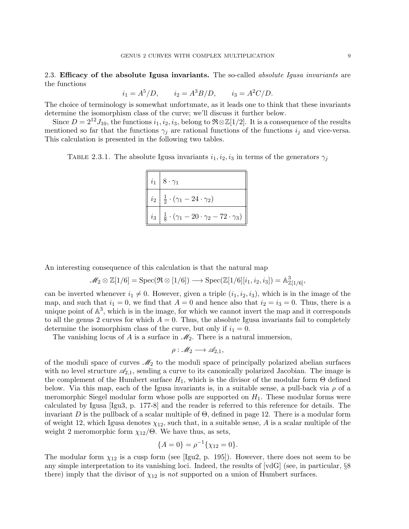2.3. Efficacy of the absolute Igusa invariants. The so-called *absolute Igusa invariants* are the functions

$$
i_1 = A^5/D
$$
,  $i_2 = A^3 B/D$ ,  $i_3 = A^2 C/D$ .

The choice of terminology is somewhat unfortunate, as it leads one to think that these invariants determine the isomorphism class of the curve; we'll discuss it further below.

Since  $D = 2^{12}J_{10}$ , the functions  $i_1, i_2, i_3$ , belong to  $\Re \otimes \mathbb{Z}[1/2]$ . It is a consequence of the results mentioned so far that the functions  $\gamma_j$  are rational functions of the functions  $i_j$  and vice-versa. This calculation is presented in the following two tables.

TABLE 2.3.1. The absolute Igusa invariants  $i_1, i_2, i_3$  in terms of the generators  $\gamma_j$ 

| $i_1$ | $8 \cdot \gamma_1$                                                           |
|-------|------------------------------------------------------------------------------|
|       | $i_2   \frac{1}{2} \cdot (\gamma_1 - 24 \cdot \gamma_2)$                     |
|       | $i_3   \frac{1}{8} \cdot (\gamma_1 - 20 \cdot \gamma_2 - 72 \cdot \gamma_3)$ |

An interesting consequence of this calculation is that the natural map

$$
\mathscr{M}_2 \otimes \mathbb{Z}[1/6] = \mathrm{Spec}(\mathfrak{R} \otimes [1/6]) \longrightarrow \mathrm{Spec}(\mathbb{Z}[1/6][i_1, i_2, i_3]) = \mathbb{A}^3_{\mathbb{Z}[1/6]},
$$

can be inverted whenever  $i_1 \neq 0$ . However, given a triple  $(i_1, i_2, i_3)$ , which is in the image of the map, and such that  $i_1 = 0$ , we find that  $A = 0$  and hence also that  $i_2 = i_3 = 0$ . Thus, there is a unique point of  $\mathbb{A}^3$ , which is in the image, for which we cannot invert the map and it corresponds to all the genus 2 curves for which  $A = 0$ . Thus, the absolute Igusa invariants fail to completely determine the isomorphism class of the curve, but only if  $i_1 = 0$ .

The vanishing locus of A is a surface in  $\mathcal{M}_2$ . There is a natural immersion,

$$
\rho: \mathscr{M}_2 \longrightarrow \mathscr{A}_{2,1},
$$

of the moduli space of curves  $\mathcal{M}_2$  to the moduli space of principally polarized abelian surfaces with no level structure  $\mathscr{A}_{2,1}$ , sending a curve to its canonically polarized Jacobian. The image is the complement of the Humbert surface  $H_1$ , which is the divisor of the modular form  $\Theta$  defined below. Via this map, each of the Igusa invariants is, in a suitable sense, a pull-back via  $\rho$  of a meromorphic Siegel modular form whose polls are supported on  $H_1$ . These modular forms were calculated by Igusa [Igu3, p. 177-8] and the reader is referred to this reference for details. The invariant D is the pullback of a scalar multiple of  $\Theta$ , defined in page 12. There is a modular form of weight 12, which Igusa denotes  $\chi_{12}$ , such that, in a suitable sense, A is a scalar multiple of the weight 2 meromorphic form  $\chi_{12}/\Theta$ . We have thus, as sets,

$$
\{A=0\} = \rho^{-1}\{\chi_{12} = 0\}.
$$

The modular form  $\chi_{12}$  is a cusp form (see [Igu2, p. 195]). However, there does not seem to be any simple interpretation to its vanishing loci. Indeed, the results of [vdG] (see, in particular, §8 there) imply that the divisor of  $\chi_{12}$  is not supported on a union of Humbert surfaces.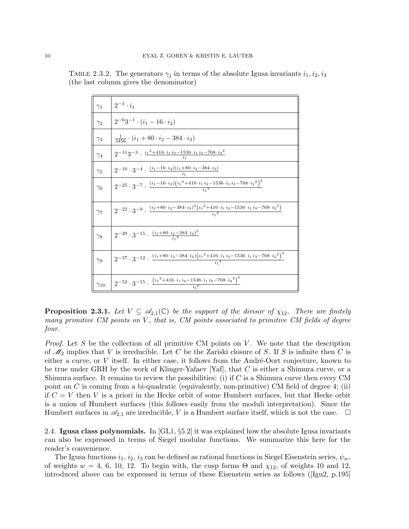| $\gamma_1$    | $2^{-3} \cdot i_1$                                                                                                                                   |
|---------------|------------------------------------------------------------------------------------------------------------------------------------------------------|
| $\gamma_2$    | $2^{-6}3^{-1} \cdot (i_1 - 16 \cdot i_2)$                                                                                                            |
| $\gamma_3$    | $\frac{1}{3456} \cdot (i_1 + 80 \cdot i_2 - 384 \cdot i_3)$                                                                                          |
| $\gamma_4$    | $2^{-11}3^{-3} \cdot \frac{i_1^2 + 416 \cdot i_1 i_2 - 1536 \cdot i_1 i_3 - 768 \cdot i_2^2}{i_1}$                                                   |
| $\gamma_5$    | $2^{-10} \cdot 3^{-4} \cdot \frac{(i_1 - 16 \cdot i_2)(i_1 + 80 \cdot i_2 - 384 \cdot i_3)}{i_1}$                                                    |
| $\gamma_6$    | $2^{-25} \cdot 3^{-7} \cdot \frac{(i_1 - 16 \cdot i_2)(i_1^2 + 416 \cdot i_1 i_2 - 1536 \cdot i_1 i_3 - 768 \cdot i_2^2)^2}{i_1^3}$                  |
| $\gamma_7$    | $2^{-22} \cdot 3^{-9} \cdot \frac{(i_1 + 80 \cdot i_2 - 384 \cdot i_3)^2 (i_1^2 + 416 \cdot i_1 i_2 - 1536 \cdot i_1 i_3 - 768 \cdot i_2^2)}{i_1^2}$ |
| $\gamma_8$    | $2^{-29} \cdot 3^{-15} \cdot \frac{(i_1 + 80 \cdot i_2 - 384 \cdot i_3)^5}{i_1^2}$                                                                   |
| $\gamma_9$    | $2^{-37} \cdot 3^{-12} \cdot \frac{(i_1 + 80 \cdot i_2 - 384 \cdot i_3)(i_1^2 + 416 \cdot i_1 i_2 - 1536 \cdot i_1 i_3 - 768 \cdot i_2^2)^3}{i_1^4}$ |
| $\gamma_{10}$ | $2^{-52} \cdot 3^{-15} \cdot \frac{(i_1^2 + 416 \cdot i_1 i_2 - 1536 \cdot i_1 i_3 - 768 \cdot i_2^2)^5}$                                            |

TABLE 2.3.2. The generators  $\gamma_j$  in terms of the absolute Igusa invariants  $i_1, i_2, i_3$ (the last column gives the denominator)

**Proposition 2.3.1.** Let  $V \subseteq \mathcal{A}_{2,1}(\mathbb{C})$  be the support of the divisor of  $\chi_{12}$ . There are finitely many primitive  $CM$  points on  $V$ , that is,  $CM$  points associated to primitive  $CM$  fields of degree four.

*Proof.* Let S be the collection of all primitive CM points on V. We note that the description of  $\mathcal{M}_2$  implies that V is irreducible. Let C be the Zariski closure of S. If S is infinite then C is either a curve, or  $V$  itself. In either case, it follows from the André-Oort conjecture, known to be true under GRH by the work of Klinger-Yafaev [Yaf], that C is either a Shimura curve, or a Shimura surface. It remains to review the possibilities: (i) if  $C$  is a Shimura curve then every CM point on C is coming from a bi-quadratic (equivalently, non-primitive) CM field of degree 4; (ii) if  $C = V$  then V is a priori in the Hecke orbit of some Humbert surfaces, but that Hecke orbit is a union of Humbert surfaces (this follows easily from the moduli interpretation). Since the Humbert surfaces in  $\mathcal{A}_{2,1}$  are irreducible, V is a Humbert surface itself, which is not the case.  $\Box$ 

2.4. Igusa class polynomials. In [GL1, §5.2] it was explained how the absolute Igusa invariants can also be expressed in terms of Siegel modular functions. We summarize this here for the reader's convenience.

The Igusa functions  $i_1, i_2, i_3$  can be defined as rational functions in Siegel Eisenstein series,  $\psi_w$ , of weights  $w = 4, 6, 10, 12$ . To begin with, the cusp forms  $\Theta$  and  $\chi_{12}$ , of weights 10 and 12, introduced above can be expressed in terms of these Eisenstein series as follows ([Igu2, p.195]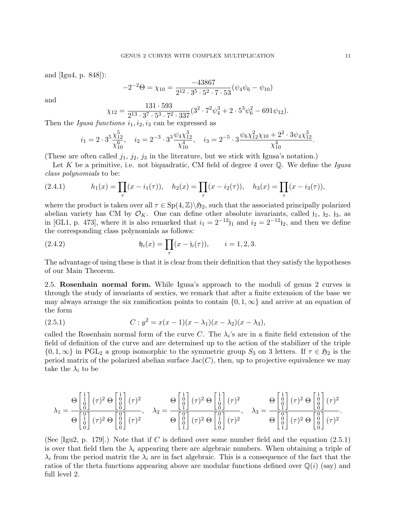and [Igu4, p. 848]):

$$
-2^{-2}\Theta = \chi_{10} = \frac{-43867}{2^{12} \cdot 3^5 \cdot 5^2 \cdot 7 \cdot 53} (\psi_4 \psi_6 - \psi_{10})
$$

and

$$
\chi_{12} = \frac{131 \cdot 593}{2^{13} \cdot 3^7 \cdot 5^3 \cdot 7^2 \cdot 337} (3^2 \cdot 7^2 \psi_4^3 + 2 \cdot 5^3 \psi_6^2 - 691 \psi_{12}).
$$

Then the Igusa functions  $i_1, i_2, i_3$  can be expressed as

$$
i_1 = 2 \cdot 3^5 \frac{\chi_{12}^5}{\chi_{10}^6}, \quad i_2 = 2^{-3} \cdot 3^3 \frac{\psi_4 \chi_{12}^3}{\chi_{10}^4}, \quad i_3 = 2^{-5} \cdot 3 \frac{\psi_6 \chi_{12}^2 \chi_{10} + 2^2 \cdot 3 \psi_4 \chi_{12}^3}{\chi_{10}^4}.
$$

(These are often called  $j_1$ ,  $j_2$ ,  $j_3$  in the literature, but we stick with Igusa's notation.)

Let  $K$  be a primitive, i.e. not biquadratic, CM field of degree 4 over  $\mathbb Q$ . We define the *Igusa* class polynomials to be:

(2.4.1) 
$$
h_1(x) = \prod_{\tau} (x - i_1(\tau)), \quad h_2(x) = \prod_{\tau} (x - i_2(\tau)), \quad h_3(x) = \prod_{\tau} (x - i_3(\tau)),
$$

where the product is taken over all  $\tau \in Sp(4,\mathbb{Z})\backslash \mathfrak{H}_2$ , such that the associated principally polarized abelian variety has CM by  $\mathcal{O}_K$ . One can define other absolute invariants, called j<sub>1</sub>, j<sub>2</sub>, j<sub>3</sub>, as in [GL1, p. 473], where it is also remarked that  $i_1 = 2^{-12}j_1$  and  $i_2 = 2^{-12}j_2$ , and then we define the corresponding class polynomials as follows:

(2.4.2) 
$$
\mathfrak{h}_i(x) = \prod_{\tau} (x - \mathfrak{j}_i(\tau)), \qquad i = 1, 2, 3.
$$

The advantage of using these is that it is clear from their definition that they satisfy the hypotheses of our Main Theorem.

2.5. Rosenhain normal form. While Igusa's approach to the moduli of genus 2 curves is through the study of invariants of sextics, we remark that after a finite extension of the base we may always arrange the six ramification points to contain  $\{0, 1, \infty\}$  and arrive at an equation of the form

(2.5.1) 
$$
C: y^2 = x(x-1)(x-\lambda_1)(x-\lambda_2)(x-\lambda_3),
$$

called the Rosenhain normal form of the curve C. The  $\lambda_i$ 's are in a finite field extension of the field of definition of the curve and are determined up to the action of the stabilizer of the triple  $\{0, 1, \infty\}$  in PGL<sub>2</sub> a group isomorphic to the symmetric group  $S_3$  on 3 letters. If  $\tau \in \mathfrak{H}_2$  is the period matrix of the polarized abelian surface  $Jac(C)$ , then, up to projective equivalence we may take the  $\lambda_i$  to be

$$
\lambda_1 = \frac{\Theta \begin{bmatrix} 1 \\ 0 \\ 0 \end{bmatrix} (\tau)^2 \Theta \begin{bmatrix} 1 \\ 0 \\ 0 \end{bmatrix} (\tau)^2}{\Theta \begin{bmatrix} 0 \\ 0 \\ 0 \end{bmatrix} (\tau)^2}, \quad \lambda_2 = \frac{\Theta \begin{bmatrix} 1 \\ 0 \\ 1 \end{bmatrix} (\tau)^2 \Theta \begin{bmatrix} 1 \\ 0 \\ 0 \end{bmatrix} (\tau)^2}{\Theta \begin{bmatrix} 0 \\ 0 \\ 0 \end{bmatrix} (\tau)^2} \begin{bmatrix} 0 \\ 0 \\ 0 \end{bmatrix} (\tau)^2, \quad \lambda_3 = \frac{\Theta \begin{bmatrix} 1 \\ 0 \\ 0 \end{bmatrix} (\tau)^2 \Theta \begin{bmatrix} 0 \\ 0 \\ 0 \end{bmatrix} (\tau)^2}{\Theta \begin{bmatrix} 0 \\ 0 \\ 0 \end{bmatrix} (\tau)^2}.
$$

(See [Igu2, p. 179].) Note that if C is defined over some number field and the equation  $(2.5.1)$ is over that field then the  $\lambda_i$  appearing there are algebraic numbers. When obtaining a triple of  $\lambda_i$  from the period matrix the  $\lambda_i$  are in fact algebraic. This is a consequence of the fact that the ratios of the theta functions appearing above are modular functions defined over  $\mathbb{Q}(i)$  (say) and full level 2.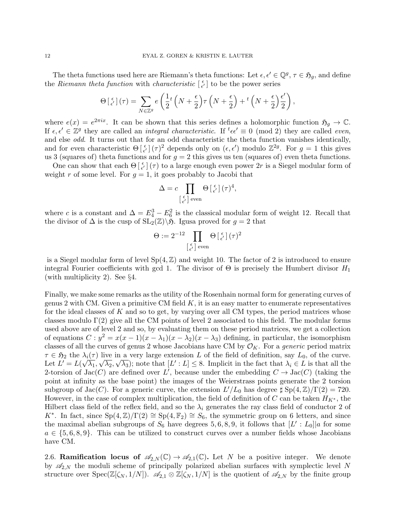The theta functions used here are Riemann's theta functions: Let  $\epsilon, \epsilon' \in \mathbb{Q}^g$ ,  $\tau \in \mathfrak{H}_g$ , and define the Riemann theta function with characteristic  $\begin{bmatrix} \epsilon \\ \epsilon' \end{bmatrix}$  to be the power series

$$
\Theta\left[\begin{smallmatrix} \epsilon \\ \epsilon' \end{smallmatrix}\right](\tau) = \sum_{N \in \mathbb{Z}^g} e\left(\frac{1}{2}t\left(N + \frac{\epsilon}{2}\right)\tau\left(N + \frac{\epsilon}{2}\right) + t\left(N + \frac{\epsilon}{2}\right)\frac{\epsilon'}{2}\right),\,
$$

where  $e(x) = e^{2\pi ix}$ . It can be shown that this series defines a holomorphic function  $\mathfrak{H}_g \to \mathbb{C}$ . If  $\epsilon, \epsilon' \in \mathbb{Z}^g$  they are called an *integral characteristic*. If  ${}^t\epsilon\epsilon' \equiv 0 \pmod{2}$  they are called *even*, and else odd. It turns out that for an odd characteristic the theta function vanishes identically, and for even characteristic  $\Theta\left[\frac{\epsilon}{\epsilon'}\right](\tau)^2$  depends only on  $(\epsilon, \epsilon')$  modulo  $\mathbb{Z}^{2g}$ . For  $g = 1$  this gives us 3 (squares of) theta functions and for  $g = 2$  this gives us ten (squares of) even theta functions.

One can show that each  $\Theta\left[\frac{\epsilon}{\epsilon'}\right](\tau)$  to a large enough even power 2r is a Siegel modular form of weight r of some level. For  $g = 1$ , it goes probably to Jacobi that

$$
\Delta = c \prod_{\left[\begin{smallmatrix} \epsilon \\ \epsilon' \end{smallmatrix}\right] \text{ even}} \Theta \left[\begin{smallmatrix} \epsilon \\ \epsilon' \end{smallmatrix}\right] (\tau)^4,
$$

where c is a constant and  $\Delta = E_4^3 - E_6^2$  is the classical modular form of weight 12. Recall that the divisor of  $\Delta$  is the cusp of  $SL_2(\mathbb{Z})\backslash\mathfrak{H}$ . Igusa proved for  $g=2$  that

$$
\Theta:=2^{-12}\prod_{\left[\begin{smallmatrix} \epsilon \\ \epsilon'\end{smallmatrix}\right] \text{ even }}\Theta\left[\begin{smallmatrix} \epsilon \\ \epsilon'\end{smallmatrix}\right]\left(\tau\right)^2
$$

is a Siegel modular form of level  $Sp(4, \mathbb{Z})$  and weight 10. The factor of 2 is introduced to ensure integral Fourier coefficients with gcd 1. The divisor of  $\Theta$  is precisely the Humbert divisor  $H_1$ (with multiplicity 2). See §4.

Finally, we make some remarks as the utility of the Rosenhain normal form for generating curves of genus 2 with CM. Given a primitive CM field  $K$ , it is an easy matter to enumerate representatives for the ideal classes of  $K$  and so to get, by varying over all CM types, the period matrices whose classes modulo  $\Gamma(2)$  give all the CM points of level 2 associated to this field. The modular forms used above are of level 2 and so, by evaluating them on these period matrices, we get a collection of equations  $C: y^2 = x(x-1)(x-\lambda_1)(x-\lambda_2)(x-\lambda_3)$  defining, in particular, the isomorphism classes of all the curves of genus 2 whose Jacobians have CM by  $\mathcal{O}_K$ . For a *generic* period matrix  $\tau \in \mathfrak{H}_2$  the  $\lambda_i(\tau)$  live in a very large extension L of the field of definition, say  $L_0$ , of the curve. Let  $L' = L(\sqrt{\lambda_1}, \sqrt{\lambda_2}, \sqrt{\lambda_3})$ ; note that  $[L':L] \leq 8$ . Implicit in the fact that  $\lambda_i \in L$  is that all the 2-torsion of Jac(C) are defined over L', because under the embedding  $C \to \text{Jac}(C)$  (taking the point at infinity as the base point) the images of the Weierstrass points generate the 2 torsion subgroup of Jac(C). For a generic curve, the extension  $L'/L_0$  has degree  $\sharp$  Sp(4, Z)/Γ(2) = 720. However, in the case of complex multiplication, the field of definition of C can be taken  $H_{K^*}$ , the Hilbert class field of the reflex field, and so the  $\lambda_i$  generates the ray class field of conductor 2 of K<sup>\*</sup>. In fact, since  $Sp(4,\mathbb{Z})/\Gamma(2) \cong Sp(4,\mathbb{F}_2) \cong S_6$ , the symmetric group on 6 letters, and since the maximal abelian subgroups of  $S_6$  have degrees 5, 6, 8, 9, it follows that  $[L': L_0]|a$  for some  $a \in \{5,6,8,9\}$ . This can be utilized to construct curves over a number fields whose Jacobians have CM.

2.6. Ramification locus of  $\mathscr{A}_{2,N}(\mathbb{C}) \to \mathscr{A}_{2,1}(\mathbb{C})$ . Let N be a positive integer. We denote by  $\mathscr{A}_{2,N}$  the moduli scheme of principally polarized abelian surfaces with symplectic level N structure over  $Spec(\mathbb{Z}[\zeta_N, 1/N])$ .  $\mathscr{A}_{2,1} \otimes \mathbb{Z}[\zeta_N, 1/N]$  is the quotient of  $\mathscr{A}_{2,N}$  by the finite group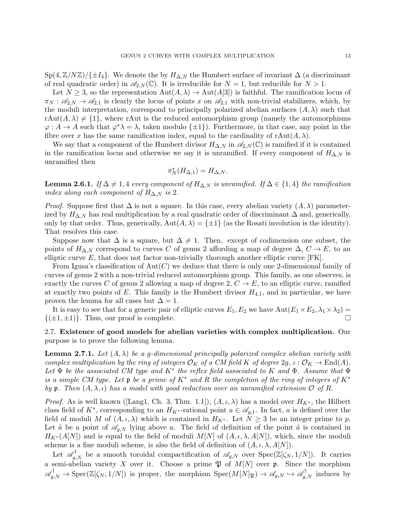$Sp(4,\mathbb{Z}/N\mathbb{Z})/\{\pm I_4\}$ . We denote the by  $H_{\Delta,N}$  the Humbert surface of invariant  $\Delta$  (a discriminant of real quadratic order) in  $\mathscr{A}_{2,N}(\mathbb{C})$ . It is irreducible for  $N=1$ , but reducible for  $N>1$ .

Let  $N \geq 3$ , so the representation  $\text{Aut}(A, \lambda) \to \text{Aut}(A[3])$  is faithful. The ramification locus of  $\pi_N : \mathscr{A}_{2,N} \to \mathscr{A}_{2,1}$  is clearly the locus of points x on  $\mathscr{A}_{2,1}$  with non-trivial stabilizers, which, by the moduli interpretation, correspond to principally polarized abelian surfaces  $(A, \lambda)$  such that  $rAut(A, \lambda) \neq \{1\}$ , where rAut is the reduced automorphism group (namely the automorphisms  $\varphi: A \to A$  such that  $\varphi^* \lambda = \lambda$ , taken modulo  $\{\pm 1\}$ ). Furthermore, in that case, any point in the fibre over x has the same ramification index, equal to the cardinality of  $\text{Aut}(A, \lambda)$ .

We say that a component of the Humbert divisor  $H_{\Delta,N}$  in  $\mathscr{A}_{2,N}(\mathbb{C})$  is ramified if it is contained in the ramification locus and otherwise we say it is unramified. If every component of  $H_{\Delta,N}$  is unramified then

$$
\pi_N^*(H_{\Delta,1})=H_{\Delta,N}.
$$

**Lemma 2.6.1.** If  $\Delta \neq 1, 4$  every component of  $H_{\Delta,N}$  is unramified. If  $\Delta \in \{1, 4\}$  the ramification index along each component of  $H_{\Delta,N}$  is 2.

*Proof.* Suppose first that  $\Delta$  is not a square. In this case, every abelian variety  $(A, \lambda)$  parameterized by  $H_{\Delta,N}$  has real multiplication by a real quadratic order of discriminant  $\Delta$  and, generically, only by that order. Thus, generically,  $Aut(A, \lambda) = \{\pm 1\}$  (as the Rosati involution is the identity). That resolves this case.

Suppose now that  $\Delta$  is a square, but  $\Delta \neq 1$ . Then. except of codimension one subset, the points of  $H_{\Delta,N}$  correspond to curves C of genus 2 affording a map of degree  $\Delta, C \to E$ , to an elliptic curve  $E$ , that does not factor non-trivially thorough another elliptic curve  $[FK]$ .

From Igusa's classification of  $Aut(C)$  we deduce that there is only one 2-dimensional family of curves of genus 2 with a non-trivial reduced automorphism group. This family, as one observes, is exactly the curves C of genus 2 allowing a map of degree 2,  $C \rightarrow E$ , to an elliptic curve, ramified at exactly two points of E. This family is the Humbert divisor  $H_{4,1}$ , and in particular, we have proven the lemma for all cases but  $\Delta = 1$ .

It is easy to see that for a generic pair of elliptic curves  $E_1, E_2$  we have  $Aut(E_1 \times E_2, \lambda_1 \times \lambda_2) =$  $\{(\pm 1, \pm 1)\}\.$  Thus, our proof is complete.

# 2.7. Existence of good models for abelian varieties with complex multiplication. Our purpose is to prove the following lemma.

**Lemma 2.7.1.** Let  $(A, \lambda)$  be a g-dimensional principally polarized complex abelian variety with complex multiplication by the ring of integers  $\mathcal{O}_K$  of a CM field K of degree  $2g, \iota : \mathcal{O}_K \to \text{End}(A)$ . Let  $\Phi$  be the associated CM type and  $K^*$  the reflex field associated to K and  $\Phi$ . Assume that  $\Phi$ is a simple CM type. Let p be a prime of  $K^*$  and R the completion of the ring of integers of  $K^*$ by p. Then  $(A, \lambda, \iota)$  has a model with good reduction over an unramified extension  $\mathcal O$  of R.

*Proof.* As is well known ([Lang1, Ch. 3, Thm. 1.1]),  $(A, \iota, \lambda)$  has a model over  $H_{K^*}$ , the Hilbert class field of  $K^*$ , corresponding to an  $H_{K^*}$ -rational point  $a \in \mathscr{A}_{g,1}$ . In fact, a is defined over the field of moduli M of  $(A, \iota, \lambda)$  which is contained in  $H_{K^*}$ . Let  $N \geq 3$  be an integer prime to p. Let  $\tilde{a}$  be a point of  $\mathscr{A}_{g,N}$  lying above a. The field of definition of the point  $\tilde{a}$  is contained in  $H_{K^*}(A[N])$  and is equal to the field of moduli  $M[N]$  of  $(A, \iota, \lambda, A[N])$ , which, since the moduli scheme is a fine moduli scheme, is also the field of definition of  $(A, \iota, \lambda, A[N])$ .

Let  $\mathscr{A}_{g,N}^{\dagger}$  be a smooth toroidal compactification of  $\mathscr{A}_{g,N}$  over  $Spec(\mathbb{Z}[\zeta_N,1/N])$ . It carries a semi-abelian variety X over it. Choose a prime  $\mathfrak P$  of  $M[N]$  over  $\mathfrak p$ . Since the morphism  $\mathscr{A}_{g,N}^{\dagger} \to \text{Spec}(\mathbb{Z}[\zeta_N,1/N])$  is proper, the morphism  $\text{Spec}(M[N]_{\mathfrak{P}}) \to \mathscr{A}_{g,N} \hookrightarrow \mathscr{A}_{g,N}^{\dagger}$  induces by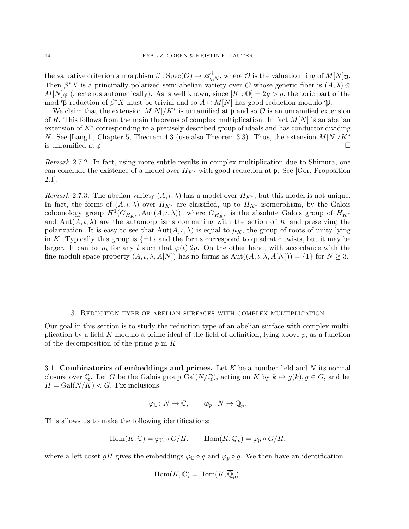the valuative criterion a morphism  $\beta : \text{Spec}(\mathcal{O}) \to \mathscr{A}_{g,N}^{\dagger}$ , where  $\mathcal O$  is the valuation ring of  $M[N]_{\mathfrak{P}}$ . Then  $\beta^* X$  is a principally polarized semi-abelian variety over O whose generic fiber is  $(A, \lambda)$  $M[N]_{\mathfrak{B}}$  (*i* extends automatically). As is well known, since  $[K:\mathbb{Q}]=2g>g$ , the toric part of the mod  $\mathfrak{P}$  reduction of  $\beta^* X$  must be trivial and so  $A \otimes M[N]$  has good reduction modulo  $\mathfrak{P}$ .

We claim that the extension  $M[N]/K^*$  is unramified at p and so  $\mathcal O$  is an unramified extension of R. This follows from the main theorems of complex multiplication. In fact  $M[N]$  is an abelian extension of K<sup>\*</sup> corresponding to a precisely described group of ideals and has conductor dividing N. See [Lang1], Chapter 5, Theorem 4.3 (use also Theorem 3.3). Thus, the extension  $M[N]/K^*$ is unramified at  $\mathfrak{p}$ .

Remark 2.7.2. In fact, using more subtle results in complex multiplication due to Shimura, one can conclude the existence of a model over  $H_{K^*}$  with good reduction at p. See [Gor, Proposition 2.1].

Remark 2.7.3. The abelian variety  $(A, \iota, \lambda)$  has a model over  $H_{K^*}$ , but this model is not unique. In fact, the forms of  $(A, \iota, \lambda)$  over  $H_{K^*}$  are classified, up to  $H_{K^*}$  isomorphism, by the Galois cohomology group  $H^1(G_{H_{K^*}}, \text{Aut}(A, \iota, \lambda)),$  where  $G_{H_{K^*}}$  is the absolute Galois group of  $H_{K^*}$ and  $\text{Aut}(A, \iota, \lambda)$  are the automorphisms commuting with the action of K and preserving the polarization. It is easy to see that  $Aut(A, \iota, \lambda)$  is equal to  $\mu_K$ , the group of roots of unity lying in K. Typically this group is  $\{\pm 1\}$  and the forms correspond to quadratic twists, but it may be larger. It can be  $\mu_t$  for any t such that  $\varphi(t)|2g$ . On the other hand, with accordance with the fine moduli space property  $(A, \iota, \lambda, A[N])$  has no forms as  $Aut((A, \iota, \lambda, A[N])) = \{1\}$  for  $N \geq 3$ .

#### 3. Reduction type of abelian surfaces with complex multiplication

Our goal in this section is to study the reduction type of an abelian surface with complex multiplication by a field K modulo a prime ideal of the field of definition, lying above  $p$ , as a function of the decomposition of the prime  $p$  in  $K$ 

3.1. Combinatorics of embeddings and primes. Let K be a number field and N its normal closure over Q. Let G be the Galois group Gal( $N/\mathbb{Q}$ ), acting on K by  $k \mapsto g(k), g \in G$ , and let  $H = \text{Gal}(N/K) < G$ . Fix inclusions

$$
\varphi_{\mathbb{C}}\colon N\to \mathbb{C}, \qquad \varphi_p\colon N\to \overline{\mathbb{Q}}_p.
$$

This allows us to make the following identifications:

$$
\operatorname{Hom}(K,\mathbb{C})=\varphi_{\mathbb{C}}\circ G/H,\qquad \operatorname{Hom}(K,\overline{\mathbb{Q}}_p)=\varphi_p\circ G/H,
$$

where a left coset gH gives the embeddings  $\varphi_{\mathbb{C}} \circ g$  and  $\varphi_p \circ g$ . We then have an identification

$$
\operatorname{Hom}(K,\mathbb{C})=\operatorname{Hom}(K,\overline{\mathbb{Q}}_p).
$$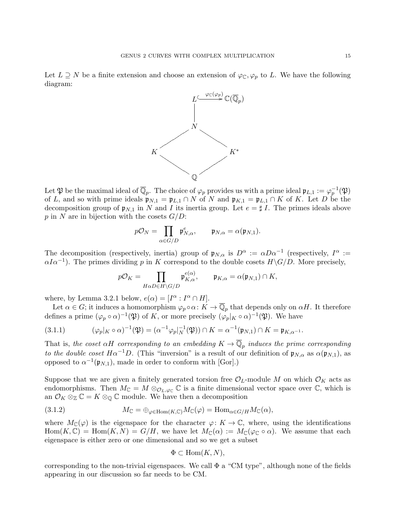Let  $L \supseteq N$  be a finite extension and choose an extension of  $\varphi_{\mathbb{C}}, \varphi_p$  to L. We have the following diagram:



Let  $\mathfrak P$  be the maximal ideal of  $\overline{\mathbb Q}_p$ . The choice of  $\varphi_p$  provides us with a prime ideal  $\mathfrak p_{L,1}:=\varphi_p^{-1}(\mathfrak P)$ of L, and so with prime ideals  $\mathfrak{p}_{N,1} = \mathfrak{p}_{L,1} \cap N$  of N and  $\mathfrak{p}_{K,1} = \mathfrak{p}_{L,1} \cap K$  of K. Let D be the decomposition group of  $\mathfrak{p}_{N,1}$  in N and I its inertia group. Let  $e = \sharp I$ . The primes ideals above p in N are in bijection with the cosets  $G/D$ :

$$
p\mathcal{O}_N = \prod_{\alpha \in G/D} \mathfrak{p}_{N,\alpha}^e, \qquad \mathfrak{p}_{N,\alpha} = \alpha(\mathfrak{p}_{N,1}).
$$

The decomposition (respectively, inertia) group of  $\mathfrak{p}_{N,\alpha}$  is  $D^{\alpha} := \alpha D\alpha^{-1}$  (respectively,  $I^{\alpha} :=$  $\alpha I \alpha^{-1}$ ). The primes dividing p in K correspond to the double cosets  $H \backslash G/D$ . More precisely,

$$
p\mathcal{O}_K = \prod_{H\alpha D \in H\backslash G/D} \mathfrak{p}_{K,\alpha}^{e(\alpha)}, \qquad \mathfrak{p}_{K,\alpha} = \alpha(\mathfrak{p}_{N,1}) \cap K,
$$

where, by Lemma 3.2.1 below,  $e(\alpha) = [I^{\alpha} : I^{\alpha} \cap H].$ 

Let  $\alpha \in G$ ; it induces a homomorphism  $\varphi_p \circ \alpha: K \to \overline{\mathbb{Q}}_p$  that depends only on  $\alpha H$ . It therefore defines a prime  $(\varphi_p \circ \alpha)^{-1}(\mathfrak{P})$  of K, or more precisely  $(\varphi_p|_K \circ \alpha)^{-1}(\mathfrak{P})$ . We have

(3.1.1) 
$$
(\varphi_p|_K \circ \alpha)^{-1}(\mathfrak{P}) = (\alpha^{-1} \varphi_p|_N^{-1}(\mathfrak{P})) \cap K = \alpha^{-1}(\mathfrak{p}_{N,1}) \cap K = \mathfrak{p}_{K,\alpha^{-1}}.
$$

That is, the coset  $\alpha H$  corresponding to an embedding  $K \to \overline{\mathbb{Q}}_p$  induces the prime corresponding to the double coset  $H\alpha^{-1}D$ . (This "inversion" is a result of our definition of  $\mathfrak{p}_{N,\alpha}$  as  $\alpha(\mathfrak{p}_{N,1}),$  as opposed to  $\alpha^{-1}(\mathfrak{p}_{N,1}),$  made in order to conform with [Gor].)

Suppose that we are given a finitely generated torsion free  $\mathcal{O}_L$ -module M on which  $\mathcal{O}_K$  acts as endomorphisms. Then  $M_{\mathbb{C}} = M \otimes_{\mathcal{O}_L, \varphi_{\mathbb{C}}} \mathbb{C}$  is a finite dimensional vector space over  $\mathbb{C}$ , which is an  $\mathcal{O}_K \otimes_{\mathbb{Z}} \mathbb{C} = K \otimes_{\mathbb{Q}} \mathbb{C}$  module. We have then a decomposition

(3.1.2) 
$$
M_{\mathbb{C}} = \bigoplus_{\varphi \in \text{Hom}(K, \mathbb{C})} M_{\mathbb{C}}(\varphi) = \text{Hom}_{\alpha \in G/H} M_{\mathbb{C}}(\alpha),
$$

where  $M_{\mathbb{C}}(\varphi)$  is the eigenspace for the character  $\varphi: K \to \mathbb{C}$ , where, using the identifications  $\text{Hom}(K,\mathbb{C}) = \text{Hom}(K,N) = G/H$ , we have let  $M_{\mathbb{C}}(\alpha) := M_{\mathbb{C}}(\varphi_{\mathbb{C}} \circ \alpha)$ . We assume that each eigenspace is either zero or one dimensional and so we get a subset

$$
\Phi \subset \text{Hom}(K, N),
$$

corresponding to the non-trivial eigenspaces. We call  $\Phi$  a "CM type", although none of the fields appearing in our discussion so far needs to be CM.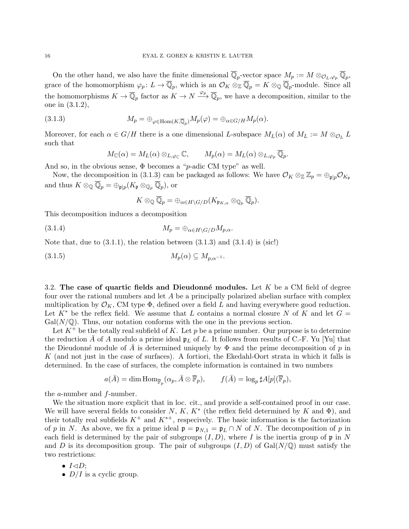On the other hand, we also have the finite dimensional  $\overline{\mathbb{Q}}_p$ -vector space  $M_p := M \otimes_{\mathcal{O}_L, \varphi_p} \overline{\mathbb{Q}}_p$ , grace of the homomorphism  $\varphi_p: L \to \overline{\mathbb{Q}}_p$ , which is an  $\mathcal{O}_K \otimes_{\mathbb{Z}} \overline{\mathbb{Q}}_p = K \otimes_{\mathbb{Q}} \overline{\mathbb{Q}}_p$ -module. Since all the homomorphisms  $K \to \overline{\mathbb{Q}}_p$  factor as  $K \to N \xrightarrow{\varphi_p} \overline{\mathbb{Q}}_p$ , we have a decomposition, similar to the one in (3.1.2),

(3.1.3) 
$$
M_p = \bigoplus_{\varphi \in \text{Hom}(K,\overline{\mathbb{Q}}_p)} M_p(\varphi) = \bigoplus_{\alpha \in G/H} M_p(\alpha).
$$

Moreover, for each  $\alpha \in G/H$  there is a one dimensional L-subspace  $M_L(\alpha)$  of  $M_L := M \otimes_{\mathcal{O}_L} L$ such that

$$
M_{\mathbb{C}}(\alpha) = M_{L}(\alpha) \otimes_{L, \varphi_{\mathbb{C}}} \mathbb{C}, \qquad M_{p}(\alpha) = M_{L}(\alpha) \otimes_{L, \varphi_{p}} \overline{\mathbb{Q}}_{p}.
$$

And so, in the obvious sense,  $\Phi$  becomes a "*p*-adic CM type" as well.

Now, the decomposition in (3.1.3) can be packaged as follows: We have  $\mathcal{O}_K \otimes_{\mathbb{Z}} \mathbb{Z}_p = \bigoplus_{\mathfrak{p} \mid p} \mathcal{O}_{K_{\mathfrak{p}}}$ and thus  $K \otimes_{\mathbb{Q}} \overline{\mathbb{Q}}_p = \bigoplus_{\mathfrak{p} \mid p} (K_{\mathfrak{p}} \otimes_{\mathbb{Q}_p} \overline{\mathbb{Q}}_p)$ , or

$$
K\otimes_{\mathbb{Q}}\overline{\mathbb{Q}}_p=\oplus_{\alpha\in H\backslash G/D}(K_{\mathfrak{p}_{K,\alpha}}\otimes_{\mathbb{Q}_p}\overline{\mathbb{Q}}_p).
$$

This decomposition induces a decomposition

$$
(3.1.4) \t\t M_p = \bigoplus_{\alpha \in H \backslash G/D} M_{p,\alpha}.
$$

Note that, due to  $(3.1.1)$ , the relation between  $(3.1.3)$  and  $(3.1.4)$  is (sic!)

$$
(3.1.5) \t\t\t M_p(\alpha) \subseteq M_{p,\alpha^{-1}}.
$$

3.2. The case of quartic fields and Dieudonné modules. Let K be a CM field of degree four over the rational numbers and let A be a principally polarized abelian surface with complex multiplication by  $\mathcal{O}_K$ , CM type  $\Phi$ , defined over a field L and having everywhere good reduction. Let  $K^*$  be the reflex field. We assume that L contains a normal closure N of K and let  $G =$  $Gal(N/\mathbb{Q})$ . Thus, our notation conforms with the one in the previous section.

Let  $K^+$  be the totally real subfield of K. Let p be a prime number. Our purpose is to determine the reduction  $\bar{A}$  of A modulo a prime ideal  $\mathfrak{p}_L$  of L. It follows from results of C.-F. Yu [Yu] that the Dieudonné module of A is determined uniquely by  $\Phi$  and the prime decomposition of p in K (and not just in the case of surfaces). A fortiori, the Ekedahl-Oort strata in which it falls is determined. In the case of surfaces, the complete information is contained in two numbers

$$
a(\overline{A}) = \dim \text{Hom}_{\overline{\mathbb{F}}_p}(\alpha_p, \overline{A} \otimes \overline{\mathbb{F}}_p), \qquad f(\overline{A}) = \log_p \sharp A[p](\overline{\mathbb{F}}_p),
$$

the a-number and f-number.

We the situation more explicit that in loc. cit., and provide a self-contained proof in our case. We will have several fields to consider N, K,  $K^*$  (the reflex field determined by K and  $\Phi$ ), and their totally real subfields  $K^+$  and  $K^{*+}$ , respecively. The basic information is the factorization of p in N. As above, we fix a prime ideal  $\mathfrak{p} = \mathfrak{p}_{N,1} = \mathfrak{p}_L \cap N$  of N. The decomposition of p in each field is determined by the pair of subgroups  $(I, D)$ , where I is the inertia group of  $\mathfrak p$  in N and D is its decomposition group. The pair of subgroups  $(I, D)$  of  $Gal(N/\mathbb{Q})$  must satisfy the two restrictions:

- $I \triangleleft D$ ;
- $D/I$  is a cyclic group.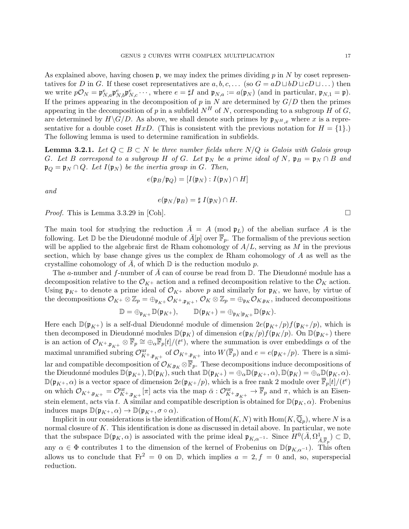As explained above, having chosen  $\mathfrak{p}$ , we may index the primes dividing p in N by coset representatives for D in G. If these coset representatives are  $a, b, c, \ldots$  (so  $G = aD \sqcup bD \sqcup cD \sqcup \ldots$ ) then we write  $p\mathcal{O}_N = \mathfrak{p}_{N,a}^e \mathfrak{p}_{N,b}^e \mathfrak{p}_{N,c}^e \cdots$ , where  $e = \sharp I$  and  $\mathfrak{p}_{N,a} := a(\mathfrak{p}_N)$  (and in particular,  $\mathfrak{p}_{N,1} = \mathfrak{p}$ ). If the primes appearing in the decomposition of  $p$  in  $N$  are determined by  $G/D$  then the primes appearing in the decomposition of p in a subfield  $N^H$  of N, corresponding to a subgroup H of G, are determined by  $H\backslash G/D$ . As above, we shall denote such primes by  $\mathfrak{p}_{NH,x}$  where x is a representative for a double coset HxD. (This is consistent with the previous notation for  $H = \{1\}$ .) The following lemma is used to determine ramification in subfields.

**Lemma 3.2.1.** Let  $Q \subset B \subset N$  be three number fields where  $N/Q$  is Galois with Galois group G. Let B correspond to a subgroup H of G. Let  $\mathfrak{p}_N$  be a prime ideal of N,  $\mathfrak{p}_B = \mathfrak{p}_N \cap B$  and  $\mathfrak{p}_Q = \mathfrak{p}_N \cap Q$ . Let  $I(\mathfrak{p}_N)$  be the inertia group in G. Then,

$$
e(\mathfrak{p}_B/\mathfrak{p}_Q) = [I(\mathfrak{p}_N) : I(\mathfrak{p}_N) \cap H]
$$

and

$$
e(\mathfrak{p}_N/\mathfrak{p}_B)=\sharp I(\mathfrak{p}_N)\cap H.
$$

*Proof.* This is Lemma 3.3.29 in [Coh].

The main tool for studying the reduction  $\overline{A} = A \pmod{\mathfrak{p}_L}$  of the abelian surface A is the following. Let  $\mathbb D$  be the Dieudonné module of  $\bar{A}[p]$  over  $\bar{\mathbb F}_p$ . The formalism of the previous section will be applied to the algebraic first de Rham cohomology of  $A/L$ , serving as M in the previous section, which by base change gives us the complex de Rham cohomology of A as well as the crystalline cohomology of  $\overline{A}$ , of which  $\mathbb D$  is the reduction modulo p.

The a-number and f-number of A can of course be read from  $\mathbb D$ . The Dieudonné module has a decomposition relative to the  $\mathcal{O}_{K^+}$  action and a refined decomposition relative to the  $\mathcal{O}_K$  action. Using  $\mathfrak{p}_{K^+}$  to denote a prime ideal of  $\mathcal{O}_{K^+}$  above p and similarly for  $\mathfrak{p}_K$ , we have, by virtue of the decompositions  $\mathcal{O}_{K^+}\otimes \mathbb{Z}_p = \bigoplus_{\mathfrak{p}_{K^+}} \mathcal{O}_{K^+,\mathfrak{p}_{K^+}}, \mathcal{O}_K\otimes \mathbb{Z}_p = \bigoplus_{\mathfrak{p}_{K^+}} \mathcal{O}_{K,\mathfrak{p}_{K^+}},$  induced decompositions

$$
\mathbb{D}=\oplus_{\mathfrak{p}_{K^+}}\mathbb{D}(\mathfrak{p}_{K^+}),\qquad \mathbb{D}(\mathfrak{p}_{K^+})=\oplus_{\mathfrak{p}_{K}\mid \mathfrak{p}_{K^+}}\mathbb{D}(\mathfrak{p}_{K}).
$$

Here each  $\mathbb{D}(\mathfrak{p}_{K^+})$  is a self-dual Dieudonné module of dimension  $2e(\mathfrak{p}_{K^+}/p)f(\mathfrak{p}_{K^+}/p)$ , which is then decomposed in Dieudonné modules  $\mathbb{D}(\mathfrak{p}_K)$  of dimension  $e(\mathfrak{p}_K/p)f(\mathfrak{p}_K/p)$ . On  $\mathbb{D}(\mathfrak{p}_{K+})$  there is an action of  $\mathcal{O}_{K^+,\mathfrak{p}_{K^+}} \otimes \overline{\mathbb{F}}_p \cong \bigoplus_{\alpha} \overline{\mathbb{F}}_p[t]/(t^e)$ , where the summation is over embeddings  $\alpha$  of the maximal unramified subring  $\mathcal{O}_{K^+,\mathfrak{p}_{K^+}}^{\text{ur}}$  of  $\mathcal{O}_{K^+,\mathfrak{p}_{K^+}}$  into  $W(\overline{\mathbb{F}}_p)$  and  $e = e(\mathfrak{p}_{K^+}/p)$ . There is a similar and compatible decomposition of  $\mathcal{O}_{K,p_K} \otimes \overline{\mathbb{F}}_p$ . These decompositions induce decompositions of the Dieudonné modules  $\mathbb{D}(\mathfrak{p}_{K+}), \mathbb{D}(\mathfrak{p}_K)$ , such that  $\mathbb{D}(\mathfrak{p}_{K+}) = \bigoplus_{\alpha} \mathbb{D}(\mathfrak{p}_{K+}, \alpha), \mathbb{D}(\mathfrak{p}_K) = \bigoplus_{\alpha} \mathbb{D}(\mathfrak{p}_K, \alpha)$ .  $\mathbb{D}(\mathfrak{p}_{K^{+}}, \alpha)$  is a vector space of dimension  $2e(\mathfrak{p}_{K^{+}}/p)$ , which is a free rank 2 module over  $\overline{\mathbb{F}}_p[t]/(t^e)$ on which  $\mathcal{O}_{K^+,\mathfrak{p}_{K^+}} = \mathcal{O}_{K^+,\mathfrak{p}_{K^+}}^{\text{ur}}[\pi]$  acts via the map  $\bar{\alpha}: \mathcal{O}_{K^+,\mathfrak{p}_{K^+}}^{\text{ur}} \to \overline{\mathbb{F}}_p$  and  $\pi$ , which is an Eisenstein element, acts via t. A similar and compatible description is obtained for  $\mathbb{D}(\mathfrak{p}_K, \alpha)$ . Frobenius induces maps  $\mathbb{D}(\mathfrak{p}_{K^+}, \alpha) \to \mathbb{D}(\mathfrak{p}_{K^+}, \sigma \circ \alpha).$ 

Implicit in our considerations is the identification of  $\mathrm{Hom}(K,N)$  with  $\mathrm{Hom}(K,\overline{\mathbb{Q}}_p)$ , where N is a normal closure of  $K$ . This identification is done as discussed in detail above. In particular, we note that the subspace  $\mathbb{D}(\mathfrak{p}_K, \alpha)$  is associated with the prime ideal  $\mathfrak{p}_{K,\alpha^{-1}}$ . Since  $H^0(\bar{A}, \Omega^1_{\bar{A}, \overline{\mathbb{F}}_p}) \subset \mathbb{D}$ , any  $\alpha \in \Phi$  contributes 1 to the dimension of the kernel of Frobenius on  $\mathbb{D}(\mathfrak{p}_{K,\alpha^{-1}})$ . This often allows us to conclude that  $Fr^2 = 0$  on  $\mathbb{D}$ , which implies  $a = 2, f = 0$  and, so, superspecial reduction.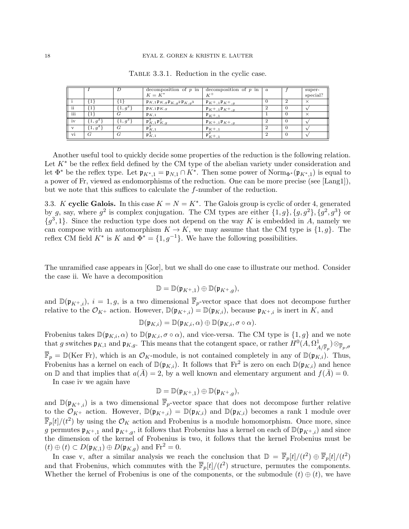|     |            |          | decomposition of $p$ in                                                                                       | decomposition of $p$ in                    | $\boldsymbol{a}$ | super-   |
|-----|------------|----------|---------------------------------------------------------------------------------------------------------------|--------------------------------------------|------------------|----------|
|     |            |          | $K = K^*$                                                                                                     |                                            |                  | special? |
|     |            |          | $\mathfrak{p}_{K,1}\mathfrak{p}_{K,g}\mathfrak{p}_{K,g}^{\phantom{*}}$ 2 $\mathfrak{p}_{K,g}^{\phantom{*}}$ 3 | $\mathfrak{p}_{K^+,1}\mathfrak{p}_{K^+,q}$ |                  |          |
| ii  |            | $1, g^2$ | $\mathfrak{p}_{K,1}\mathfrak{p}_{K,g}$                                                                        | $\mathfrak{p}_{K^+,1}\mathfrak{p}_{K^+,q}$ |                  |          |
| iii |            | ί÷       | $\mathfrak{p}_{K,1}$                                                                                          | $P_{K^+,1}$                                |                  |          |
| iv  | $(1, g^2)$ | $1, q^2$ | $\mathfrak{p}_{K,1}^2 \mathfrak{p}_{K,g}^2$                                                                   | $\mathfrak{p}_{K^+,1}\mathfrak{p}_{K^+,q}$ |                  |          |
|     | $(1, g^2)$ | G        | $\mathfrak{p}_{K,1}^*$                                                                                        | $\mathfrak{p}_{K^+,1}$                     |                  |          |
| vi  | G          | G        | $\mathfrak{p}_{K,1}^*$                                                                                        | $\mathfrak{p}_{K^+,1}$                     |                  |          |

Table 3.3.1. Reduction in the cyclic case.

Another useful tool to quickly decide some properties of the reduction is the following relation. Let  $K^*$  be the reflex field defined by the CM type of the abelian variety under consideration and let  $\Phi^*$  be the reflex type. Let  $\mathfrak{p}_{K^*,1} = \mathfrak{p}_{N,1} \cap K^*$ . Then some power of Norm<sub> $\Phi^*(\mathfrak{p}_{K^*,1})$ </sub> is equal to a power of Fr, viewed as endomorphisms of the reduction. One can be more precise (see [Lang1]), but we note that this suffices to calculate the f-number of the reduction.

3.3. K cyclic Galois. In this case  $K = N = K^*$ . The Galois group is cyclic of order 4, generated by g, say, where  $g^2$  is complex conjugation. The CM types are either  $\{1,g\}$ ,  $\{g,g^2\}$ ,  $\{g^2,g^3\}$  or  ${g^3, 1}$ . Since the reduction type does not depend on the way K is embedded in A, namely we can compose with an automorphism  $K \to K$ , we may assume that the CM type is  $\{1, g\}$ . The reflex CM field  $K^*$  is K and  $\Phi^* = \{1, g^{-1}\}\.$  We have the following possibilities.

The unramified case appears in [Gor], but we shall do one case to illustrate our method. Consider the case ii. We have a decomposition

$$
\mathbb{D} = \mathbb{D}(\mathfrak{p}_{K^+,1}) \oplus \mathbb{D}(\mathfrak{p}_{K^+,g}),
$$

and  $\mathbb{D}(\mathfrak{p}_{K^+},i)$ ,  $i=1,g$ , is a two dimensional  $\overline{\mathbb{F}}_p$ -vector space that does not decompose further relative to the  $\mathcal{O}_{K^+}$  action. However,  $\mathbb{D}(\mathfrak{p}_{K^+,i}) = \mathbb{D}(\mathfrak{p}_{K,i})$ , because  $\mathfrak{p}_{K^+,i}$  is inert in K, and

$$
\mathbb{D}(\mathfrak{p}_{K,i}) = \mathbb{D}(\mathfrak{p}_{K,i}, \alpha) \oplus \mathbb{D}(\mathfrak{p}_{K,i}, \sigma \circ \alpha).
$$

Frobenius takes  $\mathbb{D}(\mathfrak{p}_{K,i}, \alpha)$  to  $\mathbb{D}(\mathfrak{p}_{K,i}, \sigma \circ \alpha)$ , and vice-versa. The CM type is  $\{1, g\}$  and we note that g switches  $\mathfrak{p}_{K,1}$  and  $\mathfrak{p}_{K,g}$ . This means that the cotangent space, or rather  $H^0(A, \Omega^1_{A/\overline{\mathbb{F}}_p}) \otimes_{\overline{\mathbb{F}}_p, \sigma}$  $\overline{\mathbb{F}}_p = \mathbb{D}(\text{Ker Fr})$ , which is an  $\mathcal{O}_K$ -module, is not contained completely in any of  $\mathbb{D}(\mathfrak{p}_{K,i})$ . Thus, Frobenius has a kernel on each of  $\mathbb{D}(\mathfrak{p}_{K,i})$ . It follows that  $Fr^2$  is zero on each  $\mathbb{D}(\mathfrak{p}_{K,i})$  and hence on  $\mathbb D$  and that implies that  $a(\bar{A})=2$ , by a well known and elementary argument and  $f(\bar{A})=0$ .

In case iv we again have

$$
\mathbb{D}=\mathbb{D}(\mathfrak{p}_{K^+,1})\oplus\mathbb{D}(\mathfrak{p}_{K^+,g}),
$$

and  $\mathbb{D}(\mathfrak{p}_{K^+,i})$  is a two dimensional  $\overline{\mathbb{F}}_p$ -vector space that does not decompose further relative to the  $\mathcal{O}_{K^+}$  action. However,  $\mathbb{D}(\mathfrak{p}_{K^+i}) = \mathbb{D}(\mathfrak{p}_{K,i})$  and  $\mathbb{D}(\mathfrak{p}_{K,i})$  becomes a rank 1 module over  $\overline{\mathbb{F}}_p[t]/(t^2)$  by using the  $\mathcal{O}_K$  action and Frobenius is a module homomorphism. Once more, since g permutes  $\mathfrak{p}_{K^+,1}$  and  $\mathfrak{p}_{K^+,g}$ , it follows that Frobenius has a kernel on each of  $\mathbb{D}(\mathfrak{p}_{K^+,i})$  and since the dimension of the kernel of Frobenius is two, it follows that the kernel Frobenius must be  $(t) \oplus (t) \subset D(\mathfrak{p}_{K,1}) \oplus D(\mathfrak{p}_{K,g})$  and  $\text{Fr}^2 = 0$ .

In case v, after a similar analysis we reach the conclusion that  $\mathbb{D} = \overline{\mathbb{F}}_p[t]/(t^2) \oplus \overline{\mathbb{F}}_p[t]/(t^2)$ and that Frobenius, which commutes with the  $\bar{F}_p[t]/(t^2)$  structure, permutes the components. Whether the kernel of Frobenius is one of the components, or the submodule  $(t) \oplus (t)$ , we have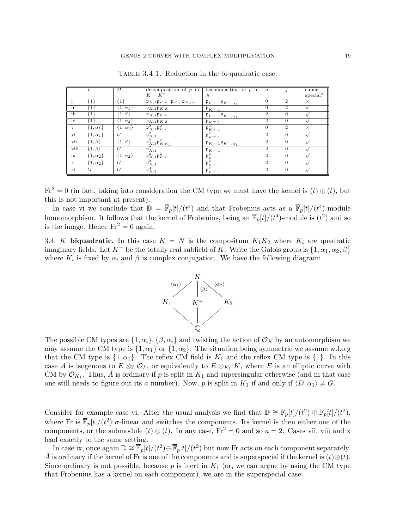|                        |                  | D                | decomposition of $p$ in<br>$K = K^*$                                                         | decomposition of $p$ in<br>$K^+$                  | $\boldsymbol{a}$ |                | super-<br>special? |
|------------------------|------------------|------------------|----------------------------------------------------------------------------------------------|---------------------------------------------------|------------------|----------------|--------------------|
|                        | ${1}$            | {1`              | $\mathfrak{p}_{K,1}\mathfrak{p}_{K,\alpha_1}\mathfrak{p}_{K,\beta}\mathfrak{p}_{K,\alpha_2}$ | $\mathfrak{p}_{K^+,1}\mathfrak{p}_{K^+,\alpha_1}$ | $\Omega$         | $\overline{2}$ | $\times$           |
| $\overline{\text{ii}}$ | {1}              | $\{1,\alpha_1\}$ | $\mathfrak{p}_{K,1}\mathfrak{p}_{K,\beta}$                                                   | $\mathfrak{p}_{K^+,1}$                            | $\Omega$         | $\overline{2}$ | $\times$           |
| iii                    | ${1}$            | $\{1,\beta\}$    | $\mathfrak{p}_{K,1}\mathfrak{p}_{K,\alpha_1}$                                                | $\mathfrak{p}_{K^+,1}\mathfrak{p}_{K^+,\alpha_1}$ | $\overline{2}$   | $\overline{0}$ |                    |
| iv                     | {1}              | $\{1,\alpha_2\}$ | $\mathfrak{p}_{K,1}\mathfrak{p}_{K,\beta}$                                                   | $\mathfrak{p}_{K^+,1}$                            | $\overline{2}$   | $\overline{0}$ |                    |
| $\mathbf{v}$           | $\{1,\alpha_1\}$ | $\{1,\alpha_1\}$ | $\mathfrak{p}_{K,1}^2 \mathfrak{p}_{K,\beta}^2$                                              | $\mathfrak{p}_{K^+,1}^2$                          | $\Omega$         | $\overline{2}$ | $\times$           |
| vi                     | $\{1,\alpha_1\}$ | G                | $\mathfrak{p}_{K,1}^2$                                                                       | $\mathfrak{p}_{K^+,1}^2$                          | $\overline{2}$   | $\Omega$       |                    |
| vii                    | $\{1,\beta\}$    | $\{1,\beta\}$    | $\mathfrak{p}_{K,1}^2 \mathfrak{p}_{K,\alpha_1}^2$                                           | $\mathfrak{p}_{K^+,1}\mathfrak{p}_{K^+,\alpha_1}$ | $\overline{2}$   | $\Omega$       |                    |
| viii                   | $\{1,\beta\}$    | G                | $\mathfrak{p}_{K,1}^2$                                                                       | $\mathfrak{p}_{K^+,1}$                            | $\overline{2}$   | $\Omega$       |                    |
| ix                     | $\{1,\alpha_2\}$ | $\{1,\alpha_2\}$ | $\mathfrak{p}_{K,1}^2 \mathfrak{p}_{K,\beta}^2$                                              | $+\frac{p_{K^{+},1}^2}{\cdots}$                   | $\overline{2}$   | $\Omega$       |                    |
| $\mathbf x$            | $\{1,\alpha_2\}$ | G                | $\mathfrak{p}_{K,1}^2$                                                                       | $\mathfrak{p}_{K^+,1}^2$                          | $\overline{2}$   | $\Omega$       |                    |
| xi                     | G                | G                | $\mathfrak{p}_{K,1}^4$                                                                       | $\mathfrak{p}_{K^+,1}^2$                          | $\overline{2}$   | $\overline{0}$ |                    |

TABLE 3.4.1. Reduction in the bi-quadratic case.

 $Fr^2 = 0$  (in fact, taking into consideration the CM type we must have the kernel is  $(t) \oplus (t)$ , but this is not important at present).

In case vi we conclude that  $\mathbb{D} = \overline{\mathbb{F}}_p[t]/(t^4)$  and that Frobenius acts as a  $\overline{\mathbb{F}}_p[t]/(t^4)$ -module homomorphism. It follows that the kernel of Frobenius, being an  $\bar{\mathbb{F}}_p[t]/(t^4)$ -module is  $(t^2)$  and so is the image. Hence  $Fr^2 = 0$  again.

3.4. K biquadratic. In this case  $K = N$  is the compositum  $K_1K_2$  where  $K_i$  are quadratic imaginary fields. Let  $K^+$  be the totally real subfield of K. Write the Galois group is  $\{1, \alpha_1, \alpha_2, \beta\}$ where  $K_i$  is fixed by  $\alpha_i$  and  $\beta$  is complex conjugation. We have the following diagram:



The possible CM types are  $\{1,\alpha_i\}$ ,  $\{\beta,\alpha_i\}$  and twisting the action of  $\mathcal{O}_K$  by an automorphism we may assume the CM type is  $\{1,\alpha_1\}$  or  $\{1,\alpha_2\}$ . The situation being symmetric we assume w.l.o.g that the CM type is  $\{1,\alpha_1\}$ . The reflex CM field is  $K_1$  and the reflex CM type is  $\{1\}$ . In this case A is isogenous to  $E \otimes_{\mathbb{Z}} \mathcal{O}_L$ , or equivalently to  $E \otimes_{K_1} K$ , where E is an elliptic curve with CM by  $\mathcal{O}_{K_1}$ . Thus,  $\bar{A}$  is ordinary if p is split in  $K_1$  and supersingular otherwise (and in that case one still needs to figure out its a number). Now, p is split in  $K_1$  if and only if  $\langle D, \alpha_1 \rangle \neq G$ .

Consider for example case vi. After the usual analysis we find that  $\mathbb{D} \cong \overline{\mathbb{F}}_p[t]/(t^2) \oplus \overline{\mathbb{F}}_p[t]/(t^2)$ , where Fr is  $\bar{\mathbb{F}}_p[t]/(t^2)$   $\sigma$ -linear and switches the components. Its kernel is then either one of the components, or the submodule  $(t) \oplus (t)$ . In any case,  $Fr^2 = 0$  and so  $a = 2$ . Cases vii, viii and x lead exactly to the same setting.

In case ix, once again  $\mathbb{D} \cong \overline{\mathbb{F}}_p[t]/(t^2) \oplus \overline{\mathbb{F}}_p[t]/(t^2)$  but now Fr acts on each component separately.  $\overline{A}$  is ordinary if the kernel of Fr is one of the components and is superspecial if the kernel is  $(t)\oplus(t)$ . Since ordinary is not possible, because  $p$  is inert in  $K_1$  (or, we can argue by using the CM type that Frobenius has a kernel on each component), we are in the superspecial case.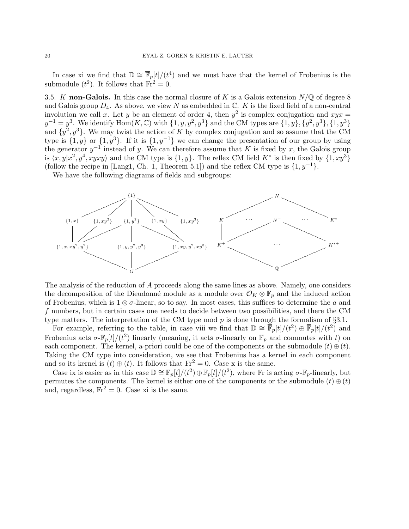In case xi we find that  $\mathbb{D} \cong \overline{\mathbb{F}}_p[t]/(t^4)$  and we must have that the kernel of Frobenius is the submodule  $(t^2)$ . It follows that  $Fr^2 = 0$ .

3.5. K non-Galois. In this case the normal closure of K is a Galois extension  $N/\mathbb{Q}$  of degree 8 and Galois group  $D_4$ . As above, we view N as embedded in  $\mathbb{C}$ . K is the fixed field of a non-central involution we call x. Let y be an element of order 4, then  $y^2$  is complex conjugation and  $xyx =$  $y^{-1} = y^3$ . We identify  $\text{Hom}(K, \mathbb{C})$  with  $\{1, y, y^2, y^3\}$  and the CM types are  $\{1, y\}, \{y^2, y^3\}, \{1, y^3\}$ and  $\{y^2, y^3\}$ . We may twist the action of K by complex conjugation and so assume that the CM type is  $\{1, y\}$  or  $\{1, y^3\}$ . If it is  $\{1, y^{-1}\}$  we can change the presentation of our group by using the generator  $y^{-1}$  instead of y. We can therefore assume that K is fixed by x, the Galois group is  $\langle x, y | x^2, y^4, xyxy \rangle$  and the CM type is  $\{1, y\}$ . The reflex CM field  $K^*$  is then fixed by  $\{1, xy^3\}$ (follow the recipe in [Lang1, Ch. 1, Theorem 5.1]) and the reflex CM type is  $\{1, y^{-1}\}.$ 

We have the following diagrams of fields and subgroups:



The analysis of the reduction of A proceeds along the same lines as above. Namely, one considers the decomposition of the Dieudonné module as a module over  $\mathcal{O}_K \otimes \overline{\mathbb{F}}_p$  and the induced action of Frobenius, which is  $1 \otimes \sigma$ -linear, so to say. In most cases, this suffices to determine the a and f numbers, but in certain cases one needs to decide between two possibilities, and there the CM type matters. The interpretation of the CM type mod  $p$  is done through the formalism of  $\S 3.1$ .

For example, referring to the table, in case viii we find that  $\mathbb{D} \cong \overline{\mathbb{F}}_p[t]/(t^2) \oplus \overline{\mathbb{F}}_p[t]/(t^2)$  and Frobenius acts  $\sigma\text{-}\overline{\mathbb{F}}_p[t]/(t^2)$  linearly (meaning, it acts  $\sigma\text{-linearly}$  on  $\overline{\mathbb{F}}_p$  and commutes with t) on each component. The kernel, a-priori could be one of the components or the submodule  $(t) \oplus (t)$ . Taking the CM type into consideration, we see that Frobenius has a kernel in each component and so its kernel is  $(t) \oplus (t)$ . It follows that  $Fr^2 = 0$ . Case x is the same.

Case ix is easier as in this case  $\mathbb{D} \cong \overline{\mathbb{F}}_p[t]/(t^2) \oplus \overline{\mathbb{F}}_p[t]/(t^2)$ , where Fr is acting  $\sigma$ - $\overline{\mathbb{F}}_p$ -linearly, but permutes the components. The kernel is either one of the components or the submodule  $(t) \oplus (t)$ and, regardless,  $Fr^2 = 0$ . Case xi is the same.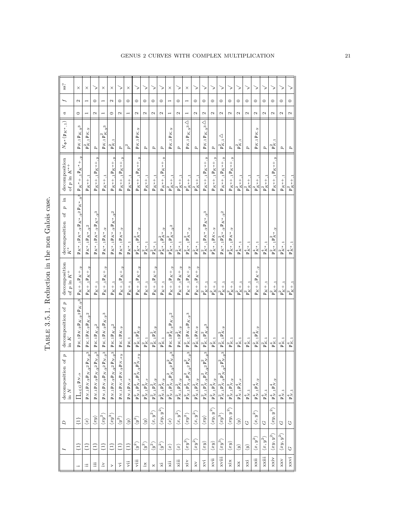| C<br>C             |
|--------------------|
| l                  |
| ;<br>;             |
|                    |
| $\frac{1}{2}$      |
| ı<br>$\frac{1}{2}$ |
| 1<br>۲<br>ا        |
| t,                 |
|                    |

|                            |                         | $\mathcal{L}$           | ion of $p$<br>decompositi<br>in $\cal N$                                                             | decomposition of $\boldsymbol{p}$<br>in ${\cal K}$                             | decomposition<br>of $p$ in $K^+$                              | $\Xi$<br>$\overline{a}$<br>decomposition of $K^\ast$                                               | $\begin{array}{c} \mbox{decomposition}\\ \mbox{of $p$ in $K^{*+}$} \end{array}$ | $N_{\Phi^*}(\mathfrak{p}_{K^*,1})$                   | $\boldsymbol{a}$         | $\overline{f}$           | ss?      |
|----------------------------|-------------------------|-------------------------|------------------------------------------------------------------------------------------------------|--------------------------------------------------------------------------------|---------------------------------------------------------------|----------------------------------------------------------------------------------------------------|---------------------------------------------------------------------------------|------------------------------------------------------|--------------------------|--------------------------|----------|
|                            | $\{1\}$                 | $\{1\}$                 | $\Pi_{\alpha \in G} \mathfrak{p}_{N, \alpha}$                                                        | $\mathfrak{p}_{K,1}\mathfrak{p}_{K,y}\mathfrak{p}_{K,y^2}\mathfrak{p}_{K,y^3}$ | $P_{K+1}P_{K+1}$                                              | $\mathfrak{p}_{K^{*},1}\mathfrak{p}_{K^{*},y}\mathfrak{p}_{K^{*},y^{2}}\mathfrak{p}_{K^{*},y^{3}}$ | $P_{K^*+1}P_{K^*+y}$                                                            | $\mathfrak{p}_{K,1}\mathfrak{p}_{K,y^3}$             | $\circ$                  | Z                        | $\times$ |
| ≔                          | Ë                       | $\langle x \rangle$     | $\mathfrak{p}_{N,1}\mathfrak{p}_{N,y}\mathfrak{p}_{N,y}$ 2 $\mathfrak{p}_{N,y}$ 3 $\big $            | $\mathfrak{p}_{K,1}\mathfrak{p}_{K,y}\mathfrak{p}_{K,y^2}$                     | $P_{K^+1}P_{K^+,y}$                                           | $\mathfrak{p}_{K^*,1}\mathfrak{p}_{K^*,y^2}$                                                       | $\mathfrak{p}_{K^*\!\!\!+\!\!\!-\!\!\!1}$                                       | $\mathfrak{p}_{K,1}^2 \mathfrak{p}_{K,y}$            | $\overline{ }$           | $\overline{\phantom{0}}$ | $\times$ |
| 這                          | {L}                     | $\langle xy\rangle$     | $\left. \mathfrak{p}_{N,1} \mathfrak{p}_{N,y} \mathfrak{p}_{N,y}$ 2 $\mathfrak{p}_{N,y}$ 3 $\right $ | $\mathfrak{p}_{K,1}\mathfrak{p}_{K,y^2}$                                       | $\mathfrak{p}_{K^+,\,1}$                                      | $\mathfrak{p}_{K^*,1}\mathfrak{p}_{K^*,y}\mathfrak{p}_{K^*,y^3}$                                   | $\mathfrak{p}_{K*+,\,1}\mathfrak{p}_{K*+,\,y}$                                  | d                                                    | $\mathbf{\Omega}$        | $\circ$                  | >        |
| $\ddot{\simeq}$            | $\Xi$                   | $\langle xy^2\rangle$   | $\mathfrak{p}_{N,1}\mathfrak{p}_{N,y}\mathfrak{p}_{N,y^2}\mathfrak{p}_{N,y^3}$                       | $\mathfrak{p}_{K,1}\mathfrak{p}_{K,y}\mathfrak{p}_{K,y}$ 3                     | $P_K + 1 P_{K} + 1$                                           | $\mathfrak{p}_{K^*,1}\mathfrak{p}_{K^*,y}$                                                         | $\mathfrak{p}_{K^*\!+\!1}$                                                      | $\mathfrak{p}_{K,1} \mathfrak{p}_{K,y^3}^2$          | $\overline{\phantom{0}}$ |                          | $\times$ |
| >                          | E}                      | $\langle xy^3\rangle$   | $\mathfrak{p}_{N,1}\mathfrak{p}_{N,y}\mathfrak{p}_{N,y^2}\mathfrak{p}_{N,y^3}$                       | $\mathfrak{p}_{K,1}\mathfrak{p}_{K,y^2}$                                       | $\mathfrak{p}_{K^+ ,1}$                                       | $\mathfrak{p}_{K^*,1}\mathfrak{p}_{K^*,y}\mathfrak{p}_{K^*,y^2}$                                   | $\mathfrak{p}_{K*+1}$ , $\mathfrak{p}_{K*+1}$                                   | $\mathfrak{p}_{K,1}^2$                               | $\circ$                  | $\mathbf{\Omega}$        | $\times$ |
| Έ                          | $\{1\}$                 | $\langle y^2 \rangle$   | $\mathfrak{p}_{N,1}\mathfrak{p}_{N,\alpha}\mathfrak{p}_{N,y}\mathfrak{p}_{N,\alpha y}$               | $\mathfrak{p}_{K,1}\mathfrak{p}_{K,y}$                                         | $P_{K} + 1 P_{K} + 1$                                         | $\mathfrak{p}_{K^*,1}\mathfrak{p}_{K^*,y}$                                                         | $\mathfrak{p}_{K^*+,\,1}\mathfrak{p}_{K^*+,\,y}$                                | p                                                    | Z                        | $\circ$                  | >        |
| ÿi                         | $\{1\}$                 | $\langle y \rangle$     | $\mathfrak{p}_{N,1}\mathfrak{p}_{N,x}$                                                               | $\mathfrak{p}_{K,1}$                                                           | $\mathfrak{p}_{K+,\mathbf{1}}$                                | $\mathfrak{p}_{K^*,1}$                                                                             | $\mathfrak{p}_{K\ast +,1}$                                                      | $p^2$                                                | $\overline{ }$           | $\circ$                  | $\times$ |
| viii                       | $\langle y^2 \rangle$   | $\langle y^2 \rangle$   | $\mathfrak{p}_{N,1}^2\mathfrak{p}_{N,\alpha}^2\mathfrak{p}_{N,y}^2\mathfrak{p}_{N,\alpha y}^2$       | $\mathfrak{p}_{K,1}^2 \mathfrak{p}_{K,y}^2$                                    | $\mathfrak{p}_{K^+,\mathbf{1}} \mathfrak{p}_{K^+,\mathbf{y}}$ | $p_{K^*,1}^2 p_{K^*,y}^2$                                                                          | $\mathfrak{p}_{K*+,\,1}\mathfrak{p}_{K*+,\,y}$                                  | $\mathfrak{p}_{K,1}\mathfrak{p}_{K,y}$               | Z                        | $\circ$                  | >        |
| ×.                         | $\langle y^2 \rangle$   | $\langle i \rangle$     | $\mathfrak{p}_{N,1}^2 \mathfrak{p}_{N,x}^2$                                                          | $\mathfrak{p}_{K,1}^2$                                                         | $\mathfrak{p}_{K\pm,1}$                                       | $\mathfrak{p}_{K^*,1}^2$                                                                           | $\mathfrak{p}_{K^{\ast}+,1}$                                                    | d                                                    | $\mathbf{\Omega}$        | $\circ$                  | >        |
| ×                          | $(y^2)$                 | $\langle x,y^2\rangle$  | $\mathfrak{p}_{N,1}^2 \mathfrak{p}_{N,y}^2$                                                          | $\mathfrak{p}_{K,1}^2 \mathfrak{p}_{K,y}^2$                                    | $P_{K}$ +,1 $P_{K}$ +,y                                       | $\mathfrak{p}_{K^\ast,1}^2$                                                                        | $P_{K^*+1}$                                                                     | $\boldsymbol{p}$                                     | $\mathbf{\Omega}$        | $\circ$                  | >        |
| ¥.                         | $\langle y^2 \rangle$   | $\langle xy,y^2\rangle$ | $\mathfrak{p}_{N,1}^2 \mathfrak{p}_{N,y}^2$                                                          | $\mathfrak{p}_{K,1}^2$                                                         | $\mathfrak{p}_{K+,\underline{1}}$                             | $\mathfrak{p}_{K^{*},1}^2 \mathfrak{p}_{K^{*},y}^2$                                                | $\mathfrak{p}_{K^*\!\!\!-\!\!\!-1} \mathfrak{p}_{K^*\!\!\!+\!\!\!-1}$           | p                                                    | $\mathbf{\Omega}$        | $\circ$                  | >        |
| $\ddot{x}$                 | $\langle x \rangle$     | $\langle x \rangle$     | 2<br>N, $y^2$ $\frac{p_{N,y^3}}{N}$<br>$\mathfrak{p}_{N,1}^2 \mathfrak{p}_{N,y}^2 \mathfrak{p}_N^2$  | $\mathfrak{p}_{K,1}\mathfrak{p}_{K,y}^2\mathfrak{p}_{K,y^2}$                   | $P_{K^+,1}P_{K^+, y}$                                         | $\mathfrak{p}_{K^{*},1}^2\mathfrak{p}_{K^{*},y^2}^2$                                               | $\mathfrak{p}_{K^{*+},1}^2$                                                     | $\mathfrak{p}_{K,1}\mathfrak{p}_{K,y}$               | $\overline{ }$           | $\overline{\phantom{0}}$ | $\times$ |
| xiii                       | $\langle x \rangle$     | $\langle x,y^2\rangle$  | $\mathfrak{p}_{N,1}^2 \mathfrak{p}_{N,y}^2$                                                          | $\mathfrak{p}_{K,1}\mathfrak{p}_{K,y}^2$                                       | $\mathfrak{p}_{K^+,1}\mathfrak{p}_{K^+,y}$                    | $\mathfrak{p}_{K^*1}^2$                                                                            | $\mathfrak{p}_{K^*+\underline{1}}^2$                                            | $\overline{p}$                                       | $\mathbf{C}$             | $\circ$                  | >        |
| $\overline{\mathbf{x}}$ iv | $\langle xy^2\rangle$   | $\langle xy^2\rangle$   | $\mathfrak{p}_{N,1}^2 \mathfrak{p}_{N,y}^2 \mathfrak{p}_{N,y^2}^2 \mathfrak{p}_{N,y^3}^2\Big $       | $\mathfrak{p}_{K,1}^2 \mathfrak{p}_{K,y} \mathfrak{p}_{K,y^3}$                 | $\mathfrak{p}_{K^+,1}\mathfrak{p}_{K^+,y}$                    | $\mathfrak{p}_{K^{*},1}^2 \mathfrak{p}_{K^{*},y}^2$                                                | $p_{K^*+,1}^2$                                                                  | $\mathfrak{p}_{K,1}\mathfrak{p}_{K,y}$ 3 $\triangle$ | $\overline{ }$           | I                        | $\times$ |
| XV                         | $\langle xy^2\rangle$   | $\langle x,y^2\rangle$  | $\mathfrak{p}_{N,1}^2 \mathfrak{p}_{N,y}^2$                                                          | $\mathfrak{p}_{K,1}^2 \mathfrak{p}_{K,y}$                                      | $P_{K^+1}P_{K^+,y}$                                           | $p_{K^*,1}^2$                                                                                      | $p_{K^*+1}^2$                                                                   | $\sigma$                                             | $\mathbf{\Omega}$        | $\circ$                  | $\!>$    |
| $\ddot{x}$                 | $\langle xy \rangle$    | $\langle xy \rangle$    | $\mathfrak{p}_{N,1}^2 \mathfrak{p}_{N,y}^2 \mathfrak{p}_{N,y^2}^2 \mathfrak{p}_{N,y^3}^2$            | $\mathfrak{p}_{K,1}^2 \mathfrak{p}_{K,y^3}^2$                                  | $p_{K^+,1}^2$                                                 | $\mathfrak{p}_{K^{*},1}^{2}\mathfrak{p}_{K^{*},y}\mathfrak{p}_{K^{*},y^{3}}$                       | $\mathfrak{p}_{K*+,\,1}\mathfrak{p}_{K*+,\,y}$                                  | $\mathfrak{p}_{K,1}\mathfrak{p}_{K,y}$ 3 $\triangle$ | $\mathbf{\Omega}$        | $\circ$                  | >        |
| xvii                       | $\langle xy\rangle$     | $\langle xy,y^2\rangle$ | $\mathfrak{p}_{N,1}^2 \mathfrak{p}_{N,y}^2$                                                          | $p_{K,1}^2$                                                                    | $p_{K^+,1}^2$                                                 | $p_{K^*,1}^2 p_{K*,y}$                                                                             | $\mathfrak{p}_{K^{*+},1}\mathfrak{p}_{K^{*+},y}$                                | $\overline{a}$                                       | $\mathbf{\Omega}$        | $\circ$                  | ⋗        |
| xviii                      | $\langle xy^3\rangle$   | $\langle xy^3\rangle$   | $\mathfrak{p}_{N,1}^2 \mathfrak{p}_{N,y}^2 \mathfrak{p}_{N,y^2}^2 \mathfrak{p}_{N,y^3}^2$            | $\mathfrak{p}_{K,1}^2 \mathfrak{p}_{K,y}^2$                                    | $p_{K+1}^2$                                                   | $\mathfrak{p}_{K^*,1}\mathfrak{p}_{K^*,y}^2\mathfrak{p}_{K^*,y^2}$                                 | $P_{K^*+1}P_{K^*+1}$                                                            | $\mathfrak{p}_{K,1}^2\triangle$                      | $\mathbf{\Omega}$        | $\circ$                  | >        |
| $x$ ix                     | $\langle xy\rangle$     | $\langle xy,y^2\rangle$ | $\mathfrak{p}_{N,1}^2\mathfrak{p}_{N,y}^2$                                                           | $p_{K,1}^2$                                                                    | $p_{K+1}^2$                                                   | $p_{K^*,1}^2 p_{K^*,y}$                                                                            | $\mathfrak{p}_{K^{*+},1}\mathfrak{p}_{K^{*+},y}$                                | p                                                    | Z                        | $\circ$                  | >        |
| XX                         | $\langle i \rangle$     | $\langle y \rangle$     | $\mathfrak{p}_{N,1}^4\mathfrak{p}_{N,x}^4$                                                           | $p_{K,1}^4$                                                                    | $p_{K^+,1}^2$                                                 | $\mathfrak{p}_{K^*,1}^4$                                                                           | $\mathfrak{p}_{K^*+1}^2$                                                        | $\mathfrak{p}_{K,1}^2$                               | $\mathbf{\sim}$          | $\circ$                  | >        |
| $\ddot{\mathrm{x}}$        | $\langle y \rangle$     | $\circ$                 | $\frac{1}{4}$                                                                                        | $\mathfrak{p}_{K,1}^4$                                                         | $p_{K^+,1}^2$                                                 | $\mathfrak{p}_{K^\ast,1}^4$                                                                        | $\mathfrak{p}_{K^*+1}^2$                                                        | $\sigma$                                             | $\mathbf{\Omega}$        | $\circ$                  |          |
| xxii                       | $\langle x,y^2\rangle$  | $\langle x,y^2\rangle$  | $\mathfrak{p}_{N,1}^4 \mathfrak{p}_{N,y}^4$                                                          | $\mathfrak{p}_{K,1}^2 \mathfrak{p}_{K,y}^2$                                    | $\mathfrak{p}_{K^+,1}\mathfrak{p}_{K^+,y}$                    | $\mathfrak{p}_{K^\ast,1}^4$                                                                        | $\mathfrak{p}_{K^{*+},1}^2$                                                     | $p_{K,1}p_{K,y}$                                     | Z                        | $\circ$                  | >        |
| $x$ xiii                   | $\langle x,y^2\rangle$  | $\circlearrowright$     | $\mathfrak{p}_{N,1}^4$                                                                               | $\mathfrak{p}_{K,1}^2$                                                         | $\mathfrak{p}_{K^+,1}$                                        | $p_{K^*,1}^4$                                                                                      | $\mathfrak{p}_{K*\pm,1}^2$                                                      | Þ                                                    | $\mathbf{\Omega}$        | $\circ$                  | >        |
| xxiv                       | $\langle xy,y^2\rangle$ | $\langle xy,y^2\rangle$ | $\mathfrak{p}_{N,1}^4\mathfrak{p}_{N,y}^4$                                                           | $\mathfrak{p}_{K,1}^4$                                                         | $\mathfrak{p}_{K+,1}^2$                                       | $\mathfrak{p}_{K^{*},1}^2 \mathfrak{p}_{K^{*},y}^2$                                                | $\mathfrak{p}_{K*+,\,1}\mathfrak{p}_{K*+,\,y}$                                  | $\mathfrak{p}_{K,1}^2$                               | $\mathbf{\Omega}$        | $\circ$                  |          |
| XXV                        | $\langle xy,y^2\rangle$ | $\circ$                 | $\mathfrak{p}_{N,1}^4$                                                                               | $\mathfrak{p}_{K,1}^4$                                                         | $p_{K^+,1}^2$                                                 | $p_{K^*,1}^2$                                                                                      | $\mathfrak{p}_{K^{*+},1}$                                                       | đ                                                    | $\mathbf{\Omega}$        | $\circ$                  | >        |
| xxvi                       | $\circ$                 | U                       | $\mathfrak{p}_{N,1}^4$                                                                               | $p_{K,1}^4$                                                                    | $p_{K+1}^2$                                                   | $p_{K^*,1}^4$                                                                                      | $\mathfrak{p}_{K^*+\, ,1}^2$                                                    | p                                                    | $\mathbf{\sim}$          | $\circ$                  | >        |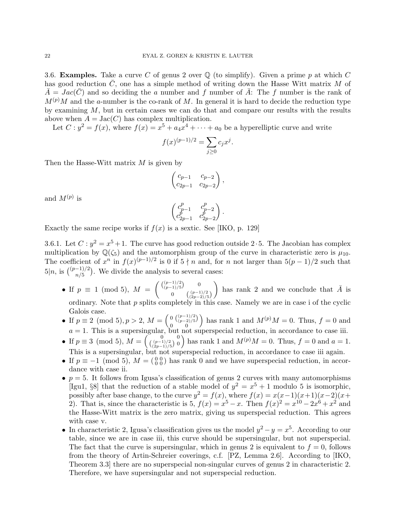3.6. **Examples.** Take a curve C of genus 2 over  $\mathbb{Q}$  (to simplify). Given a prime p at which C has good reduction  $\bar{C}$ , one has a simple method of writing down the Hasse Witt matrix M of  $\bar{A} = Jac(\bar{C})$  and so deciding the a number and f number of  $\bar{A}$ : The f number is the rank of  $M^{(p)}M$  and the a-number is the co-rank of M. In general it is hard to decide the reduction type by examining  $M$ , but in certain cases we can do that and compare our results with the results above when  $A = \text{Jac}(C)$  has complex multiplication.

Let  $C: y^2 = f(x)$ , where  $f(x) = x^5 + a_4x^4 + \cdots + a_0$  be a hyperelliptic curve and write

$$
f(x)^{(p-1)/2} = \sum_{j \ge 0} c_j x^j.
$$

Then the Hasse-Witt matrix  $M$  is given by

$$
\begin{pmatrix} c_{p-1} & c_{p-2} \\ c_{2p-1} & c_{2p-2} \end{pmatrix},
$$

and  $M^{(p)}$  is

$$
\begin{pmatrix} c_{p-1}^p & c_{p-2}^p \\ c_{2p-1}^p & c_{2p-2}^p \end{pmatrix}.
$$

Exactly the same recipe works if  $f(x)$  is a sextic. See [IKO, p. 129]

3.6.1. Let  $C: y^2 = x^5 + 1$ . The curve has good reduction outside 2.5. The Jacobian has complex multiplication by  $\mathbb{Q}(\zeta_5)$  and the automorphism group of the curve in characteristic zero is  $\mu_{10}$ . The coefficient of  $x^n$  in  $f(x)^{(p-1)/2}$  is 0 if  $5 \nmid n$  and, for n not larger than  $5(p-1)/2$  such that  $5|n$ , is  $\binom{(p-1)/2}{n/5}$ . We divide the analysis to several cases:

- If  $p \equiv 1 \pmod{5}$ ,  $M = \begin{pmatrix} \binom{(p-1)/2}{(p-1)/5} & 0 \\ 0 & \binom{(p-1)/2}{p-1} \end{pmatrix}$ 0  $\binom{(p-1)/2}{(2p-2)/5}$ ) has rank 2 and we conclude that  $\bar{A}$  is ordinary. Note that  $p$  splits completely in this case. Namely we are in case i of the cyclic Galois case.
- If  $p \equiv 2 \pmod{5}$ ,  $p > 2$ ,  $M = \begin{pmatrix} 0 \ \frac{(p-1)/2}{(p-2)/5} \end{pmatrix}$ 0 0 ) has rank 1 and  $M^{(p)}M = 0$ . Thus,  $f = 0$  and  $a = 1$ . This is a supersingular, but not superspecial reduction, in accordance to case iii.
- If  $p \equiv 3 \pmod{5}$ ,  $M = \begin{pmatrix} 0 & 0 \\ (\frac{(p-1)}{2})^2 & 0 \end{pmatrix}$  has rank 1 and  $M^{(p)}M = 0$ . Thus,  $f = 0$  and  $a = 1$ . This is a supersingular, but not superspecial reduction, in accordance to case iii again.
- If  $p \equiv -1 \pmod{5}$ ,  $M = \begin{pmatrix} 0 & 0 \\ 0 & 0 \end{pmatrix}$  has rank 0 and we have superspecial reduction, in accordance with case ii.
- $p = 5$ . It follows from Igusa's classification of genus 2 curves with many automorphisms [Igu1, §8] that the reduction of a stable model of  $y^2 = x^5 + 1$  modulo 5 is isomorphic, possibly after base change, to the curve  $y^2 = f(x)$ , where  $f(x) = x(x-1)(x+1)(x-2)(x+1)$ 2). That is, since the characteristic is 5,  $f(x) = x^5 - x$ . Then  $f(x)^2 = x^{10} - 2x^6 + x^2$  and the Hasse-Witt matrix is the zero matrix, giving us superspecial reduction. This agrees with case v.
- In characteristic 2, Igusa's classification gives us the model  $y^2 y = x^5$ . According to our table, since we are in case iii, this curve should be supersingular, but not superspecial. The fact that the curve is supersingular, which in genus 2 is equivalent to  $f = 0$ , follows from the theory of Artin-Schreier coverings, c.f. [PZ, Lemma 2.6]. According to [IKO, Theorem 3.3] there are no superspecial non-singular curves of genus 2 in characteristic 2. Therefore, we have supersingular and not superspecial reduction.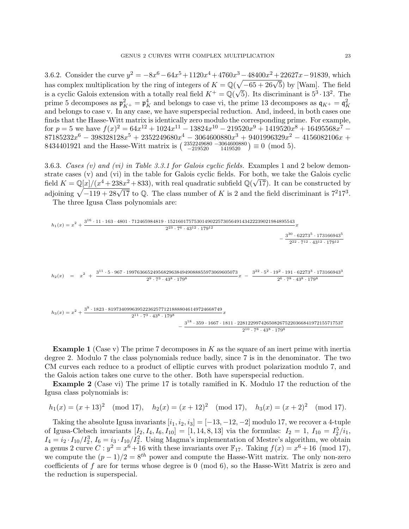3.6.2. Consider the curve  $y^2 = -8x^6 - 64x^5 + 1120x^4 + 4760x^3 - 48400x^2 + 22627x - 91839$ , which b.b.2. Consider the curve  $g = -6x^2 - 64x^2 + 1126x^3 + 4166x^2 - 4646x^2 + 22627x - 31635$ , which<br>has complex multiplication by the ring of integers of  $K = \mathbb{Q}(\sqrt{-65 + 26\sqrt{5}})$  by [Wam]. The field has complex multiplication by the ring of integers of  $\Lambda = \mathcal{Q}(\sqrt{-0.3} + 20\sqrt{3})$  by [wam]. The field<br>is a cyclic Galois extension with a totally real field  $K^+ = \mathcal{Q}(\sqrt{5})$ . Its discriminant is  $5^3 \cdot 13^2$ . The prime 5 decomposes as  $\mathfrak{p}_{K^+}^2 = \mathfrak{p}_K^4$  and belongs to case vi, the prime 13 decomposes as  $\mathfrak{q}_{K^+} = \mathfrak{q}_K^2$ and belongs to case v. In any case, we have superspecial reduction. And, indeed, in both cases one finds that the Hasse-Witt matrix is identically zero modulo the corresponding prime. For example, for  $p = 5$  we have  $f(x)^2 = 64x^{12} + 1024x^{11} - 13824x^{10} - 219520x^9 + 1419520x^8 + 16495568x^7 87185232x^6 - 398328128x^5 + 2352249680x^4 - 3064600880x^3 + 9401996329x^2 - 4156082106x +$ 8434401921 and the Hasse-Witt matrix is  $\begin{pmatrix} 2352249680 - 3064600880 \\ -219520 \end{pmatrix} \equiv 0 \pmod{5}$ .

3.6.3. Cases (v) and (vi) in Table 3.3.1 for Galois cyclic fields. Examples 1 and 2 below demonstrate cases (v) and (vi) in the table for Galois cyclic fields. For both, we take the Galois cyclic strate cases (v) and (vi) in the table for Galois cyclic helds. For be<br>field  $K = \mathbb{Q}[x]/(x^4 + 238x^2 + 833)$ , with real quadratic subfield  $\mathbb{Q}(\sqrt{2})$ 17). It can be constructed by adjoining  $\sqrt{-119 + 28\sqrt{17}}$  to Q. The class number of K is 2 and the field discriminant is  $7^217^3$ .

The three Igusa Class polynomials are:

$$
h_1(x) = x^2 + \frac{3^{16} \cdot 11 \cdot 163 \cdot 4801 \cdot 712465984819 \cdot 152160175753014902257305649143422239021984895543}{2^{23} \cdot 7^6 \cdot 43^{12} \cdot 179^{12}} - \frac{3^{30} \cdot 62273^5 \cdot 173166943^5}{2^{22} \cdot 7^{12} \cdot 43^{12} \cdot 179^{12}}
$$
  
\n
$$
h_2(x) = x^2 + \frac{3^{11} \cdot 5 \cdot 967 \cdot 199763665249568296384949088855973069605073}{2^9 \cdot 7^3 \cdot 43^8 \cdot 179^8} x - \frac{3^{22} \cdot 5^2 \cdot 19^2 \cdot 191 \cdot 62273^3 \cdot 173166943^3}{2^6 \cdot 7^8 \cdot 43^8 \cdot 179^8}
$$
  
\n
$$
h_3(x) = x^2 + \frac{3^9 \cdot 1823 \cdot 8197340996395223625771218888046149724668749}{2^{11} \cdot 7^3 \cdot 43^8 \cdot 179^8} x - \frac{3^{18} \cdot 359 \cdot 1667 \cdot 1811 \cdot 2281229974265082675220366841972155717537}{2^{10} \cdot 7^8 \cdot 43^8 \cdot 179^8}
$$

**Example 1** (Case v) The prime 7 decomposes in  $K$  as the square of an inert prime with inertia degree 2. Modulo 7 the class polynomials reduce badly, since 7 is in the denominator. The two CM curves each reduce to a product of elliptic curves with product polarization modulo 7, and the Galois action takes one curve to the other. Both have superspecial reduction.

Example 2 (Case vi) The prime 17 is totally ramified in K. Modulo 17 the reduction of the Igusa class polynomials is:

$$
h_1(x) = (x+13)^2 \pmod{17}
$$
,  $h_2(x) = (x+12)^2 \pmod{17}$ ,  $h_3(x) = (x+2)^2 \pmod{17}$ .

Taking the absolute Igusa invariants  $[i_1, i_2, i_3] = [-13, -12, -2]$  modulo 17, we recover a 4-tuple of Igusa-Clebsch invariants  $[I_2, I_4, I_6, I_{10}] = [1, 14, 8, 13]$  via the formulas:  $I_2 = 1, I_{10} = I_2^5/i_1$ ,  $I_4 = i_2 \cdot I_{10}/I_2^3$ ,  $I_6 = i_3 \cdot I_{10}/I_2^2$ . Using Magma's implementation of Mestre's algorithm, we obtain a genus 2 curve  $C: y^2 = x^6 + 16$  with these invariants over  $\mathbb{F}_{17}$ . Taking  $f(x) = x^6 + 16 \pmod{17}$ , we compute the  $(p-1)/2 = 8^{th}$  power and compute the Hasse-Witt matrix. The only non-zero coefficients of  $f$  are for terms whose degree is  $0 \pmod{6}$ , so the Hasse-Witt Matrix is zero and the reduction is superspecial.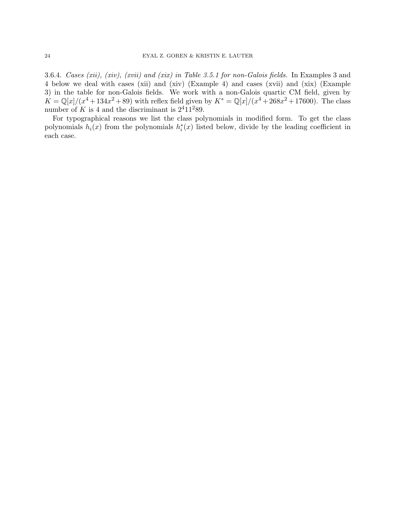3.6.4. Cases (xii), (xiv), (xvii) and (xix) in Table 3.5.1 for non-Galois fields. In Examples 3 and 4 below we deal with cases (xii) and (xiv) (Example 4) and cases (xvii) and (xix) (Example 3) in the table for non-Galois fields. We work with a non-Galois quartic CM field, given by  $K = \mathbb{Q}[x]/(x^4 + 134x^2 + 89)$  with reflex field given by  $K^* = \mathbb{Q}[x]/(x^4 + 268x^2 + 17600)$ . The class number of K is 4 and the discriminant is  $2^411^289$ .

For typographical reasons we list the class polynomials in modified form. To get the class polynomials  $h_i(x)$  from the polynomials  $h_i^*(x)$  listed below, divide by the leading coefficient in each case.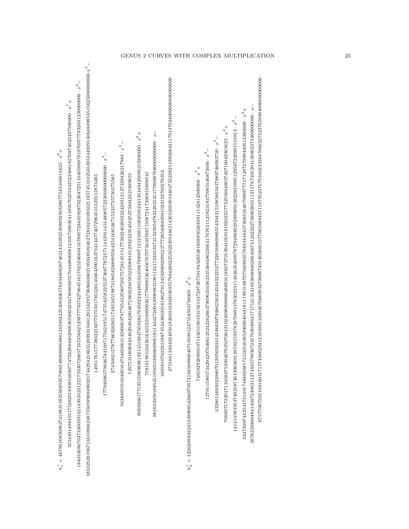| $15544914984155282018308546307747022884602206836400323478066895570446806681210673803641116957025544252246618270874022437500000 \cdot x^7 +$<br>$80593001771951508989819214516847958284764562224480102456678890713123681109259524935429429095219200000 \cdot \ x^2 +$<br>$\overline{\phantom{a}}$<br>$56384959106460164764658831329000379776543259072657572814515177392240369322428312127339426217984\cdot x^3$<br>$h_1^* = 4678616850082741983158250085957006548008966486124546422530630657633460636746214333925925802580277545166015625 \cdot x^8 +$<br>$\overline{\phantom{a}}$<br>166561076259218874524380391618627812459200629952377728540602961024102700278352<br>75816198120430164253210000030177809833640567679756337667150872417366816696541<br>1297531069082446204942804872389223658522300816123923235450253734042421899655<br>7615773862216077075501785526135664390163794144774072964515539112873485<br>27450021278778632036317492245198741865628889556425416852671533372575558585<br>14951 | $+244730974425347314917488050857215655038539394314111919318879756089357883344645740631646799887777171297279904405132800000 \cdot x^2 +$<br>$1412145839537492587461900389129782159378287089137830233114826354009787294888029288909138229359051265872209911510912\cdot x^3$<br>$^{+6.5}_{-6.709031203458972539046783507004210924098996960488931289373791205913094105255772255664903749749716042965625.$<br>$4328014693023989701205639341434863079486256354344323252772261688689895543943151085803437889746093750\cdot x^5$<br>$1279115905734294297640612524226263647909635036333546648623604176763112582318377685546875000\cdot x^6$<br>$74859292699910714365190193192134728726759194326538186885028839111328125000000 \cdot x^7 +$<br>$h_{2}^{*}=122620993224533990854266979572168589900407195091247558593750000\cdot x^{8}+$ |
|-------------------------------------------------------------------------------------------------------------------------------------------------------------------------------------------------------------------------------------------------------------------------------------------------------------------------------------------------------------------------------------------------------------------------------------------------------------------------------------------------------------------------------------------------------------------------------------------------------------------------------------------------------------------------------------------------------------------------------------------------------------------------------------------------------------------------------------------------------------------------------------------------------------------------------------------------------------------------------------------------------|------------------------------------------------------------------------------------------------------------------------------------------------------------------------------------------------------------------------------------------------------------------------------------------------------------------------------------------------------------------------------------------------------------------------------------------------------------------------------------------------------------------------------------------------------------------------------------------------------------------------------------------------------------------------------------------------------------------------------------------------------------------------------------------------------------------------------|
|-------------------------------------------------------------------------------------------------------------------------------------------------------------------------------------------------------------------------------------------------------------------------------------------------------------------------------------------------------------------------------------------------------------------------------------------------------------------------------------------------------------------------------------------------------------------------------------------------------------------------------------------------------------------------------------------------------------------------------------------------------------------------------------------------------------------------------------------------------------------------------------------------------------------------------------------------------------------------------------------------------|------------------------------------------------------------------------------------------------------------------------------------------------------------------------------------------------------------------------------------------------------------------------------------------------------------------------------------------------------------------------------------------------------------------------------------------------------------------------------------------------------------------------------------------------------------------------------------------------------------------------------------------------------------------------------------------------------------------------------------------------------------------------------------------------------------------------------|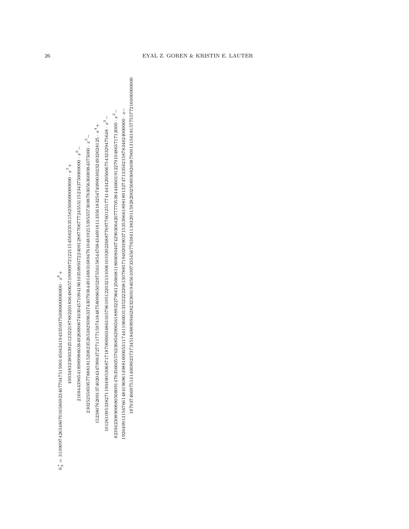\* ສ = 31390974265480701658692346770475159014504241943359375000000000000 · x  $_{\infty}^+$ 

493348323893392512322187882201836480657190909721221154566235351562500000000000 · *x*<br>4

 $30334832389339251232218788220183648065719090972122115456623535156250000000000\cdot\ x^7 +$ <br> $2168443965418989986038492688067403045710941961035989372240912887706777245511152343750000000\cdot\ x^6 -$ 216844396541386541388988638882688268372240951094109410941094103802577245577245531152343500000000000 ·

 $2302525585957788818152082352653829396337430793844914883168947610481921539535736987830563603894375000 \cdot x^5 -$ 0002525585854439654189889986038492688067403045710941991035989372240912887706777245531152343750000000 · x<sup>6</sup> −<br>2302525585957788818152082352653829396337430793844914883168947610481921539535736987830563608984375000 · x<sup>6</sup>

5− 152380762091374020434799837277117715974184875809865052975561585447684346918113356183254740900302324932628125 · x  $15238076209137402043479983727711771597418487580986505297556158544768434691811335618325474090003023249328225\,x^4 +$ 

3<sup>−</sup>

10126109538383838382090909030317171001371760137122031010610131303313287603263276013777414438373294756887774144<br>1012620202020303332827777601877601877601877603328031203033202020202020202020202020 82394230890068050809147635660557623685629965618893227966125666811860080407429030642077770538444660191227910486571712000 · x  $1229423089006805080914763566055762368562965618893227966125666811860080407429030642077770538444660191227910486571712000 \cdot x^2 - \\ 122640913156761484196961498816014988110000000 \cdot x^2 - \\ 12264091315676143419696149881600000000000$ 

 $192640913156766148419696149881600053117441106003133522220813078857194020390371535396618981891327471335621587834624000000 \cdot x-\\ 1870374669751414608923737345184889946283232369194056109735456763841138329115928200250893082698$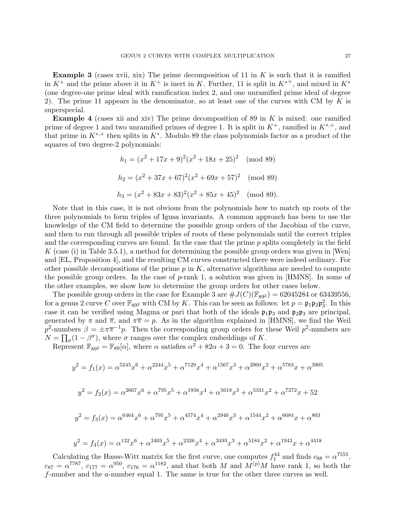**Example 3** (cases xvii, xix) The prime decomposition of 11 in  $K$  is such that it is ramified in  $K^+$  and the prime above it in  $K^+$  is inert in K. Further, 11 is split in  $K^{*+}$ , and mixed in  $K^*$ (one degree-one prime ideal with ramification index 2, and one unramified prime ideal of degree 2). The prime 11 appears in the denominator, so at least one of the curves with CM by K is superspecial.

**Example 4** (cases xii and xiv) The prime decomposition of 89 in  $K$  is mixed: one ramified prime of degree 1 and two unramified primes of degree 1. It is split in  $K^+$ , ramified in  $K^{*,+}$ , and that prime in  $K^{*,+}$  then splits in  $K^*$ . Modulo 89 the class polynomials factor as a product of the squares of two degree-2 polynomials:

$$
h_1 = (x^2 + 17x + 9)^2(x^2 + 18x + 25)^2 \pmod{89}
$$
  
\n
$$
h_2 = (x^2 + 37x + 67)^2(x^2 + 69x + 57)^2 \pmod{89}
$$
  
\n
$$
h_3 = (x^2 + 83x + 83)^2(x^2 + 85x + 45)^2 \pmod{89}.
$$

Note that in this case, it is not obvious from the polynomials how to match up roots of the three polynomials to form triples of Igusa invariants. A common approach has been to use the knowledge of the CM field to determine the possible group orders of the Jacobian of the curve, and then to run through all possible triples of roots of these polynomials until the correct triples and the corresponding curves are found. In the case that the prime  $p$  splits completely in the field K (case (i) in Table 3.5.1), a method for determining the possible group orders was given in [Wen] and [EL, Proposition 4], and the resulting CM curves constructed there were indeed ordinary. For other possible decompositions of the prime  $p$  in  $K$ , alternative algorithms are needed to compute the possible group orders. In the case of  $p$ -rank 1, a solution was given in [HMNS]. In some of the other examples, we show how to determine the group orders for other cases below.

The possible group orders in the case for Example 3 are  $\#J(C)(\mathbb{F}_{892}) = 62045284$  or 63439556, for a genus 2 curve C over  $\mathbb{F}_{89^2}$  with CM by K. This can be seen as follows: let  $p = \mathfrak{p}_1 \mathfrak{p}_2 \mathfrak{p}_3^2$ . In this case it can be verified using Magma or pari that both of the ideals  $\mathfrak{p}_1\mathfrak{p}_3$  and  $\mathfrak{p}_2\mathfrak{p}_3$  are principal, generated by  $\pi$  and  $\bar{\pi}$ , and  $\pi \bar{\pi} = p$ . As in the algorithm explained in [HMNS], we find the Weil p<sup>2</sup>-numbers  $\beta = \pm \pi \overline{\pi}^{-1} p$ . Then the corresponding group orders for these Weil p<sup>2</sup>-numbers are  $N = \prod_{\sigma} (1 - \beta^{\sigma})$ , where  $\sigma$  ranges over the complex embeddings of K.

Represent  $\mathbb{F}_{89^2} = \mathbb{F}_{89}[\alpha]$ , where  $\alpha$  satisfies  $\alpha^2 + 82\alpha + 3 = 0$ . The four curves are

$$
y^{2} = f_{1}(x) = \alpha^{5245}x^{6} + \alpha^{2244}x^{5} + \alpha^{7129}x^{4} + \alpha^{1567}x^{3} + \alpha^{2060}x^{2} + \alpha^{5783}x + \alpha^{3905}
$$
  

$$
y^{2} = f_{2}(x) = \alpha^{2667}x^{6} + \alpha^{795}x^{5} + \alpha^{1956}x^{4} + \alpha^{5619}x^{3} + \alpha^{5331}x^{2} + \alpha^{7272}x + 52
$$
  

$$
y^{2} = f_{3}(x) = \alpha^{6464}x^{6} + \alpha^{795}x^{5} + \alpha^{4574}x^{4} + \alpha^{2946}x^{3} + \alpha^{1544}x^{2} + \alpha^{6684}x + \alpha^{803}
$$
  

$$
y^{2} = f_{4}(x) = \alpha^{132}x^{6} + \alpha^{3403}x^{5} + \alpha^{2326}x^{4} + \alpha^{3493}x^{3} + \alpha^{5184}x^{2} + \alpha^{1943}x + \alpha^{4418}
$$

Calculating the Hasse-Witt matrix for the first curve, one computes  $f_1^{44}$  and finds  $c_{88} = \alpha^{7555}$ ,  $c_{87} = \alpha^{7787}$ ,  $c_{177} = \alpha^{950}$ ,  $c_{176} = \alpha^{1182}$ , and that both M and  $M^{(p)}M$  have rank 1, so both the f-number and the a-number equal 1. The same is true for the other three curves as well.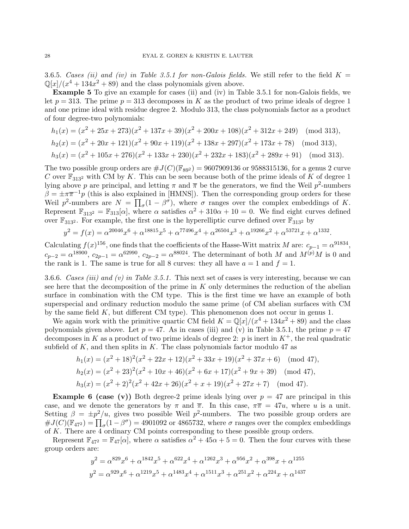3.6.5. Cases (ii) and (iv) in Table 3.5.1 for non-Galois fields. We still refer to the field  $K =$  $\mathbb{Q}[x]/(x^4 + 134x^2 + 89)$  and the class polynomials given above.

Example 5 To give an example for cases (ii) and (iv) in Table 3.5.1 for non-Galois fields, we let  $p = 313$ . The prime  $p = 313$  decomposes in K as the product of two prime ideals of degree 1 and one prime ideal with residue degree 2. Modulo 313, the class polynomials factor as a product of four degree-two polynomials:

$$
h_1(x) = (x^2 + 25x + 273)(x^2 + 137x + 39)(x^2 + 200x + 108)(x^2 + 312x + 249)
$$
 (mod 313),  
\n
$$
h_2(x) = (x^2 + 20x + 121)(x^2 + 90x + 119)(x^2 + 138x + 297)(x^2 + 173x + 78)
$$
 (mod 313),  
\n
$$
h_3(x) = (x^2 + 105x + 276)(x^2 + 133x + 230)(x^2 + 232x + 183)(x^2 + 289x + 91)
$$
 (mod 313).

The two possible group orders are  $\#J(C)(\mathbb{F}_{892}) = 9607909136$  or 9588315136, for a genus 2 curve C over  $\mathbb{F}_{313^2}$  with CM by K. This can be seen because both of the prime ideals of K of degree 1 lying above p are principal, and letting  $\pi$  and  $\overline{\pi}$  be the generators, we find the Weil p<sup>2</sup>-numbers  $\beta = \pm \pi \overline{\pi}^{-1} p$  (this is also explained in [HMNS]). Then the corresponding group orders for these Weil  $p^2$ -numbers are  $N = \prod_{\sigma} (1 - \beta^{\sigma})$ , where  $\sigma$  ranges over the complex embeddings of K. Represent  $\mathbb{F}_{313^2} = \mathbb{F}_{313}[\alpha]$ , where  $\alpha$  satisfies  $\alpha^2 + 310\alpha + 10 = 0$ . We find eight curves defined over  $\mathbb{F}_{313^2}$ . For example, the first one is the hyperelliptic curve defined over  $\mathbb{F}_{313^2}$  by

$$
y^2 = f(x) = \alpha^{20046} x^6 + \alpha^{18815} x^5 + \alpha^{77496} x^4 + \alpha^{26504} x^3 + \alpha^{19266} x^2 + \alpha^{53721} x + \alpha^{1332}.
$$

Calculating  $f(x)^{156}$ , one finds that the coefficients of the Hasse-Witt matrix M are:  $c_{p-1} = \alpha^{91834}$ ,  $c_{p-2} = \alpha^{18900}$ ,  $c_{2p-1} = \alpha^{62990}$ ,  $c_{2p-2} = \alpha^{88024}$ . The determinant of both M and  $M^{(p)}M$  is 0 and the rank is 1. The same is true for all 8 curves: they all have  $a = 1$  and  $f = 1$ .

3.6.6. Cases (iii) and (v) in Table 3.5.1. This next set of cases is very interesting, because we can see here that the decomposition of the prime in  $K$  only determines the reduction of the abelian surface in combination with the CM type. This is the first time we have an example of both superspecial and ordinary reduction modulo the same prime (of CM abelian surfaces with CM by the same field  $K$ , but different CM type). This phenomenon does not occur in genus 1.

We again work with the primitive quartic CM field  $K = \mathbb{Q}[x]/(x^4 + 134x^2 + 89)$  and the class polynomials given above. Let  $p = 47$ . As in cases (iii) and (v) in Table 3.5.1, the prime  $p = 47$ decomposes in K as a product of two prime ideals of degree 2: p is inert in  $K^+$ , the real quadratic subfield of  $K$ , and then splits in  $K$ . The class polynomials factor modulo 47 as

$$
h_1(x) = (x^2 + 18)^2 (x^2 + 22x + 12)(x^2 + 33x + 19)(x^2 + 37x + 6) \pmod{47},
$$
  
\n
$$
h_2(x) = (x^2 + 23)^2 (x^2 + 10x + 46)(x^2 + 6x + 17)(x^2 + 9x + 39) \pmod{47},
$$
  
\n
$$
h_3(x) = (x^2 + 2)^2 (x^2 + 42x + 26)(x^2 + x + 19)(x^2 + 27x + 7) \pmod{47}.
$$

**Example 6 (case (v))** Both degree-2 prime ideals lying over  $p = 47$  are principal in this case, and we denote the generators by  $\pi$  and  $\bar{\pi}$ . In this case,  $\pi \bar{\pi} = 47u$ , where u is a unit. Setting  $\beta = \pm p^2/u$ , gives two possible Weil  $p^2$ -numbers. The two possible group orders are  $\#J(C)(\mathbb{F}_{472}) = \prod_{\sigma}(1-\beta^{\sigma}) = 4901092$  or 4865732, where  $\sigma$  ranges over the complex embeddings of K. There are 4 ordinary CM points corresponding to these possible group orders.

Represent  $\mathbb{F}_{47^2} = \mathbb{F}_{47}[\alpha]$ , where  $\alpha$  satisfies  $\alpha^2 + 45\alpha + 5 = 0$ . Then the four curves with these group orders are:

$$
y^2 = \alpha^{829} x^6 + \alpha^{1842} x^5 + \alpha^{622} x^4 + \alpha^{1262} x^3 + \alpha^{956} x^2 + \alpha^{398} x + \alpha^{1255}
$$
  

$$
y^2 = \alpha^{929} x^6 + \alpha^{1219} x^5 + \alpha^{1483} x^4 + \alpha^{1511} x^3 + \alpha^{251} x^2 + \alpha^{224} x + \alpha^{1437}
$$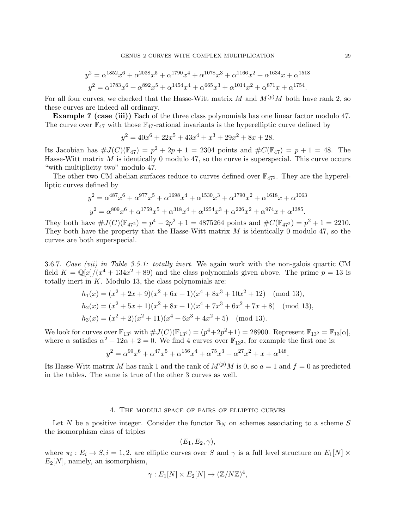$$
y^2 = \alpha^{1852} x^6 + \alpha^{2038} x^5 + \alpha^{1790} x^4 + \alpha^{1078} x^3 + \alpha^{1166} x^2 + \alpha^{1634} x + \alpha^{1518}
$$
  

$$
y^2 = \alpha^{1783} x^6 + \alpha^{892} x^5 + \alpha^{1454} x^4 + \alpha^{665} x^3 + \alpha^{1014} x^2 + \alpha^{871} x + \alpha^{1754}.
$$

For all four curves, we checked that the Hasse-Witt matrix M and  $M^{(p)}M$  both have rank 2, so these curves are indeed all ordinary.

Example 7 (case (iii)) Each of the three class polynomials has one linear factor modulo 47. The curve over  $\mathbb{F}_{47}$  with those  $\mathbb{F}_{47}$ -rational invariants is the hyperelliptic curve defined by

 $y^2 = 40x^6 + 22x^5 + 43x^4 + x^3 + 29x^2 + 8x + 28.$ 

Its Jacobian has  $\#J(C)(\mathbb{F}_{47}) = p^2 + 2p + 1 = 2304$  points and  $\#C(\mathbb{F}_{47}) = p + 1 = 48$ . The Hasse-Witt matrix  $M$  is identically 0 modulo 47, so the curve is superspecial. This curve occurs "with multiplicity two" modulo 47.

The other two CM abelian surfaces reduce to curves defined over  $\mathbb{F}_{47^2}$ . They are the hyperelliptic curves defined by

$$
y^2 = \alpha^{487} x^6 + \alpha^{977} x^5 + \alpha^{1698} x^4 + \alpha^{1530} x^3 + \alpha^{1790} x^2 + \alpha^{1618} x + \alpha^{1063}
$$
  

$$
y^2 = \alpha^{809} x^6 + \alpha^{1759} x^5 + \alpha^{318} x^4 + \alpha^{1254} x^3 + \alpha^{226} x^2 + \alpha^{974} x + \alpha^{1385}.
$$

They both have  $\#J(C)(\mathbb{F}_{472}) = p^4 - 2p^2 + 1 = 4875264$  points and  $\#C(\mathbb{F}_{472}) = p^2 + 1 = 2210$ . They both have the property that the Hasse-Witt matrix  $M$  is identically 0 modulo 47, so the curves are both superspecial.

3.6.7. Case (vii) in Table 3.5.1: totally inert. We again work with the non-galois quartic CM field  $K = \mathbb{Q}[x]/(x^4 + 134x^2 + 89)$  and the class polynomials given above. The prime  $p = 13$  is totally inert in  $K$ . Modulo 13, the class polynomials are:

$$
h_1(x) = (x^2 + 2x + 9)(x^2 + 6x + 1)(x^4 + 8x^3 + 10x^2 + 12)
$$
 (mod 13),  
\n
$$
h_2(x) = (x^2 + 5x + 1)(x^2 + 8x + 1)(x^4 + 7x^3 + 6x^2 + 7x + 8)
$$
 (mod 13),  
\n
$$
h_3(x) = (x^2 + 2)(x^2 + 11)(x^4 + 6x^3 + 4x^2 + 5)
$$
 (mod 13).

We look for curves over  $\mathbb{F}_{13^2}$  with  $\#J(C)(\mathbb{F}_{13^2}) = (p^4 + 2p^2 + 1) = 28900$ . Represent  $\mathbb{F}_{13^2} = \mathbb{F}_{13}[\alpha],$ where  $\alpha$  satisfies  $\alpha^2 + 12\alpha + 2 = 0$ . We find 4 curves over  $\mathbb{F}_{13^2}$ , for example the first one is:

$$
y^{2} = \alpha^{99} x^{6} + \alpha^{47} x^{5} + \alpha^{156} x^{4} + \alpha^{75} x^{3} + \alpha^{27} x^{2} + x + \alpha^{148}.
$$

Its Hasse-Witt matrix M has rank 1 and the rank of  $M^{(p)}M$  is 0, so  $a = 1$  and  $f = 0$  as predicted in the tables. The same is true of the other 3 curves as well.

#### 4. The moduli space of pairs of elliptic curves

Let N be a positive integer. Consider the functor  $\mathbb{B}_N$  on schemes associating to a scheme S the isomorphism class of triples

$$
(E_1, E_2, \gamma),
$$

where  $\pi_i: E_i \to S, i = 1, 2$ , are elliptic curves over S and  $\gamma$  is a full level structure on  $E_1[N] \times$  $E_2[N]$ , namely, an isomorphism,

$$
\gamma: E_1[N] \times E_2[N] \to (\mathbb{Z}/N\mathbb{Z})^4,
$$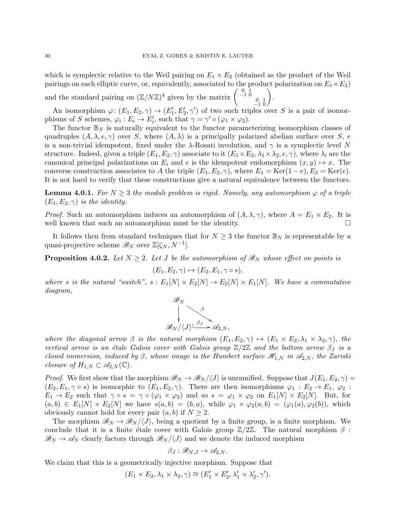which is symplectic relative to the Weil pairing on  $E_1 \times E_2$  (obtained as the product of the Weil pairings on each elliptic curve, or, equivalently, associated to the product polarization on  $E_1 \times E_2$ )

and the standard pairing on  $(\mathbb{Z}/N\mathbb{Z})^4$  given by the matrix  $\begin{pmatrix} 0 & 1 \\ -1 & 0 \\ 0 & 1 \\ -1 & 0 \end{pmatrix}$ .

An isomorphism  $\varphi: (E_1, E_2, \gamma) \to (E'_1, E'_2, \gamma')$  of two such triples over S is a pair of isomorphisms of S schemes,  $\varphi_i : E_i \to E'_i$ , such that  $\gamma = \gamma' \circ (\varphi_1 \times \varphi_2)$ .

The functor  $\mathbb{B}_N$  is naturally equivalent to the functor parameterizing isomorphism classes of quadruples  $(A, \lambda, e, \gamma)$  over S, where  $(A, \lambda)$  is a principally polarized abelian surface over S, e is a non-trivial idempotent, fixed under the  $\lambda$ -Rosati involution, and  $\gamma$  is a symplectic level N structure. Indeed, given a triple  $(E_1, E_2, \gamma)$  associate to it  $(E_1 \times E_2, \lambda_1 \times \lambda_2, e, \gamma)$ , where  $\lambda_i$  are the canonical principal polarizations on  $E_i$  and e is the idempotent endomorphism  $(x, y) \mapsto x$ . The converse construction associates to A the triple  $(E_1, E_2, \gamma)$ , where  $E_1 = \text{Ker}(1-e)$ ,  $E_2 = \text{Ker}(e)$ . It is not hard to verify that these constructions give a natural equivalence between the functors.

**Lemma 4.0.1.** For  $N \geq 3$  the moduli problem is rigid. Namely, any automorphism  $\varphi$  of a triple  $(E_1, E_2, \gamma)$  is the identity.

*Proof.* Such an automorphism induces an automorphism of  $(A, \lambda, \gamma)$ , where  $A = E_1 \times E_2$ . It is well known that such an automorphism must be the identity.  $\Box$ 

It follows then from standard techniques that for  $N \geq 3$  the functor  $\mathbb{B}_N$  is representable by a quasi-projective scheme  $\mathscr{B}_N$  over  $\mathbb{Z}[\zeta_N, N^{-1}]$ .

**Proposition 4.0.2.** Let  $N \geq 2$ . Let J be the automorphism of  $\mathcal{B}_N$  whose effect on points is

$$
(E_1, E_2, \gamma) \mapsto (E_2, E_1, \gamma \circ s),
$$

where s is the natural "switch",  $s : E_1[N] \times E_2[N] \to E_2[N] \times E_1[N]$ . We have a commutative diagram,



where the diagonal arrow  $\beta$  is the natural morphism  $(E_1, E_2, \gamma) \mapsto (E_1 \times E_2, \lambda_1 \times \lambda_2, \gamma)$ , the vertical arrow is an étale Galois cover with Galois group  $\mathbb{Z}/2\mathbb{Z}$  and the bottom arrow  $\beta_j$  is a closed immersion, induced by  $\beta$ , whose image is the Humbert surface  $\mathcal{H}_{1,N}$  in  $\mathcal{A}_{2,N}$ , the Zariski closure of  $H_{1,N} \subset \mathscr{A}_{2,N}(\mathbb{C})$ .

*Proof.* We first show that the morphism  $\mathscr{B}_N \to \mathscr{B}_N/\langle J \rangle$  is unramified. Suppose that  $J(E_1, E_2, \gamma) =$  $(E_2, E_1, \gamma \circ s)$  is isomorphic to  $(E_1, E_2, \gamma)$ . There are then isomorphisms  $\varphi_1 : E_2 \to E_1$ ,  $\varphi_2 :$  $E_1 \rightarrow E_2$  such that  $\gamma \circ s = \gamma \circ (\varphi_1 \times \varphi_2)$  and so  $s = \varphi_1 \times \varphi_2$  on  $E_1[N] \times E_2[N]$ . But, for  $(a, b) \in E_1[N] \times E_2[N]$  we have  $s(a, b) = (b, a)$ , while  $\varphi_1 \times \varphi_2(a, b) = (\varphi_1(a), \varphi_2(b))$ , which obviously cannot hold for every pair  $(a, b)$  if  $N \geq 2$ .

The morphism  $\mathscr{B}_N \to \mathscr{B}_N/\langle J \rangle$ , being a quotient by a finite group, is a finite morphism. We conclude that it is a finite étale cover with Galois group  $\mathbb{Z}/2\mathbb{Z}$ . The natural morphism  $\beta$ :  $\mathscr{B}_N \to \mathscr{A}_N$  clearly factors through  $\mathscr{B}_N/\langle J \rangle$  and we denote the induced morphism

$$
\beta_J : \mathscr{B}_{N,J} \to \mathscr{A}_{2,N}.
$$

We claim that this is a geometrically injective morphism. Suppose that

$$
(E_1 \times E_2, \lambda_1 \times \lambda_2, \gamma) \cong (E'_1 \times E'_2, \lambda'_1 \times \lambda'_2, \gamma').
$$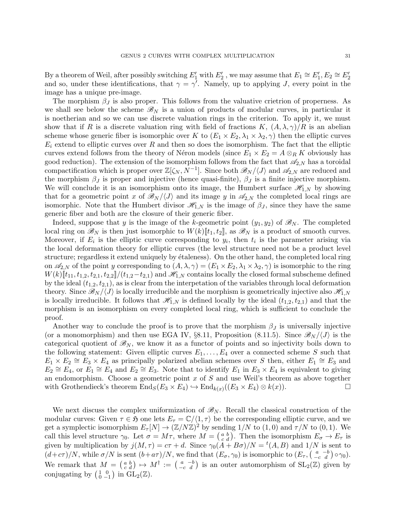By a theorem of Weil, after possibly switching  $E'_1$  with  $E'_2$  , we may assume that  $E_1 \cong E'_1, E_2 \cong E'_2$ and so, under these identifications, that  $\gamma = \gamma'$ . Namely, up to applying J, every point in the image has a unique pre-image.

The morphism  $\beta_J$  is also proper. This follows from the valuative crietrion of properness. As we shall see below the scheme  $\mathscr{B}_N$  is a union of products of modular curves, in particular it is noetherian and so we can use discrete valuation rings in the criterion. To apply it, we must show that if R is a discrete valuation ring with field of fractions K,  $(A, \lambda, \gamma)/R$  is an abelian scheme whose generic fiber is isomorphic over K to  $(E_1 \times E_2, \lambda_1 \times \lambda_2, \gamma)$  then the elliptic curves  $E_i$  extend to elliptic curves over R and then so does the isomorphism. The fact that the elliptic curves extend follows from the theory of Néron models (since  $E_1 \times E_2 = A \otimes_R K$  obviously has good reduction). The extension of the isomorphism follows from the fact that  $\mathscr{A}_{2,N}$  has a toroidal compactification which is proper over  $\mathbb{Z}[\zeta_N, N^{-1}]$ . Since both  $\mathscr{B}_N/\langle J\rangle$  and  $\mathscr{A}_{2,N}$  are reduced and the morphism  $\beta_J$  is proper and injective (hence quasi-finite),  $\beta_J$  is a finite injective morphism. We will conclude it is an isomorphism onto its image, the Humbert surface  $\mathscr{H}_{1,N}$  by showing that for a geometric point x of  $\mathscr{B}_N/\langle J\rangle$  and its image y in  $\mathscr{A}_{2,N}$  the completed local rings are isomorphic. Note that the Humbert divisor  $\mathcal{H}_{1,N}$  is the image of  $\beta_J$ , since they have the same generic fiber and both are the closure of their generic fiber.

Indeed, suppose that y is the image of the k-geometric point  $(y_1, y_2)$  of  $\mathcal{B}_N$ . The completed local ring on  $\mathscr{B}_N$  is then just isomorphic to  $W(k)[t_1, t_2]$ , as  $\mathscr{B}_N$  is a product of smooth curves. Moreover, if  $E_i$  is the elliptic curve corresponding to  $y_i$ , then  $t_i$  is the parameter arising via the local deformation theory for elliptic curves (the level structure need not be a product level structure; regardless it extend uniquely by étaleness). On the other hand, the completed local ring on  $\mathscr{A}_{2,N}$  of the point y corresponding to  $(A, \lambda, \gamma) = (E_1 \times E_2, \lambda_1 \times \lambda_2, \gamma)$  is isomorphic to the ring  $W(k)[t_{11}, t_{1,2}, t_{2,1}, t_{2,2}]/(t_{1,2}-t_{2,1})$  and  $\mathcal{H}_{1,N}$  contains locally the closed formal subscheme defined by the ideal  $(t_{1,2}, t_{2,1})$ , as is clear from the interpetation of the variables through local deformation theory. Since  $\mathscr{B}_{N}/\langle J \rangle$  is locally irreducible and the morphism is geometrically injective also  $\mathscr{H}_{1,N}$ is locally irreducible. It follows that  $\mathscr{H}_{1,N}$  is defined locally by the ideal  $(t_{1,2}, t_{2,1})$  and that the morphism is an isomorphism on every completed local ring, which is sufficient to conclude the proof.

Another way to conclude the proof is to prove that the morphism  $\beta_J$  is universally injective (or a monomorphism) and then use EGA IV, §8.11, Proposition (8.11.5). Since  $\mathcal{B}_N/\langle J \rangle$  is the categorical quotient of  $\mathscr{B}_N$ , we know it as a functor of points and so injectivity boils down to the following statement: Given elliptic curves  $E_1, \ldots, E_4$  over a connected scheme S such that  $E_1 \times E_2 \cong E_3 \times E_4$  as principally polarized abelian schemes over S then, either  $E_1 \cong E_3$  and  $E_2 \cong E_4$ , or  $E_1 \cong E_4$  and  $E_2 \cong E_3$ . Note that to identify  $E_1$  in  $E_3 \times E_4$  is equivalent to giving an endomorphism. Choose a geometric point  $x$  of  $S$  and use Weil's theorem as above together with Grothendieck's theorem  $\text{End}_S(E_3 \times E_4) \hookrightarrow \text{End}_{k(x)}((E_3 \times E_4) \otimes k(x)).$ 

We next discuss the complex uniformization of  $\mathscr{B}_N$ . Recall the classical construction of the modular curves: Given  $\tau \in \mathfrak{H}$  one lets  $E_{\tau} = \mathbb{C}/\langle 1, \tau \rangle$  be the corresponding elliptic curve, and we get a symplectic isomorphism  $E_{\tau}[N] \to (\mathbb{Z}/N\mathbb{Z})^2$  by sending  $1/N$  to  $(1,0)$  and  $\tau/N$  to  $(0,1)$ . We call this level structure  $\gamma_0$ . Let  $\sigma = M\tau$ , where  $M = \begin{pmatrix} a & b \\ c & d \end{pmatrix}$ . Then the isomorphism  $E_{\sigma} \to E_{\tau}$  is given by multiplication by  $j(M, \tau) = c\tau + d$ . Since  $\gamma_0(A + B\sigma)/N = {}^t(A, B)$  and  $1/N$  is sent to  $(d+c\tau)/N$ , while  $\sigma/N$  is sent  $(b+a\tau)/N$ , we find that  $(E_{\sigma}, \gamma_0)$  is isomorphic to  $(E_{\tau}, \begin{pmatrix} a & -b \\ -c & d \end{pmatrix} \circ \gamma_0)$ . We remark that  $M = \begin{pmatrix} a & b \\ c & d \end{pmatrix} \mapsto M^{\dagger} := \begin{pmatrix} a & -b \\ -c & d \end{pmatrix}$  is an outer automorphism of  $SL_2(\mathbb{Z})$  given by conjugating by  $\left(\begin{smallmatrix} 1 & 0 \\ 0 & -1 \end{smallmatrix}\right)$  in  $GL_2(\mathbb{Z})$ .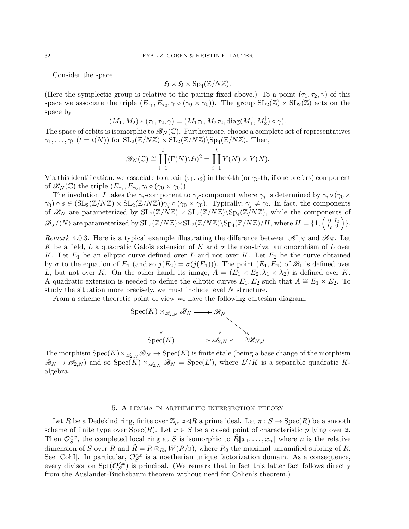Consider the space

$$
\mathfrak{H} \times \mathfrak{H} \times \mathrm{Sp}_4(\mathbb{Z}/N\mathbb{Z}).
$$

(Here the symplectic group is relative to the pairing fixed above.) To a point  $(\tau_1, \tau_2, \gamma)$  of this space we associate the triple  $(E_{\tau_1}, E_{\tau_2}, \gamma \circ (\gamma_0 \times \gamma_0))$ . The group  $SL_2(\mathbb{Z}) \times SL_2(\mathbb{Z})$  acts on the space by  $\mathbf{r}$ 

$$
(M_1, M_2) * (\tau_1, \tau_2, \gamma) = (M_1\tau_1, M_2\tau_2, \text{diag}(M_1^\dagger, M_2^\dagger) \circ \gamma).
$$

The space of orbits is isomorphic to  $\mathscr{B}_N(\mathbb{C})$ . Furthermore, choose a complete set of representatives  $\gamma_1, \ldots, \gamma_t$   $(t = t(N))$  for  $\mathrm{SL}_2(\mathbb{Z}/N\mathbb{Z}) \times \mathrm{SL}_2(\mathbb{Z}/N\mathbb{Z})\backslash \mathrm{Sp}_4(\mathbb{Z}/N\mathbb{Z})$ . Then,

$$
\mathscr{B}_N(\mathbb{C}) \cong \coprod_{i=1}^t (\Gamma(N) \backslash \mathfrak{H})^2 = \coprod_{i=1}^t Y(N) \times Y(N).
$$

Via this identification, we associate to a pair  $(\tau_1, \tau_2)$  in the *i*-th (or  $\gamma_i$ -th, if one prefers) component of  $\mathscr{B}_N(\mathbb{C})$  the triple  $(E_{\tau_1}, E_{\tau_2}, \gamma_i \circ (\gamma_0 \times \gamma_0)).$ 

The involution J takes the  $\gamma_i$ -component to  $\gamma_j$ -component where  $\gamma_j$  is determined by  $\gamma_i \circ (\gamma_0 \times$  $\gamma_0 \in \left( \operatorname{SL}_2(\mathbb{Z}/N\mathbb{Z}) \times \operatorname{SL}_2(\mathbb{Z}/N\mathbb{Z}) \right)$   $\gamma_j \circ (\gamma_0 \times \gamma_0)$ . Typically,  $\gamma_j \neq \gamma_i$ . In fact, the components of  $\mathscr{B}_N$  are parameterized by  $SL_2(\mathbb{Z}/N\mathbb{Z}) \times SL_2(\mathbb{Z}/N\mathbb{Z})\backslash Sp_4(\mathbb{Z}/N\mathbb{Z})$ , while the components of  $\mathscr{B}_{J}/\langle N\rangle$  are parameterized by  $\mathrm{SL}_2(\mathbb{Z}/N\mathbb{Z})\times \mathrm{SL}_2(\mathbb{Z}/N\mathbb{Z})\backslash \mathrm{Sp}_4(\mathbb{Z}/N\mathbb{Z})/H,$  where  $H=\{1, \left(\begin{smallmatrix} 0 & I_2 \ I_1 & 0 \end{smallmatrix}\right)$  $\left.\begin{array}{cc} 0 & I_2 \\ I_2 & 0 \end{array}\right)\}.$ 

Remark 4.0.3. Here is a typical example illustrating the difference between  $\mathscr{H}_{1,N}$  and  $\mathscr{B}_N$ . Let K be a field, L a quadratic Galois extension of K and  $\sigma$  the non-trival automorphism of L over K. Let  $E_1$  be an elliptic curve defined over L and not over K. Let  $E_2$  be the curve obtained by  $\sigma$  to the equation of  $E_1$  (and so  $j(E_2) = \sigma(j(E_1))$ ). The point  $(E_1, E_2)$  of  $\mathscr{B}_1$  is defined over L, but not over K. On the other hand, its image,  $A = (E_1 \times E_2, \lambda_1 \times \lambda_2)$  is defined over K. A quadratic extension is needed to define the elliptic curves  $E_1, E_2$  such that  $A \cong E_1 \times E_2$ . To study the situation more precisely, we must include level N structure.

From a scheme theoretic point of view we have the following cartesian diagram,



The morphism  $Spec(K) \times_{\mathscr{A}_{2,N}} \mathscr{B}_N \to Spec(K)$  is finite étale (being a base change of the morphism  $\mathscr{B}_N \to \mathscr{A}_{2,N}$  and so  $Spec(K) \times_{\mathscr{A}_{2,N}} \mathscr{B}_N = Spec(L')$ , where  $L'/K$  is a separable quadratic Kalgebra.

#### 5. A lemma in arithmetic intersection theory

Let R be a Dedekind ring, finite over  $\mathbb{Z}_p$ ,  $\mathfrak{p} \triangleleft R$  a prime ideal. Let  $\pi : S \to \mathrm{Spec}(R)$  be a smooth scheme of finite type over  $Spec(R)$ . Let  $x \in S$  be a closed point of characteristic p lying over p. Then  $\mathcal{O}_S^{\wedge x}$ , the completed local ring at S is isomorphic to  $\tilde{R}[\![x_1,\ldots,x_n]\!]$  where n is the relative dimension of S over R and  $\tilde{R} = R \otimes_{R_0} W(R/\mathfrak{p})$ , where  $R_0$  the maximal unramified subring of R. See [CohI]. In particular,  $\mathcal{O}_S^{\wedge x}$  is a noetherian unique factorization domain. As a consequence, every divisor on  $Spf(\mathcal{O}_S^{\wedge x})$  is principal. (We remark that in fact this latter fact follows directly from the Auslander-Buchsbaum theorem without need for Cohen's theorem.)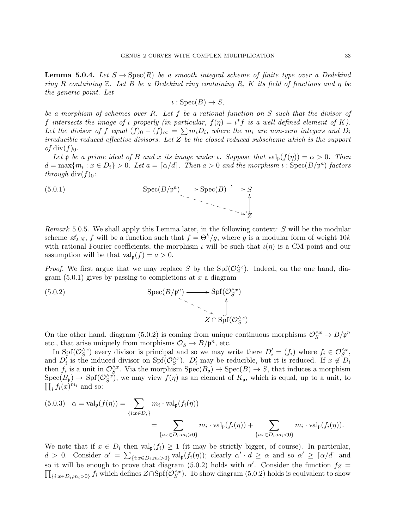**Lemma 5.0.4.** Let  $S \to \text{Spec}(R)$  be a smooth integral scheme of finite type over a Dedekind ring R containing  $\mathbb Z$ . Let B be a Dedekind ring containing R, K its field of fractions and  $\eta$  be the generic point. Let

$$
\iota : \operatorname{Spec}(B) \to S,
$$

be a morphism of schemes over R. Let f be a rational function on  $S$  such that the divisor of f intersects the image of  $\iota$  properly (in particular,  $f(\eta) = \iota^* f$  is a well defined element of K). Let the divisor of f equal  $(f)_0 - (f)_{\infty} = \sum m_i D_i$ , where the m<sub>i</sub> are non-zero integers and  $D_i$ irreducible reduced effective divisors. Let Z be the closed reduced subscheme which is the support of div $(f)_0$ .

Let **p** be a prime ideal of B and x its image under *ι*. Suppose that  $val_p(f(\eta)) = \alpha > 0$ . Then  $d = \max\{m_i : x \in D_i\} > 0$ . Let  $a = \lceil \alpha/d \rceil$ . Then  $a > 0$  and the morphism  $\iota : \text{Spec}(B/\mathfrak{p}^a)$  factors through div( $f)_{0}$ :

$$
\text{Spec}(B/\mathfrak{p}^a) \longrightarrow \text{Spec}(B) \xrightarrow{\iota} S
$$
\n
$$
\longrightarrow \text{Spec}(B) \xrightarrow{\iota} S
$$

Remark 5.0.5. We shall apply this Lemma later, in the following context:  $S$  will be the modular scheme  $\mathscr{A}_{2,N}$ , f will be a function such that  $f = \Theta^k/g$ , where g is a modular form of weight  $10k$ with rational Fourier coefficients, the morphism  $\iota$  will be such that  $\iota(\eta)$  is a CM point and our assumption will be that  $val_{p}(f) = a > 0$ .

*Proof.* We first argue that we may replace S by the  $Spf(\mathcal{O}_S^{\wedge x})$ . Indeed, on the one hand, diagram  $(5.0.1)$  gives by passing to completions at x a diagram

(5.0.2) 
$$
\operatorname{Spec}(B/\mathfrak{p}^a) \longrightarrow \operatorname{Spf}(\mathcal{O}_S^{\wedge x})
$$

$$
\longrightarrow \bigcup_{\lambda \in \mathcal{A} \cap \operatorname{Spf}(\mathcal{O}_S^{\wedge x})} \mathcal{Z} \cap \operatorname{Spf}(\mathcal{O}_S^{\wedge x})
$$

On the other hand, diagram (5.0.2) is coming from unique continuous morphisms  $\mathcal{O}_S^{\wedge x} \to B/\mathfrak{p}^n$ etc., that arise uniquely from morphisms  $\mathcal{O}_S \to B/\mathfrak{p}^n$ , etc.

In Spf $(\mathcal{O}_S^{\wedge x})$  every divisor is principal and so we may write there  $D_i' = (f_i)$  where  $f_i \in \mathcal{O}_S^{\wedge x}$ , and  $D_i'$  is the induced divisor on  $Spf(\mathcal{O}_S^{\wedge x})$ .  $D_i'$  may be reducible, but it is reduced. If  $x \notin D_i$ then  $f_i$  is a unit in  $\mathcal{O}_S^{\wedge x}$ . Via the morphism  $\text{Spec}(B_{\mathfrak{p}}) \to \text{Spec}(B) \to S$ , that induces a morphism  $Spec(B_{\mathfrak{p}}) \to Spf(\mathcal{O}_{S}^{\wedge x})$ , we may view  $f(\eta)$  as an element of  $K_{\mathfrak{p}}$ , which is equal, up to a unit, to  $\prod_i f_i(x)^{m_i}$  and so:

$$
(5.0.3) \quad \alpha = \text{val}_{\mathfrak{p}}(f(\eta)) = \sum_{\{i: x \in D_i\}} m_i \cdot \text{val}_{\mathfrak{p}}(f_i(\eta))
$$

$$
= \sum_{\{i: x \in D_i, m_i > 0\}} m_i \cdot \text{val}_{\mathfrak{p}}(f_i(\eta)) + \sum_{\{i: x \in D_i, m_i < 0\}} m_i \cdot \text{val}_{\mathfrak{p}}(f_i(\eta)).
$$

We note that if  $x \in D_i$  then  $val_p(f_i) \geq 1$  (it may be strictly bigger, of course). In particular,  $d > 0$ . Consider  $\alpha' = \sum_{\{i: x \in D_i, m_i > 0\}} \text{val}_{\mathfrak{p}}(f_i(\eta))$ ; clearly  $\alpha' \cdot d \ge \alpha$  and so  $\alpha' \ge \lceil \alpha/d \rceil$  and so it will be enough to prove that diagram (5.0.2) holds with  $\alpha'$ . Consider the function  $f_Z =$  $\prod_{\{i:x\in D_i,m_i>0\}} f_i$  which defines  $Z\cap \mathrm{Spf}(\mathcal{O}_S^{\wedge x})$ . To show diagram (5.0.2) holds is equivalent to show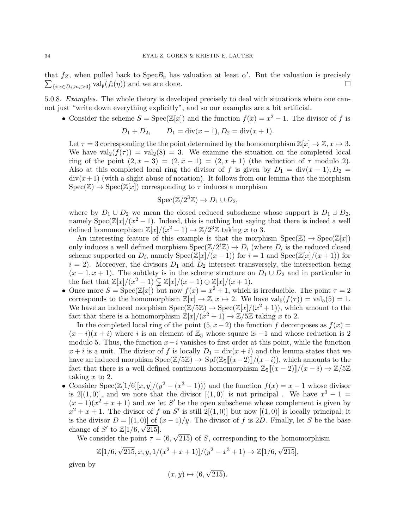that  $f_Z$ , when pulled back to  $\text{Spec } B_{\mathfrak{p}}$  has valuation at least  $\alpha'$ . But the valuation is precisely  $\sum_{\{i: x \in D_i, m_i > 0\}}$  val<sub>p</sub> $(f_i(\eta))$  and we are done.

5.0.8. Examples. The whole theory is developed precisely to deal with situations where one cannot just "write down everything explicitly", and so our examples are a bit artificial.

• Consider the scheme  $S = \text{Spec}(\mathbb{Z}[x])$  and the function  $f(x) = x^2 - 1$ . The divisor of f is

$$
D_1 + D_2
$$
,  $D_1 = \text{div}(x - 1), D_2 = \text{div}(x + 1)$ .

Let  $\tau = 3$  corresponding the the point determined by the homomorphism  $\mathbb{Z}[x] \to \mathbb{Z}, x \mapsto 3$ . We have  $\text{val}_2(f(\tau)) = \text{val}_2(8) = 3$ . We examine the situation on the completed local ring of the point  $(2, x - 3) = (2, x - 1) = (2, x + 1)$  (the reduction of  $\tau$  modulo 2). Also at this completed local ring the divisor of f is given by  $D_1 = \text{div}(x - 1)$ ,  $D_2 =$  $div(x+1)$  (with a slight abuse of notation). It follows from our lemma that the morphism  $Spec(\mathbb{Z}) \to Spec(\mathbb{Z}[x])$  corresponding to  $\tau$  induces a morphism

$$
Spec(\mathbb{Z}/2^3\mathbb{Z}) \to D_1 \cup D_2,
$$

where by  $D_1 \cup D_2$  we mean the closed reduced subscheme whose support is  $D_1 \cup D_2$ , namely  $Spec(\mathbb{Z}[x]/(x^2-1)$ . Indeed, this is nothing but saying that there is indeed a well defined homomorphism  $\mathbb{Z}[x]/(x^2-1) \to \mathbb{Z}/2^3\mathbb{Z}$  taking x to 3.

An interesting feature of this example is that the morphism  $Spec(\mathbb{Z}) \to Spec(\mathbb{Z}[x])$ only induces a well defined morphism  $Spec(\mathbb{Z}/2^i\mathbb{Z}) \to D_i$  (where  $D_i$  is the reduced closed scheme supported on  $D_i$ , namely  $Spec(\overline{\mathbb{Z}}[x]/(x-1))$  for  $i=1$  and  $Spec(\overline{\mathbb{Z}}[x]/(x+1))$  for  $i = 2$ ). Moreover, the divisors  $D_1$  and  $D_2$  intersect transversely, the intersection being  $(x-1, x+1)$ . The subtlety is in the scheme structure on  $D_1 \cup D_2$  and in particular in the fact that  $\mathbb{Z}[x]/(x^2-1) \subsetneq \mathbb{Z}[x]/(x-1) \oplus \mathbb{Z}[x]/(x+1)$ .

• Once more  $S = \operatorname{Spec}(\mathbb{Z}[x])$  but now  $f(x) = x^2 + 1$ , which is irreducible. The point  $\tau = 2$ corresponds to the homomorphism  $\mathbb{Z}[x] \to \mathbb{Z}, x \mapsto 2$ . We have val $_5(f(\tau)) = \text{val}_5(5) = 1$ . We have an induced morphism  $Spec(\mathbb{Z}/5\mathbb{Z}) \to Spec(\mathbb{Z}[x]/(x^2+1)),$  which amount to the fact that there is a homomorphism  $\mathbb{Z}[x]/(x^2+1) \to \mathbb{Z}/5\mathbb{Z}$  taking x to 2.

In the completed local ring of the point  $(5, x-2)$  the function f decomposes as  $f(x) =$  $(x - i)(x + i)$  where i is an element of  $\mathbb{Z}_5$  whose square is -1 and whose reduction is 2 modulo 5. Thus, the function  $x-i$  vanishes to first order at this point, while the function  $x + i$  is a unit. The divisor of f is locally  $D_1 = \text{div}(x + i)$  and the lemma states that we have an induced morphism  $Spec(\mathbb{Z}/5\mathbb{Z}) \to Spf(\mathbb{Z}_5[(x-2)]/(x-i))$ , which amounts to the fact that there is a well defined continuous homomorphism  $\mathbb{Z}_5[(x-2)]/(x-i) \to \mathbb{Z}/5\mathbb{Z}$ taking  $x$  to 2.

• Consider Spec( $\mathbb{Z}[1/6][x,y]/(y^2 - (x^3 - 1))$ ) and the function  $f(x) = x - 1$  whose divisor is 2[(1,0)], and we note that the divisor  $[(1,0)]$  is not principal. We have  $x^3 - 1 =$  $(x-1)(x^2+x+1)$  and we let S' be the open subscheme whose complement is given by  $x^2 + x + 1$ . The divisor of f on S' is still  $2[(1,0)]$  but now  $[(1,0)]$  is locally principal; it is the divisor  $D = [(1, 0)]$  of  $(x - 1)/y$ . The divisor of f is 2D. Finally, let S be the base change of S' to  $\mathbb{Z}[1/6, \sqrt{215}].$ √

We consider the point  $\tau = (6,$ 215) of S, corresponding to the homomorphism

$$
\mathbb{Z}[1/6, \sqrt{215}, x, y, 1/(x^2 + x + 1)]/(y^2 - x^3 + 1) \rightarrow \mathbb{Z}[1/6, \sqrt{215}],
$$

given by

$$
(x, y) \mapsto (6, \sqrt{215}).
$$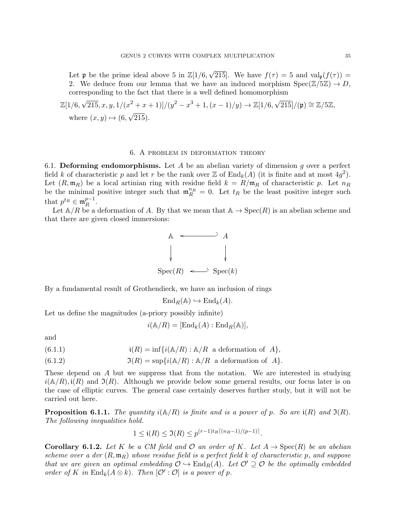Let **p** be the prime ideal above 5 in  $\mathbb{Z}[1/6, \sqrt{3}]$ 215]. We have  $f(\tau) = 5$  and  $\text{val}_{\mathfrak{p}}(f(\tau)) =$ 2. We deduce from our lemma that we have an induced morphism  $Spec(\mathbb{Z}/5\mathbb{Z}) \to D$ , corresponding to the fact that there is a well defined homomorphism

$$
\mathbb{Z}[1/6, \sqrt{215}, x, y, 1/(x^2 + x + 1)]/(y^2 - x^3 + 1, (x - 1)/y) \rightarrow \mathbb{Z}[1/6, \sqrt{215}]/(\mathfrak{p}) \cong \mathbb{Z}/5\mathbb{Z},
$$
  
where  $(x, y) \mapsto (6, \sqrt{215})$ .

#### 6. A problem in deformation theory

6.1. Deforming endomorphisms. Let  $A$  be an abelian variety of dimension  $g$  over a perfect field k of characteristic p and let r be the rank over  $\mathbb Z$  of  $\text{End}_k(A)$  (it is finite and at most  $4g^2$ ). Let  $(R, \mathfrak{m}_R)$  be a local artinian ring with residue field  $k = R/\mathfrak{m}_R$  of characteristic p. Let  $n_R$ be the minimal positive integer such that  $\mathfrak{m}_R^{n_R} = 0$ . Let  $t_R$  be the least positive integer such that  $p^{t_R} \in \mathfrak{m}_R^{p-1}$  $\frac{p-1}{R}$ .

Let  $\mathbb{A}/R$  be a deformation of A. By that we mean that  $\mathbb{A} \to \text{Spec}(R)$  is an abelian scheme and that there are given closed immersions:



By a fundamental result of Grothendieck, we have an inclusion of rings

$$
End_R(\mathbb{A}) \hookrightarrow End_k(A).
$$

Let us define the magnitudes (a-priory possibly infinite)

$$
i(\mathbb{A}/R) = [\text{End}_k(A) : \text{End}_R(\mathbb{A})],
$$

and

(6.1.1) 
$$
\mathfrak{i}(R) = \inf\{i(\mathbb{A}/R) : \mathbb{A}/R \text{ a deformation of } A\},
$$

(6.1.2) 
$$
\mathfrak{I}(R) = \sup \{ i(\mathbb{A}/R) : \mathbb{A}/R \text{ a deformation of } A \}.
$$

These depend on A but we suppress that from the notation. We are interested in studying  $i(\mathbb{A}/R), i(R)$  and  $\mathfrak{I}(R)$ . Although we provide below some general results, our focus later is on the case of elliptic curves. The general case certainly deserves further study, but it will not be carried out here.

**Proposition 6.1.1.** The quantity  $i(A/R)$  is finite and is a power of p. So are  $i(R)$  and  $\mathfrak{I}(R)$ . The following inequalities hold.

$$
1 \leq \mathfrak{i}(R) \leq \mathfrak{I}(R) \leq p^{(r-1)t_R\lceil (n_R-1)/(p-1)\rceil}.
$$

**Corollary 6.1.2.** Let K be a CM field and O an order of K. Let  $A \rightarrow \text{Spec}(R)$  be an abelian scheme over a dvr  $(R, \mathfrak{m}_R)$  whose residue field is a perfect field k of characteristic p, and suppose that we are given an optimal embedding  $\mathcal{O} \to \text{End}_{R}(A)$ . Let  $\mathcal{O}' \supseteq \mathcal{O}$  be the optimally embedded order of K in  $\text{End}_k(A \otimes k)$ . Then  $[\mathcal{O}': \mathcal{O}]$  is a power of p.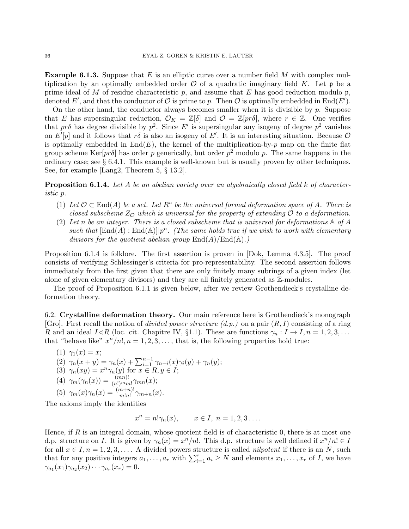**Example 6.1.3.** Suppose that E is an elliptic curve over a number field M with complex multiplication by an optimally embedded order  $\mathcal O$  of a quadratic imaginary field K. Let  $\mathfrak p$  be a prime ideal of M of residue characteristic p, and assume that E has good reduction modulo  $\mathfrak{p}$ , denoted E', and that the conductor of O is prime to p. Then O is optimally embedded in  $End(E')$ .

On the other hand, the conductor always becomes smaller when it is divisible by  $p$ . Suppose that E has supersingular reduction,  $\mathcal{O}_K = \mathbb{Z}[\delta]$  and  $\mathcal{O} = \mathbb{Z}[pr\delta]$ , where  $r \in \mathbb{Z}$ . One verifies that pr $\delta$  has degree divisible by  $p^2$ . Since E' is supersingular any isogeny of degree  $p^2$  vanishes on  $E'[p]$  and it follows that r $\delta$  is also an isogeny of E'. It is an interesting situation. Because  $\mathcal O$ is optimally embedded in  $End(E)$ , the kernel of the multiplication-by-p map on the finite flat group scheme Ker $[pr\delta]$  has order p generically, but order  $p^2$  modulo p. The same happens in the ordinary case; see  $\S 6.4.1$ . This example is well-known but is usually proven by other techniques. See, for example [Lang2, Theorem 5, § 13.2].

**Proposition 6.1.4.** Let A be an abelian variety over an algebraically closed field k of characteristic p.

- (1) Let  $\mathcal{O} \subset \text{End}(A)$  be a set. Let  $R^u$  be the universal formal deformation space of A. There is closed subscheme  $Z_{\mathcal{O}}$  which is universal for the property of extending  $\mathcal O$  to a deformation.
- (2) Let n be an integer. There is a closed subscheme that is universal for deformations  $\mathbb A$  of A such that  $[\text{End}(A) : \text{End}(\mathbb{A})] | p^n$ . (The same holds true if we wish to work with elementary divisors for the quotient abelian group  $\text{End}(A)/\text{End}(\mathbb{A})$ .)

Proposition 6.1.4 is folklore. The first assertion is proven in [Dok, Lemma 4.3.5]. The proof consists of verifying Schlessinger's criteria for pro-representability. The second assertion follows immediately from the first given that there are only finitely many subrings of a given index (let alone of given elementary divisors) and they are all finitely generated as Z-modules.

The proof of Proposition 6.1.1 is given below, after we review Grothendieck's crystalline deformation theory.

6.2. Crystalline deformation theory. Our main reference here is Grothendieck's monograph [Gro]. First recall the notion of *divided power structure*  $(d.p.)$  on a pair  $(R, I)$  consisting of a ring R and an ideal  $I \triangleleft R$  (loc. cit. Chapitre IV, §1.1). These are functions  $\gamma_n : I \to I, n = 1, 2, 3, \ldots$ that "behave like"  $x^n/n!$ ,  $n = 1, 2, 3, \ldots$ , that is, the following properties hold true:

(1) 
$$
\gamma_1(x) = x;
$$
  
\n(2)  $\gamma_n(x + y) = \gamma_n(x) + \sum_{i=1}^{n-1} \gamma_{n-i}(x)\gamma_i(y) + \gamma_n(y);$   
\n(3)  $\gamma_n(xy) = x^n \gamma_n(y)$  for  $x \in R, y \in I;$   
\n(4)  $\gamma_m(\gamma_n(x)) = \frac{(mn)!}{(n!)^m m!} \gamma_{mn}(x);$   
\n(5)  $\gamma_m(x)\gamma_n(x) = \frac{(m+n)!}{m!n!} \gamma_{m+n}(x).$ 

The axioms imply the identities

$$
x^n = n! \gamma_n(x), \qquad x \in I, \ n = 1, 2, 3 \ldots.
$$

Hence, if  $R$  is an integral domain, whose quotient field is of characteristic  $0$ , there is at most one d.p. structure on I. It is given by  $\gamma_n(x) = x^n/n!$ . This d.p. structure is well defined if  $x^n/n! \in I$ for all  $x \in I, n = 1, 2, 3, \ldots$ . A divided powers structure is called *nilpotent* if there is an N, such that for any positive integers  $a_1, \ldots, a_r$  with  $\sum_{i=1}^r a_i \geq N$  and elements  $x_1, \ldots, x_r$  of I, we have  $\gamma_{a_1}(x_1)\gamma_{a_2}(x_2)\cdots\gamma_{a_r}(x_r)=0.$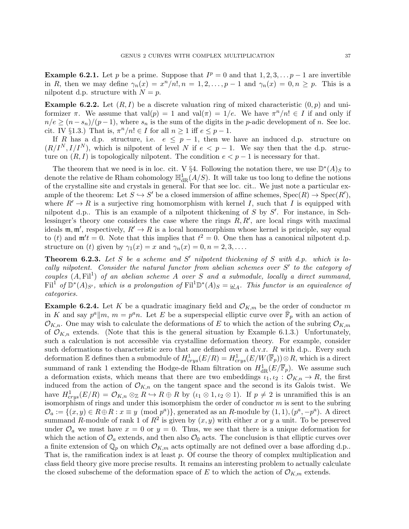**Example 6.2.1.** Let p be a prime. Suppose that  $I^p = 0$  and that  $1, 2, 3, \ldots p - 1$  are invertible in R, then we may define  $\gamma_n(x) = x^n/n!$ ,  $n = 1, 2, ..., p-1$  and  $\gamma_n(x) = 0, n \ge p$ . This is a nilpotent d.p. structure with  $N = p$ .

**Example 6.2.2.** Let  $(R, I)$  be a discrete valuation ring of mixed characteristic  $(0, p)$  and uniformizer  $\pi$ . We assume that val $(p) = 1$  and val $(\pi) = 1/e$ . We have  $\pi^{n}/n! \in I$  if and only if  $n/e \ge (n - s_n)/(p - 1)$ , where  $s_n$  is the sum of the digits in the *p*-adic development of *n*. See loc. cit. IV §1.3.) That is,  $\pi^n/n! \in I$  for all  $n \geq 1$  iff  $e \leq p-1$ .

If R has a d.p. structure, i.e.  $e \leq p-1$ , then we have an induced d.p. structure on  $(R/I^N, I/I^N)$ , which is nilpotent of level N if  $e < p-1$ . We say then that the d.p. structure on  $(R, I)$  is topologically nilpotent. The condition  $e < p - 1$  is necessary for that.

The theorem that we need is in loc. cit. V §4. Following the notation there, we use  $\mathbb{D}^*(A)_S$  to denote the relative de Rham cohomology  $\mathbb{H}^1_{\text{dR}}(A/S)$ . It will take us too long to define the notions of the crystalline site and crystals in general. For that see loc. cit.. We just note a particular example of the theorem: Let  $S \hookrightarrow S'$  be a closed immersion of affine schemes,  $Spec(R) \rightarrow Spec(R'),$ where  $R' \rightarrow R$  is a surjective ring homomorphism with kernel I, such that I is equipped with nilpotent d.p.. This is an example of a nilpotent thickening of  $S$  by  $S'$ . For instance, in Schlessinger's theory one considers the case where the rings  $R, R'$ , are local rings with maximal ideals  $\mathfrak{m}, \mathfrak{m}'$ , respectively,  $R' \to R$  is a local homomorphism whose kernel is principle, say equal to (t) and  $\mathfrak{m}'t = 0$ . Note that this implies that  $t^2 = 0$ . One then has a canonical nilpotent d.p. structure on (t) given by  $\gamma_1(x) = x$  and  $\gamma_n(x) = 0, n = 2, 3, \dots$ .

**Theorem 6.2.3.** Let S be a scheme and S' nilpotent thickening of S with d.p. which is locally nilpotent. Consider the natural functor from abelian schemes over  $S'$  to the category of couples  $(A, \mathrm{Fil}^1)$  of an abelian scheme A over S and a submodule, locally a direct summand,  $\text{Fil}^1$  of  $\mathbb{D}^*(A)_{S'}$ , which is a prolongation of  $\text{Fil}^1\mathbb{D}^*(A)_S = \underline{\omega}_A$ . This functor is an equivalence of categories.

**Example 6.2.4.** Let K be a quadratic imaginary field and  $\mathcal{O}_{K,m}$  be the order of conductor m in K and say  $p^a||m, m = p^a n$ . Let E be a superspecial elliptic curve over  $\bar{\mathbb{F}}_p$  with an action of  $\mathcal{O}_{K,n}$ . One may wish to calculate the deformations of E to which the action of the subring  $\mathcal{O}_{K,m}$ of  $\mathcal{O}_{K,n}$  extends. (Note that this is the general situation by Example 6.1.3.) Unfortunately, such a calculation is not accessible via crystalline deformation theory. For example, consider such deformations to characteristic zero that are defined over a d.v.r.  $R$  with d.p.. Every such deformation E defines then a submodule of  $H^1_{crys}(E/R) = H^1_{crys}(E/W(\overline{\mathbb{F}}_p)) \otimes R$ , which is a direct summand of rank 1 extending the Hodge-de Rham filtration on  $H^1_{\rm dR}(E/\overline{\mathbb{F}}_p)$ . We assume such a deformation exists, which means that there are two embeddings  $\iota_1, \iota_2 : \mathcal{O}_{K,n} \to R$ , the first induced from the action of  $\mathcal{O}_{K,n}$  on the tangent space and the second is its Galois twist. We have  $H^1_{\text{crys}}(E/R) = \mathcal{O}_{K,n} \otimes_{\mathbb{Z}} R \hookrightarrow R \oplus R$  by  $(\iota_1 \otimes 1, \iota_2 \otimes 1)$ . If  $p \neq 2$  is unramified this is an isomorphism of rings and under this isomorphism the order of conductor  $m$  is sent to the subring  $\mathcal{O}_a := \{(x, y) \in R \oplus R : x \equiv y \pmod{p^a}\}$ , generated as an R-module by  $(1, 1), (p^a, -p^a)$ . A direct summand R-module of rank 1 of  $R^2$  is given by  $(x, y)$  with either x or y a unit. To be preserved under  $\mathcal{O}_a$  we must have  $x = 0$  or  $y = 0$ . Thus, we see that there is a unique deformation for which the action of  $\mathcal{O}_a$  extends, and then also  $\mathcal{O}_0$  acts. The conclusion is that elliptic curves over a finite extension of  $\mathbb{Q}_p$  on which  $\mathcal{O}_{K,m}$  acts optimally are not defined over a base affording d.p.. That is, the ramification index is at least p. Of course the theory of complex multiplication and class field theory give more precise results. It remains an interesting problem to actually calculate the closed subscheme of the deformation space of E to which the action of  $\mathcal{O}_{K,m}$  extends.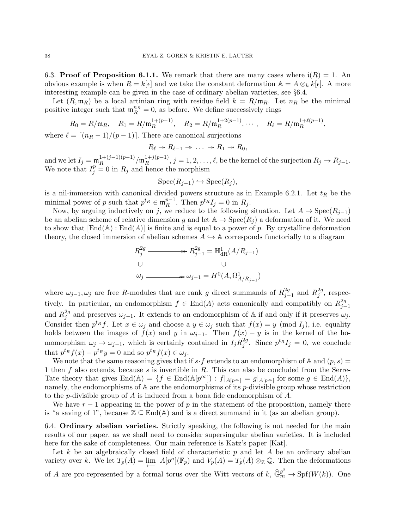6.3. Proof of Proposition 6.1.1. We remark that there are many cases where  $i(R) = 1$ . An obvious example is when  $R = k[\epsilon]$  and we take the constant deformation  $\mathbb{A} = A \otimes_k k[\epsilon]$ . A more interesting example can be given in the case of ordinary abelian varieties, see §6.4.

Let  $(R, \mathfrak{m}_R)$  be a local artinian ring with residue field  $k = R/\mathfrak{m}_R$ . Let  $n_R$  be the minimal positive integer such that  $\mathfrak{m}_R^{n_R} = 0$ , as before. We define successively rings

$$
R_0 = R/\mathfrak{m}_R, \quad R_1 = R/\mathfrak{m}_R^{1+(p-1)}, \quad R_2 = R/\mathfrak{m}_R^{1+2(p-1)}, \cdots, \quad R_\ell = R/\mathfrak{m}_R^{1+\ell(p-1)},
$$
  
where  $\ell = \lceil (n_R - 1)/(p - 1) \rceil$ . There are canonical surjections

$$
R_{\ell} \to R_{\ell-1} \to \ldots \to R_1 \to R_0,
$$

and we let  $I_j = \mathfrak{m}_R^{1 + (j-1)(p-1)}$  $\frac{1 + (j-1)(p-1)}{R}/\mathfrak{m}_R^{1+j(p-1)}$  $R_R^{1+\jmath(p-1)}, j=1,2,\ldots,\ell$ , be the kernel of the surjection  $R_j \to R_{j-1}.$ We note that  $I_j^p = 0$  in  $R_j$  and hence the morphism

$$
Spec(R_{j-1}) \hookrightarrow Spec(R_j),
$$

is a nil-immersion with canonical divided powers structure as in Example 6.2.1. Let  $t_R$  be the minimal power of p such that  $p^{t_R} \in \mathfrak{m}_R^{p-1}$  $p^{-1}$ . Then  $p^{t_R} I_j = 0$  in  $R_j$ .

Now, by arguing inductively on j, we reduce to the following situation. Let  $A \to \text{Spec}(R_{j-1})$ be an abelian scheme of relative dimension g and let  $\mathbb{A} \to \text{Spec}(R_i)$  a deformation of it. We need to show that  $\text{End}(\mathbb{A})$ :  $\text{End}(A)$  is finite and is equal to a power of p. By crystalline deformation theory, the closed immersion of abelian schemes  $A \hookrightarrow \mathbb{A}$  corresponds functorially to a diagram

$$
R_j^{2g} \longrightarrow R_{j-1}^{2g} = \mathbb{H}_{\text{dR}}^1(A/R_{j-1})
$$
  
\n
$$
\cup \qquad \qquad \cup
$$
  
\n
$$
\omega_j \longrightarrow \omega_{j-1} = H^0(A, \Omega^1_{A/R_{j-1}})
$$

where  $\omega_{j-1}, \omega_j$  are free R-modules that are rank g direct summands of  $R_{j-1}^{2g}$  $_{j-1}^{2g}$  and  $R_j^{2g}$  $_j^{2g}$ , respectively. In particular, an endomorphism  $f \in End(A)$  acts canonically and compatibly on  $R_{i}^{2g}$  $j-1$ and  $R_i^{2g}$ <sup>2g</sup> and preserves  $\omega_{j-1}$ . It extends to an endomorphism of A if and only if it preserves  $\omega_j$ . Consider then  $p^{t_R} f$ . Let  $x \in \omega_j$  and choose a  $y \in \omega_j$  such that  $f(x) = y \pmod{I_j}$ , i.e. equality holds between the images of  $f(x)$  and y in  $\omega_{j-1}$ . Then  $f(x) - y$  is in the kernel of the homomorphism  $\omega_j \to \omega_{j-1}$ , which is certainly contained in  $I_j R_j^{2g}$  $j^{2g}$ . Since  $p^{t_R} I_j = 0$ , we conclude that  $p^{t_R} f(x) - p^{t_R} y = 0$  and so  $p^{t_R} f(x) \in \omega_j$ .

We note that the same reasoning gives that if  $s \cdot f$  extends to an endomorphism of A and  $(p, s)$ 1 then f also extends, because s is invertible in  $R$ . This can also be concluded from the Serre-Tate theory that gives  $\text{End}(\mathbb{A}) = \{f \in \text{End}(\mathbb{A}[p^{\infty}]) : f|_{A[p^{\infty}]} = g|_{A[p^{\infty}]} \text{ for some } g \in \text{End}(A)\},\$ namely, the endomorphisms of  $A$  are the endomorphisms of its p-divisible group whose restriction to the *p*-divisible group of A is induced from a bona fide endomorphism of A.

We have  $r-1$  appearing in the power of p in the statement of the proposition, namely there is "a saving of 1", because  $\mathbb{Z} \subseteq \text{End}(\mathbb{A})$  and is a direct summand in it (as an abelian group).

6.4. Ordinary abelian varieties. Strictly speaking, the following is not needed for the main results of our paper, as we shall need to consider supersingular abelian varieties. It is included here for the sake of completeness. Our main reference is Katz's paper [Kat].

Let k be an algebraically closed field of characteristic  $p$  and let A be an ordinary abelian variety over k. We let  $T_p(A) = \lim_{\longleftarrow} A[p^n](\overline{\mathbb{F}}_p)$  and  $V_p(A) = T_p(A) \otimes_{\mathbb{Z}} \mathbb{Q}$ . Then the deformations of A are pro-represented by a formal torus over the Witt vectors of  $k$ ,  $\widehat{\mathbb{G}}_m^{\mathcal{G}^2} \to Spf(W(k))$ . One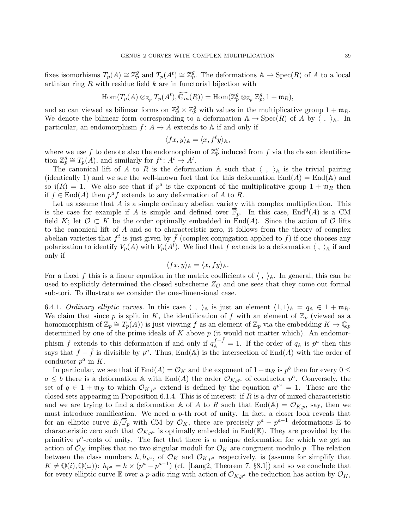fixes isomorhisms  $T_p(A) \cong \mathbb{Z}_p^g$  and  $T_p(A^t) \cong \mathbb{Z}_p^g$ . The deformations  $\mathbb{A} \to \operatorname{Spec}(R)$  of A to a local artinian ring  $R$  with residue field  $k$  are in functorial bijection with

$$
\mathrm{Hom}(T_p(A) \otimes_{\mathbb{Z}_p} T_p(A^t), \widehat{\mathbb{G}_m}(R)) = \mathrm{Hom}(\mathbb{Z}_p^g \otimes_{\mathbb{Z}_p} \mathbb{Z}_p^g, 1 + \mathfrak{m}_R),
$$

and so can viewed as bilinear forms on  $\mathbb{Z}_p^g \times \mathbb{Z}_p^g$  with values in the multiplicative group  $1 + \mathfrak{m}_R$ . We denote the bilinear form corresponding to a deformation  $A \to \text{Spec}(R)$  of A by  $\langle , \rangle_A$ . In particular, an endomorphism  $f: A \to A$  extends to A if and only if

$$
\langle fx, y \rangle_{\mathbb{A}} = \langle x, f^t y \rangle_{\mathbb{A}},
$$

where we use f to denote also the endomorphism of  $\mathbb{Z}_p^g$  induced from f via the chosen identification  $\mathbb{Z}_p^g \cong T_p(A)$ , and similarly for  $f^t: A^t \to A^t$ .

The canonical lift of A to R is the deformation A such that  $\langle , \rangle_A$  is the trivial pairing (identically 1) and we see the well-known fact that for this deformation  $\text{End}(A) = \text{End}(\mathbb{A})$  and so  $\mathfrak{i}(R) = 1$ . We also see that if  $p^a$  is the exponent of the multiplicative group  $1 + \mathfrak{m}_R$  then if  $f \in \text{End}(A)$  then  $p^a f$  extends to any deformation of A to R.

Let us assume that  $A$  is a simple ordinary abelian variety with complex multiplication. This is the case for example if A is simple and defined over  $\overline{\mathbb{F}}_p$ . In this case, End<sup>0</sup>(A) is a CM field K; let  $\mathcal{O} \subset K$  be the order optimally embedded in End(A). Since the action of  $\mathcal{O}$  lifts to the canonical lift of A and so to characteristic zero, it follows from the theory of complex abelian varieties that  $f^t$  is just given by  $\bar{f}$  (complex conjugation applied to f) if one chooses any polarization to identify  $V_p(A)$  with  $V_p(A^t)$ . We find that f extends to a deformation  $\langle , \rangle_A$  if and only if

$$
\langle fx, y \rangle_{\mathbb{A}} = \langle x, \bar{f}y \rangle_{\mathbb{A}}.
$$

For a fixed f this is a linear equation in the matrix coefficients of  $\langle , \rangle_{\mathbb{A}}$ . In general, this can be used to explicitly determined the closed subscheme  $Z_{\mathcal{O}}$  and one sees that they come out formal sub-tori. To illustrate we consider the one-dimensional case.

6.4.1. Ordinary elliptic curves. In this case  $\langle , \rangle_{\mathbb{A}}$  is just an element  $\langle 1, 1 \rangle_{\mathbb{A}} = q_{\mathbb{A}} \in 1 + \mathfrak{m}_{R}$ . We claim that since p is split in K, the identification of f with an element of  $\mathbb{Z}_p$  (viewed as a homomorphism of  $\mathbb{Z}_p \cong T_p(A)$  is just viewing f as an element of  $\mathbb{Z}_p$  via the embedding  $K \to \mathbb{Q}_p$ determined by one of the prime ideals of  $K$  above  $p$  (it would not matter which). An endomorphism f extends to this deformation if and only if  $q_A^{\hat{f}-\bar{f}}=1$ . If the order of  $q_A$  is  $p^a$  then this says that  $f - \bar{f}$  is divisible by  $p^a$ . Thus, End(A) is the intersection of End(A) with the order of conductor  $p^a$  in K.

In particular, we see that if  $\text{End}(A) = \mathcal{O}_K$  and the exponent of  $1 + \mathfrak{m}_R$  is  $p^b$  then for every  $0 \leq$  $a \leq b$  there is a deformation A with End(A) the order  $\mathcal{O}_{K,p^a}$  of conductor  $p^a$ . Conversely, the set of  $q \in 1 + \mathfrak{m}_R$  to which  $\mathcal{O}_{K,p^a}$  extend is defined by the equation  $q^{p^a} = 1$ . These are the closed sets appearing in Proposition 6.1.4. This is of interest: if  $R$  is a dvr of mixed characteristic and we are trying to find a deformation A of A to R such that  $End(A) = \mathcal{O}_{K,p}$ , say, then we must introduce ramification. We need a  $p$ -th root of unity. In fact, a closer look reveals that for an elliptic curve  $E/\overline{\mathbb{F}}_p$  with CM by  $\mathcal{O}_K$ , there are precisely  $p^a - p^{a-1}$  deformations  $\mathbb E$  to characteristic zero such that  $\mathcal{O}_{K,p^a}$  is optimally embedded in End(E). They are provided by the primitive  $p^a$ -roots of unity. The fact that there is a unique deformation for which we get an action of  $\mathcal{O}_K$  implies that no two singular moduli for  $\mathcal{O}_K$  are congruent modulo p. The relation between the class numbers  $h, h_{p^a}$ , of  $\mathcal{O}_K$  and  $\mathcal{O}_{K,p^a}$  respectively, is (assume for simplify that  $K \neq \mathbb{Q}(i), \mathbb{Q}(\omega)$ :  $h_{p^a} = h \times (p^a - p^{a-1})$  (cf. [Lang2, Theorem 7, §8.1]) and so we conclude that for every elliptic curve E over a *p*-adic ring with action of  $\mathcal{O}_{K,p^a}$  the reduction has action by  $\mathcal{O}_K$ ,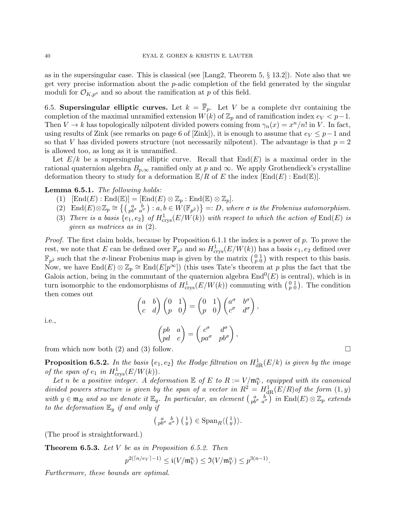as in the supersingular case. This is classical (see [Lang2, Theorem 5, § 13.2]). Note also that we get very precise information about the  $p$ -adic completion of the field generated by the singular moduli for  $\mathcal{O}_{K,p^a}$  and so about the ramification at p of this field.

6.5. Supersingular elliptic curves. Let  $k = \overline{\mathbb{F}}_p$ . Let V be a complete dvr containing the completion of the maximal unramified extension  $W(k)$  of  $\mathbb{Z}_p$  and of ramification index  $e_V < p-1$ . Then  $V \to k$  has topologically nilpotent divided powers coming from  $\gamma_n(x) = x^n/n!$  in V. In fact, using results of Zink (see remarks on page 6 of [Zink]), it is enough to assume that  $e_V \leq p-1$  and so that V has divided powers structure (not necessarily nilpotent). The advantage is that  $p = 2$ is allowed too, as long as it is unramified.

Let  $E/k$  be a supersingular elliptic curve. Recall that  $End(E)$  is a maximal order in the rational quaternion algebra  $B_{p,\infty}$  ramified only at p and  $\infty$ . We apply Grothendieck's crystalline deformation theory to study for a deformation  $\mathbb{E}/R$  of E the index  $[\text{End}(E) : \text{End}(\mathbb{E})]$ .

#### Lemma 6.5.1. The following holds:

- (1)  $[\text{End}(E) : \text{End}(\mathbb{E})] = [\text{End}(E) \otimes \mathbb{Z}_p : \text{End}(\mathbb{E}) \otimes \mathbb{Z}_p].$
- (2)  $\text{End}(E)\otimes \mathbb{Z}_p \cong \left\{ \begin{pmatrix} a & b \\ pb^{\sigma} & a^{\sigma} \end{pmatrix} : a, b \in W(\mathbb{F}_{p^2}) \right\} =: D$ , where  $\sigma$  is the Frobenius automorphism.
- (3) There is a basis  $\{e_1, e_2\}$  of  $H^1_{\text{crys}}(E/W(k))$  with respect to which the action of  $\text{End}(E)$  is given as matrices as in (2).

*Proof.* The first claim holds, because by Proposition 6.1.1 the index is a power of p. To prove the rest, we note that E can be defined over  $\mathbb{F}_{p^2}$  and so  $H^1_{\text{crys}}(E/W(k))$  has a basis  $e_1, e_2$  defined over  $\mathbb{F}_{p^2}$  such that the  $\sigma$ -linear Frobenius map is given by the matrix  $\binom{0}{p}$  with respect to this basis. Now, we have  $\text{End}(E) \otimes \mathbb{Z}_p \cong \text{End}(E[p^{\infty}])$  (this uses Tate's theorem at p plus the fact that the Galois action, being in the commutant of the quaternion algebra  $\text{End}^0(E)$  is central), which is in turn isomorphic to the endomorphisms of  $H^1_{\text{crys}}(E/W(k))$  commuting with  $\binom{0}{p}$ . The condition then comes out

$$
\begin{pmatrix} a & b \\ c & d \end{pmatrix} \begin{pmatrix} 0 & 1 \\ p & 0 \end{pmatrix} = \begin{pmatrix} 0 & 1 \\ p & 0 \end{pmatrix} \begin{pmatrix} a^{\sigma} & b^{\sigma} \\ c^{\sigma} & d^{\sigma} \end{pmatrix},
$$

i.e.,

$$
\begin{pmatrix} pb & a \\ pd & c \end{pmatrix} = \begin{pmatrix} c^{\sigma} & d^{\sigma} \\ pa^{\sigma} & pb^{\sigma} \end{pmatrix},
$$

from which now both (2) and (3) follow.

**Proposition 6.5.2.** In the basis  $\{e_1, e_2\}$  the Hodge filtration on  $H^1_{\rm dR}(E/k)$  is given by the image of the span of  $e_1$  in  $H^1_{\text{crys}}(E/W(k))$ .

Let n be a positive integer. A deformation  $\mathbb E$  of E to  $R := V/\mathfrak{m}_V^n$ , equipped with its canonical divided powers structure is given by the span of a vector in  $R^2 = H_{\text{dR}}^1(E/R)$  of the form  $(1, y)$ with  $y \in \mathfrak{m}_R$  and so we denote it  $\mathbb{E}_y$ . In particular, an element  $\begin{pmatrix} a & b \\ pb & a^{\sigma} \end{pmatrix}$  in  $\text{End}(E) \otimes \mathbb{Z}_p$  extends to the deformation  $\mathbb{E}_y$  if and only if

$$
\left(\begin{smallmatrix} a & b \\ pb^{\sigma} & a^{\sigma} \end{smallmatrix}\right) \left(\begin{smallmatrix} 1 \\ y \end{smallmatrix}\right) \in \mathrm{Span}_R \langle \left(\begin{smallmatrix} 1 \\ y \end{smallmatrix}\right) \rangle.
$$

(The proof is straightforward.)

**Theorem 6.5.3.** Let  $V$  be as in Proposition 6.5.2. Then

$$
p^{2(\lceil n/e_V \rceil - 1)} \leq \mathfrak{i}(V/\mathfrak{m}_V^n) \leq \mathfrak{I}(V/\mathfrak{m}_V^n) \leq p^{3(n-1)}
$$
.

Furthermore, these bounds are optimal.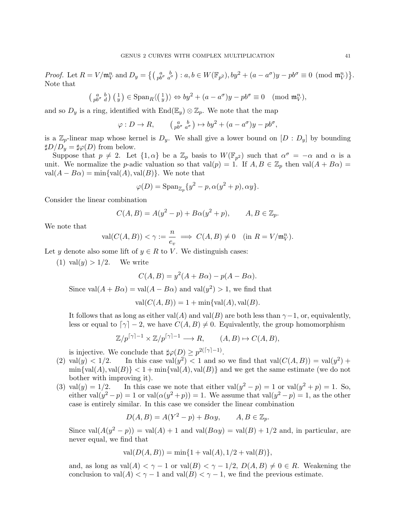Proof. Let  $R = V/\mathfrak{m}_V^n$  and  $D_y = \left\{ \begin{pmatrix} a & b \\ pb^{\sigma} & a^{\sigma} \end{pmatrix} : a, b \in W(\mathbb{F}_{p^2}), by^2 + (a - a^{\sigma})y - pb^{\sigma} \equiv 0 \pmod{\mathfrak{m}_V^n} \right\}$ . Note that

$$
\left(\begin{array}{cc} a & b \\ p^{b^{\sigma}} & d \end{array}\right)\left(\begin{array}{c} 1 \\ y \end{array}\right) \in \text{Span}_{R}\langle \left(\begin{array}{c} 1 \\ y \end{array}\right) \rangle \Leftrightarrow by^{2} + (a - a^{\sigma})y - pb^{\sigma} \equiv 0 \pmod{\mathfrak{m}_{V}^{n}},
$$

and so  $D_y$  is a ring, identified with  $\text{End}(\mathbb{E}_y) \otimes \mathbb{Z}_p$ . We note that the map

$$
\varphi: D \to R, \qquad \left(\begin{array}{cc} a & b \\ p b^{\sigma} & a^{\sigma} \end{array}\right) \mapsto by^2 + (a - a^{\sigma})y - pb^{\sigma},
$$

is a  $\mathbb{Z}_p$ -linear map whose kernel is  $D_y$ . We shall give a lower bound on  $[D: D_y]$  by bounding  $\sharp D/D_v = \sharp \varphi(D)$  from below.

Suppose that  $p \neq 2$ . Let  $\{1,\alpha\}$  be a  $\mathbb{Z}_p$  basis to  $W(\mathbb{F}_{p^2})$  such that  $\alpha^{\sigma} = -\alpha$  and  $\alpha$  is a unit. We normalize the p-adic valuation so that val $(p) = 1$ . If  $A, B \in \mathbb{Z}_p$  then val $(A + B\alpha) =$  $val(A - B\alpha) = min\{val(A), val(B)\}.$  We note that

$$
\varphi(D) = \operatorname{Span}_{\mathbb{Z}_p} \{y^2 - p, \alpha(y^2 + p), \alpha y\}.
$$

Consider the linear combination

$$
C(A, B) = A(y^2 - p) + B\alpha(y^2 + p), \qquad A, B \in \mathbb{Z}_p.
$$

We note that

$$
\text{val}(C(A,B)) < \gamma := \frac{n}{e_v} \implies C(A,B) \neq 0 \quad (\text{in } R = V/\mathfrak{m}_V^n).
$$

Let y denote also some lift of  $y \in R$  to V. We distinguish cases:

(1) val $(y) > 1/2$ . We write

$$
C(A, B) = y^2(A + B\alpha) - p(A - B\alpha).
$$

Since  $val(A + B\alpha) = val(A - B\alpha)$  and  $val(y^2) > 1$ , we find that

$$
val(C(A, B)) = 1 + min\{val(A), val(B).
$$

It follows that as long as either val(A) and val(B) are both less than  $\gamma-1$ , or, equivalently, less or equal to  $\lceil \gamma \rceil - 2$ , we have  $C(A, B) \neq 0$ . Equivalently, the group homomorphism

$$
\mathbb{Z}/p^{\lceil \gamma \rceil - 1} \times \mathbb{Z}/p^{\lceil \gamma \rceil - 1} \longrightarrow R, \qquad (A, B) \mapsto C(A, B),
$$

is injective. We conclude that  $\sharp \varphi(D) \geq p^{2(\lceil \gamma \rceil - 1)}$ .

- (2) val(y) < 1/2. In this case val(y<sup>2</sup>) < 1 and so we find that val( $C(A, B)$ ) = val(y<sup>2</sup>) +  $\min{\lbrace \text{val}(A), \text{val}(B) \rbrace} < 1 + \min{\lbrace \text{val}(A), \text{val}(B) \rbrace}$  and we get the same estimate (we do not bother with improving it).
- (3) val $(y) = 1/2$ . In this case we note that either val $(y^2 p) = 1$  or val $(y^2 + p) = 1$ . So, either val $(y^2 - p) = 1$  or val $(\alpha(y^2 + p)) = 1$ . We assume that val $(y^2 - p) = 1$ , as the other case is entirely similar. In this case we consider the linear combination

$$
D(A, B) = A(Y^2 - p) + B\alpha y, \qquad A, B \in \mathbb{Z}_p.
$$

Since val $(A(y^2 - p)) = \text{val}(A) + 1$  and val $(B\alpha y) = \text{val}(B) + 1/2$  and, in particular, are never equal, we find that

$$
val(D(A, B)) = min{1 + val(A), 1/2 + val(B)},
$$

and, as long as  $val(A) < \gamma - 1$  or  $val(B) < \gamma - 1/2$ ,  $D(A, B) \neq 0 \in R$ . Weakening the conclusion to val $(A) < \gamma - 1$  and val $(B) < \gamma - 1$ , we find the previous estimate.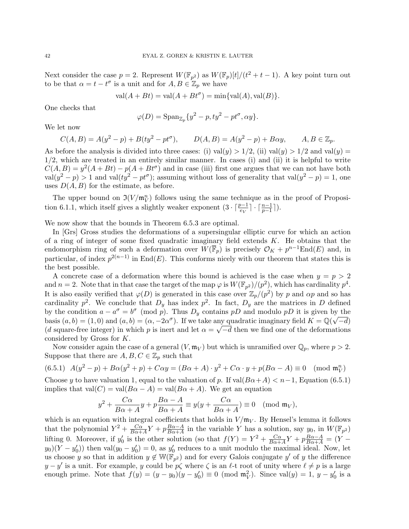Next consider the case  $p = 2$ . Represent  $W(\mathbb{F}_{p^2})$  as  $W(\mathbb{F}_p)[t]/(t^2 + t - 1)$ . A key point turn out to be that  $\alpha = t - t^{\sigma}$  is a unit and for  $A, B \in \mathbb{Z}_p$  we have

$$
val(A + Bt) = val(A + Bt^{\sigma}) = min\{val(A), val(B)\}.
$$

One checks that

$$
\varphi(D) = \operatorname{Span}_{\mathbb{Z}_p}\{y^2 - p, ty^2 - pt^{\sigma}, \alpha y\}.
$$

We let now

$$
C(A, B) = A(y^2 - p) + B(ty^2 - pt^{\sigma}),
$$
  $D(A, B) = A(y^2 - p) + B\alpha y,$   $A, B \in \mathbb{Z}_p.$ 

As before the analysis is divided into three cases: (i) val(y) > 1/2, (ii) val(y) > 1/2 and val(y) = 1/2, which are treated in an entirely similar manner. In cases (i) and (ii) it is helpful to write  $C(A, B) = y^2(A + Bt) - p(A + Bt^{\sigma})$  and in case (iii) first one argues that we can not have both  $val(y^2 - p) > 1$  and  $val(ty^2 - pt^{\sigma})$ ; assuming without loss of generality that  $val(y^2 - p) = 1$ , one uses  $D(A, B)$  for the estimate, as before.

The upper bound on  $\mathfrak{I}(V/\mathfrak{m}_V^n)$  follows using the same technique as in the proof of Proposition 6.1.1, which itself gives a slightly weaker exponent  $(3 \cdot \lceil \frac{p-1}{e_V} \rceil \cdot \lceil \frac{n-1}{p-1} \rceil)$ .

We now show that the bounds in Theorem 6.5.3 are optimal.

In [Grs] Gross studies the deformations of a supersingular elliptic curve for which an action of a ring of integer of some fixed quadratic imaginary field extends  $K$ . He obtains that the endomorphism ring of such a deformation over  $\tilde{W}(\overline{\mathbb{F}}_p)$  is precisely  $\mathcal{O}_K + p^{n-1}\text{End}(E)$  and, in particular, of index  $p^{2(n-1)}$  in End(E). This conforms nicely with our theorem that states this is the best possible.

A concrete case of a deformation where this bound is achieved is the case when  $y = p > 2$ and  $n=2$ . Note that in that case the target of the map  $\varphi$  is  $W(\mathbb{F}_{p^2})/(p^2)$ , which has cardinality  $p^4$ . It is also easily verified that  $\varphi(D)$  is generated in this case over  $\mathbb{Z}_p/(p^2)$  by p and  $\alpha p$  and so has cardinality  $p^2$ . We conclude that  $D_y$  has index  $p^2$ . In fact,  $D_y$  are the matrices in D defined by the condition  $a - a^{\sigma} = b^{\sigma} \pmod{p}$ . Thus  $D_y$  contains pD and modulo pD it is given by the basis  $(a, b) = (1, 0)$  and  $(a, b) = (\alpha, -2\alpha^{\sigma})$ . If we take any quadratic imaginary field  $K = \mathbb{Q}(\sqrt{-d})$ (d square-free integer) in which p is inert and let  $\alpha = \sqrt{-d}$  then we find one of the deformations considered by Gross for K.

Now consider again the case of a general  $(V, \mathfrak{m}_V)$  but which is unramified over  $\mathbb{Q}_p$ , where  $p > 2$ . Suppose that there are  $A, B, C \in \mathbb{Z}_p$  such that

$$
(6.5.1) \ \ A(y^2 - p) + B\alpha(y^2 + p) + C\alpha y = (B\alpha + A) \cdot y^2 + C\alpha \cdot y + p(B\alpha - A) \equiv 0 \pmod{\mathfrak{m}_{V}^n}
$$

Choose y to have valuation 1, equal to the valuation of p. If  $val(B\alpha+A) < n-1$ , Equation (6.5.1) implies that val $(C) = \text{val}(B\alpha - A) = \text{val}(B\alpha + A)$ . We get an equation

$$
y^2 + \frac{C\alpha}{B\alpha + A}y + p\frac{B\alpha - A}{B\alpha + A} \equiv y(y + \frac{C\alpha}{B\alpha + A}) \equiv 0 \pmod{\mathfrak{m}_V},
$$

which is an equation with integral coefficients that holds in  $V/\mathfrak{m}_V$ . By Hensel's lemma it follows that the polynomial  $Y^2 + \frac{C\alpha}{B\alpha}$  $\frac{C\alpha}{B\alpha+A}Y+p\frac{B\alpha-A}{B\alpha+A}$  $\frac{B\alpha-A}{B\alpha+A}$  in the variable Y has a solution, say  $y_0$ , in  $W(\mathbb{F}_{p^2})$ lifting 0. Moreover, if  $y'_0$  is the other solution (so that  $f(Y) = Y^2 + \frac{C\alpha}{B\alpha + 1}$  $\frac{C\alpha}{B\alpha+A}Y + p\frac{B\alpha-A}{B\alpha+A} = (Y$  $y_0(Y - y'_0)$  then val $(y_0 - y'_0) = 0$ , as  $y'_0$  reduces to a unit modulo the maximal ideal. Now, let us choose y so that in addition  $y \notin W(\mathbb{F}_{p^2})$  and for every Galois conjugate y' of y the difference  $y - y'$  is a unit. For example, y could be  $p\zeta$  where  $\zeta$  is an  $\ell$ -t root of unity where  $\ell \neq p$  is a large enough prime. Note that  $f(y) = (y - y_0)(y - y'_0) \equiv 0 \pmod{\mathfrak{m}_V^2}$ . Since  $val(y) = 1, y - y'_0$  is a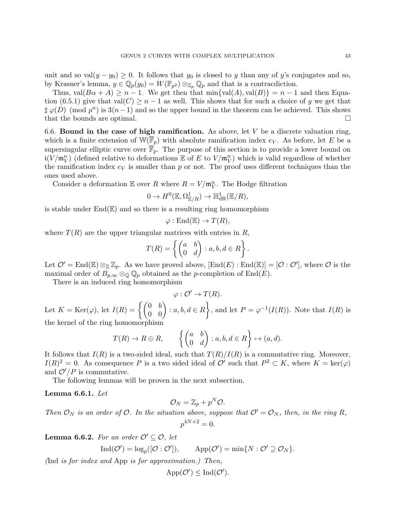unit and so val $(y - y_0) \geq 0$ . It follows that  $y_0$  is closed to y than any of y's conjugates and so, by Krasner's lemma,  $y \in \mathbb{Q}_p(y_0) = W(\mathbb{F}_{p^2}) \otimes_{\mathbb{Z}_p} \mathbb{Q}_p$  and that is a contracdiction.

Thus, val $(B\alpha + A) \geq n - 1$ . We get then that min{val(A), val(B)} = n - 1 and then Equation (6.5.1) give that val $(C) \geq n-1$  as well. This shows that for such a choice of y we get that  $\sharp \varphi(D)$  (mod  $p^{n}$ ) is  $3(n-1)$  and so the upper bound in the theorem can be achieved. This shows that the bounds are optimal.

6.6. Bound in the case of high ramification. As above, let  $V$  be a discrete valuation ring, which is a finite extension of  $\mathbb{W}(\overline{\mathbb{F}}_p)$  with absolute ramification index  $e_V$ . As before, let E be a supersingular elliptic curve over  $\overline{\mathbb{F}}_p$ . The purpose of this section is to provide a lower bound on  $i(V/\mathfrak{m}_V^n)$  (defined relative to deformations  $\mathbb E$  of E to  $V/\mathfrak{m}_V^n$ ) which is valid regardless of whether the ramification index  $e_V$  is smaller than p or not. The proof uses different techniques than the ones used above.

Consider a deformation  $\mathbb E$  over  $R$  where  $R = V/\mathfrak{m}_V^n$ . The Hodge filtration

$$
0 \to H^0(\mathbb{E}, \Omega^1_{\mathbb{E}/R}) \to \mathbb{H}^1_{\rm dR}(\mathbb{E}/R),
$$

is stable under  $\text{End}(\mathbb{E})$  and so there is a resulting ring homomorphism

$$
\varphi: \mathrm{End}(\mathbb{E}) \to T(R),
$$

where  $T(R)$  are the upper triangular matrices with entries in R,

$$
T(R) = \left\{ \begin{pmatrix} a & b \\ 0 & d \end{pmatrix} : a, b, d \in R \right\}.
$$

Let  $\mathcal{O}' = \text{End}(\mathbb{E}) \otimes_{\mathbb{Z}} \mathbb{Z}_p$ . As we have proved above,  $[\text{End}(E) : \text{End}(\mathbb{E})] = [\mathcal{O} : \mathcal{O}']$ , where  $\mathcal O$  is the maximal order of  $B_{p,\infty} \otimes_{\mathbb{Q}} \mathbb{Q}_p$  obtained as the p-completion of End(E).

There is an induced ring homomorphism

$$
\varphi: \mathcal{O}' \to T(R).
$$

Let  $K = \text{Ker}(\varphi)$ , let  $I(R) = \left\{ \begin{pmatrix} 0 & b \\ 0 & 0 \end{pmatrix} : a, b, d \in R \right\}$ , and let  $P = \varphi^{-1}(I(R))$ . Note that  $I(R)$  is the kernel of the ring homomorphism

$$
T(R) \to R \oplus R
$$
,  $\left\{ \begin{pmatrix} a & b \\ 0 & d \end{pmatrix} : a, b, d \in R \right\} \mapsto (a, d)$ .

It follows that  $I(R)$  is a two-sided ideal, such that  $T(R)/I(R)$  is a commutative ring. Moreover,  $I(R)^2 = 0$ . As consequence P is a two sided ideal of O' such that  $P^2 \subset K$ , where  $K = \text{ker}(\varphi)$ and  $\mathcal{O}'/P$  is commutative.

The following lemmas will be proven in the next subsection.

Lemma 6.6.1. Let

$$
\mathcal{O}_N=\mathbb{Z}_p+p^N\mathcal{O}.
$$

Then  $\mathcal{O}_N$  is an order of  $\mathcal{O}$ . In the situation above, suppose that  $\mathcal{O}' = \mathcal{O}_N$ , then, in the ring R,  $p^{4N+2} = 0.$ 

**Lemma 6.6.2.** For an order  $\mathcal{O}' \subseteq \mathcal{O}$ , let

$$
\operatorname{Ind}(\mathcal{O}') = \log_p([\mathcal{O} : \mathcal{O}'])
$$
, 
$$
\operatorname{App}(\mathcal{O}') = \min\{N : \mathcal{O}' \supseteq \mathcal{O}_N\}.
$$

(Ind is for index and App is for approximation.) Then,

$$
\mathrm{App}(\mathcal{O}') \leq \mathrm{Ind}(\mathcal{O}').
$$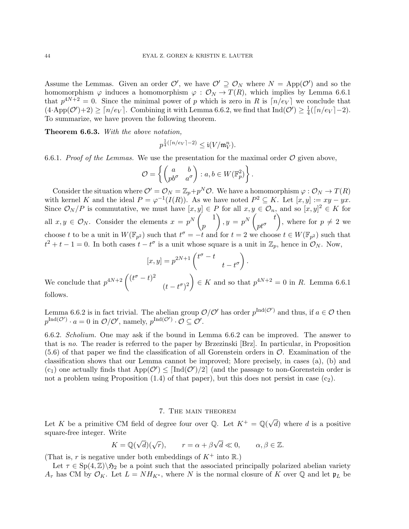Assume the Lemmas. Given an order  $\mathcal{O}'$ , we have  $\mathcal{O}' \supseteq \mathcal{O}_N$  where  $N = \text{App}(\mathcal{O}')$  and so the homomorphism  $\varphi$  induces a homomorphism  $\varphi : \mathcal{O}_N \to T(R)$ , which implies by Lemma 6.6.1 that  $p^{4N+2} = 0$ . Since the minimal power of p which is zero in R is  $\lceil n/e_V \rceil$  we conclude that  $(4 \cdot \mathrm{App}(\mathcal{O}') + 2) \geq \lceil n/e_V \rceil$ . Combining it with Lemma 6.6.2, we find that  $\mathrm{Ind}(\mathcal{O}') \geq \frac{1}{4}$  $\frac{1}{4}(\lceil n/e_V \rceil - 2).$ To summarize, we have proven the following theorem.

Theorem 6.6.3. With the above notation,

$$
p^{\frac{1}{4}(\lceil n/e_V \rceil -2)} \leq \mathfrak{i}(V/\mathfrak{m}_V^n).
$$

6.6.1. Proof of the Lemmas. We use the presentation for the maximal order  $\mathcal O$  given above,

$$
\mathcal{O} = \left\{ \begin{pmatrix} a & b \\ pb^{\sigma} & a^{\sigma} \end{pmatrix} : a, b \in W(\mathbb{F}_p^2) \right\}.
$$

Consider the situation where  $\mathcal{O}' = \mathcal{O}_N = \mathbb{Z}_p + p^N \mathcal{O}$ . We have a homomorphism  $\varphi : \mathcal{O}_N \to T(R)$ with kernel K and the ideal  $P = \varphi^{-1}(I(R))$ . As we have noted  $P^2 \subseteq K$ . Let  $[x, y] := xy - yx$ . Since  $\mathcal{O}_N/P$  is commutative, we must have  $[x, y] \in P$  for all  $x, y \in \mathcal{O}_n$ , and so  $[x, y]^2 \in K$  for all  $x, y \in \mathcal{O}_N$ . Consider the elements  $x = p^N \begin{pmatrix} 1 \\ p \end{pmatrix}$ p  $\bigg)$ ,  $y = p^N \begin{pmatrix} t \\ -t^{\sigma} \end{pmatrix}$  $pt^{\sigma}$ ), where for  $p \neq 2$  we choose t to be a unit in  $W(\mathbb{F}_{p^2})$  such that  $t^{\sigma} = -t$  and for  $t = 2$  we choose  $t \in W(\mathbb{F}_{p^2})$  such that  $t^2 + t - 1 = 0$ . In both cases  $t - t^{\sigma}$  is a unit whose square is a unit in  $\mathbb{Z}_p$ , hence in  $\mathcal{O}_N$ . Now,

$$
[x, y] = p^{2N+1} \begin{pmatrix} t^{\sigma} - t \\ t - t^{\sigma} \end{pmatrix}.
$$

We conclude that  $p^{4N+2}$   $\Big( (t^{\sigma} - t)^2 \Big)$  $(t-t^{\sigma})^2$  $\Big) \in K$  and so that  $p^{4N+2} = 0$  in R. Lemma 6.6.1 follows.

Lemma 6.6.2 is in fact trivial. The abelian group  $\mathcal{O}/\mathcal{O}'$  has order  $p^{\text{Ind}(\mathcal{O}')}$  and thus, if  $a \in \mathcal{O}$  then  $p^{\text{Ind}(\mathcal{O}')} \cdot a = 0$  in  $\mathcal{O}/\mathcal{O}'$ , namely,  $p^{\text{Ind}(\mathcal{O}')} \cdot \mathcal{O} \subseteq \mathcal{O}'$ .

6.6.2. Scholium. One may ask if the bound in Lemma 6.6.2 can be improved. The answer to that is no. The reader is referred to the paper by Brzezinski [Brz]. In particular, in Proposition  $(5.6)$  of that paper we find the classification of all Gorenstein orders in  $\mathcal{O}$ . Examination of the classification shows that our Lemma cannot be improved; More precisely, in cases (a), (b) and (c<sub>1</sub>) one actually finds that  $App(\mathcal{O}') \leq \lceil Ind(\mathcal{O}')/2 \rceil$  (and the passage to non-Gorenstein order is not a problem using Proposition  $(1.4)$  of that paper), but this does not persist in case  $(c_2)$ .

## 7. The main theorem

Let K be a primitive CM field of degree four over Q. Let  $K^+ = \mathbb{Q}(\sqrt{\mathbb{Z}})$  $d)$  where  $d$  is a positive square-free integer. Write

$$
K = \mathbb{Q}(\sqrt{d})(\sqrt{r}), \qquad r = \alpha + \beta\sqrt{d} \ll 0, \qquad \alpha, \beta \in \mathbb{Z}.
$$

(That is, r is negative under both embeddings of  $K^+$  into  $\mathbb{R}$ .)

Let  $\tau \in Sp(4,\mathbb{Z})\backslash \mathfrak{H}_2$  be a point such that the associated principally polarized abelian variety  $A_{\tau}$  has CM by  $\mathcal{O}_K$ . Let  $L = NH_{K^*}$ , where N is the normal closure of K over Q and let  $\mathfrak{p}_L$  be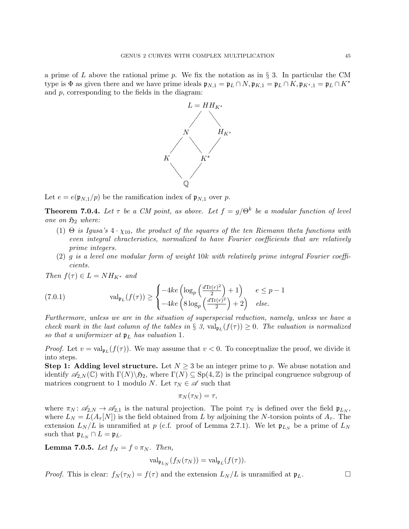a prime of L above the rational prime p. We fix the notation as in  $\S$  3. In particular the CM type is  $\Phi$  as given there and we have prime ideals  $\mathfrak{p}_{N,1} = \mathfrak{p}_L \cap N$ ,  $\mathfrak{p}_{K,1} = \mathfrak{p}_L \cap K$ ,  $\mathfrak{p}_{K^*,1} = \mathfrak{p}_L \cap K^*$ and p, corresponding to the fields in the diagram:



Let  $e = e(\mathfrak{p}_{N,1}/p)$  be the ramification index of  $\mathfrak{p}_{N,1}$  over p.

**Theorem 7.0.4.** Let  $\tau$  be a CM point, as above. Let  $f = g/\Theta^k$  be a modular function of level one on  $\mathfrak{H}_2$  where:

- (1) Θ is Igusa's  $4 \cdot \chi_{10}$ , the product of the squares of the ten Riemann theta functions with even integral chracteristics, normalized to have Fourier coefficients that are relatively prime integers.
- (2) g is a level one modular form of weight  $10k$  with relatively prime integral Fourier coefficients.

Then  $f(\tau) \in L = NH_{K^*}$  and

(7.0.1) 
$$
\operatorname{val}_{\mathfrak{p}_L}(f(\tau)) \geq \begin{cases} -4ke\left(\log_p\left(\frac{d\operatorname{Tr}(r)^2}{2}\right) + 1\right) & e \leq p - 1\\ -4ke\left(8\log_p\left(\frac{d\operatorname{Tr}(r)^2}{2}\right) + 2\right) & else. \end{cases}
$$

Furthermore, unless we are in the situation of superspecial reduction, namely, unless we have a check mark in the last column of the tables in  $\S$  3,  $\text{val}_{\mathfrak{p}_L}(f(\tau)) \geq 0$ . The valuation is normalized so that a uniformizer at  $\mathfrak{p}_L$  has valuation 1.

*Proof.* Let  $v = \text{val}_{\mathfrak{p}_L}(f(\tau))$ . We may assume that  $v < 0$ . To conceptualize the proof, we divide it into steps.

**Step 1: Adding level structure.** Let  $N \geq 3$  be an integer prime to p. We abuse notation and identify  $\mathscr{A}_{2,N}(\mathbb{C})$  with  $\Gamma(N)\backslash \mathfrak{H}_2$ , where  $\Gamma(N) \subseteq \mathrm{Sp}(4,\mathbb{Z})$  is the principal congruence subgroup of matrices congruent to 1 modulo N. Let  $\tau_N \in \mathscr{A}$  such that

$$
\pi_N(\tau_N)=\tau,
$$

where  $\pi_N: \mathscr{A}_{2,N} \to \mathscr{A}_{2,1}$  is the natural projection. The point  $\tau_N$  is defined over the field  $\mathfrak{p}_{L_N}$ , where  $L_N = L(A_\tau[N])$  is the field obtained from L by adjoining the N-torsion points of  $A_\tau$ . The extension  $L_N/L$  is unramified at p (c.f. proof of Lemma 2.7.1). We let  $\mathfrak{p}_{L_N}$  be a prime of  $L_N$ such that  $\mathfrak{p}_{L_N} \cap L = \mathfrak{p}_L$ .

**Lemma 7.0.5.** Let  $f_N = f \circ \pi_N$ . Then,

$$
\mathrm{val}_{\mathfrak{p}_{L_N}}(f_N(\tau_N)) = \mathrm{val}_{\mathfrak{p}_L}(f(\tau)).
$$

*Proof.* This is clear:  $f_N(\tau_N) = f(\tau)$  and the extension  $L_N/L$  is unramified at  $\mathfrak{p}_L$ .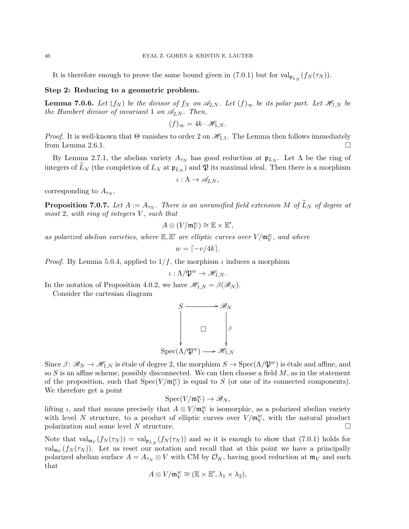It is therefore enough to prove the same bound given in  $(7.0.1)$  but for  $\text{val}_{\mathfrak{p}_{L_N}}(f_N(\tau_N))$ .

### Step 2: Reducing to a geometric problem.

**Lemma 7.0.6.** Let  $(f_N)$  be the divisor of  $f_N$  on  $\mathscr{A}_{2,N}$ . Let  $(f)_{\infty}$  be its polar part. Let  $\mathscr{H}_{1,N}$  be the Humbert divisor of invariant 1 on  $\mathscr{A}_{2,N}$ . Then,

$$
(f)_{\infty} = 4k \cdot \mathcal{H}_{1,N}.
$$

*Proof.* It is well-known that  $\Theta$  vanishes to order 2 on  $\mathcal{H}_{1,1}$ . The Lemma then follows immediately from Lemma 2.6.1.

By Lemma 2.7.1, the abelian variety  $A_{\tau_N}$  has good reduction at  $\mathfrak{p}_{L_N}$ . Let  $\Lambda$  be the ring of integers of  $L_N$  (the completion of  $L_N$  at  $\mathfrak{p}_{L_N}$ ) and  $\mathfrak{P}$  its maximal ideal. Then there is a morphism

$$
\iota: \Lambda \to \mathscr{A}_{2,N},
$$

corresponding to  $A_{\tau_N}$ .

**Proposition 7.0.7.** Let  $A := A_{\tau_N}$ . There is an unramified field extension M of  $L_N$  of degree at most 2, with ring of integers  $V$ , such that

$$
A\otimes (V/\mathfrak{m}_V^w)\cong \mathbb{E}\times \mathbb{E}',
$$

as polarized abelian varieties, where  $\mathbb{E}, \mathbb{E}'$  are elliptic curves over  $V/\mathfrak{m}_V^w$ , and where

$$
w = \lceil -v/4k \rceil.
$$

*Proof.* By Lemma 5.0.4, applied to  $1/f$ , the morphism  $\iota$  induces a morphism

$$
\iota: \Lambda/\mathfrak{P}^w \to \mathscr{H}_{1,N}.
$$

In the notation of Proposition 4.0.2, we have  $\mathscr{H}_{1,N} = \beta(\mathscr{B}_N)$ . Consider the cartesian diagram

> $S \longrightarrow \mathscr{B}_{N}$ ľ.  $\Box$  |β ŗ  $Spec(\Lambda/\mathfrak{P}^w)$  $\mathscr{H}_{1,N}$

Since  $\beta: \mathscr{B}_N \to \mathscr{H}_{1,N}$  is étale of degree 2, the morphism  $S \to \text{Spec}(\Lambda/\mathfrak{P}^w)$  is étale and affine, and so  $S$  is an affine scheme, possibly disconnected. We can then choose a field  $M$ , as in the statement of the proposition, such that  $Spec(V/\mathfrak{m}_V^w)$  is equal to S (or one of its connected components). We therefore get a point

$$
\mathrm{Spec}(V/\mathfrak{m}_V^w) \to \mathscr{B}_N,
$$

lifting  $\iota$ , and that means precisely that  $A \otimes V/\mathfrak{m}_V^w$  is isomorphic, as a polarized abelian variety with level N structure, to a product of elliptic curves over  $V/\mathfrak{m}_V^w$ , with the natural product polarization and some level N structure.

Note that  $\text{val}_{\mathfrak{m}_V}(f_N(\tau_N)) = \text{val}_{\mathfrak{p}_{L_N}}(f_N(\tau_N))$  and so it is enough to show that (7.0.1) holds for  $\text{val}_{\mathfrak{m}_V}(f_N(\tau_N))$ . Let us reset our notation and recall that at this point we have a principally polarized abelian surface  $A = A_{\tau_N} \otimes V$  with CM by  $\mathcal{O}_K$ , having good reduction at  $\mathfrak{m}_V$  and such that

$$
A\otimes V/\mathfrak{m}_V^w\cong (\mathbb{E}\times \mathbb{E}',\lambda_1\times \lambda_2),
$$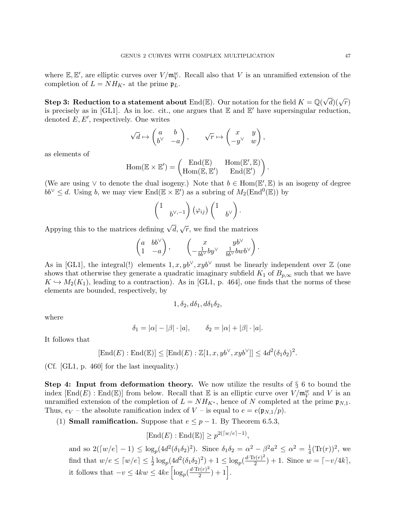where  $\mathbb{E}, \mathbb{E}'$ , are elliptic curves over  $V/\mathfrak{m}_V^w$ . Recall also that V is an unramified extension of the completion of  $L = NH_{K^*}$  at the prime  $\mathfrak{p}_L$ .

Step 3: Reduction to a statement about  $\mathrm{End}(\mathbb{E}).$  Our notation for the field  $K = \mathbb{Q}(\sqrt{d})(\sqrt{r})$ is precisely as in [GL1]. As in loc. cit., one argues that  $E$  and  $E'$  have supersingular reduction, denoted  $E, E'$ , respectively. One writes

$$
\sqrt{d}\mapsto \begin{pmatrix} a & b \\ b^\vee & -a \end{pmatrix}, \qquad \sqrt{r}\mapsto \begin{pmatrix} x & y \\ -y^\vee & w \end{pmatrix},
$$

as elements of

$$
\mathrm{Hom}(\mathbb{E} \times \mathbb{E}') = \begin{pmatrix} \mathrm{End}(\mathbb{E}) & \mathrm{Hom}(\mathbb{E}', \mathbb{E}) \\ \mathrm{Hom}(\mathbb{E}, \mathbb{E}') & \mathrm{End}(\mathbb{E}') \end{pmatrix}.
$$

(We are using  $\vee$  to denote the dual isogeny.) Note that  $b \in \text{Hom}(\mathbb{E}', \mathbb{E})$  is an isogeny of degree  $bb^{\vee} \leq d$ . Using b, we may view End( $\mathbb{E} \times \mathbb{E}'$ ) as a subring of  $M_2(\text{End}^0(\mathbb{E}))$  by

$$
\begin{pmatrix}1&\\&b^{\vee,-1}\end{pmatrix}\left(\varphi_{ij}\right)\begin{pmatrix}1&\\&b^{\vee}\end{pmatrix}.
$$

Appying this to the matrices defining  $\sqrt{d}$ ,  $\sqrt{r}$ , we find the matrices

$$
\begin{pmatrix} a & bb^\vee \\ 1 & -a \end{pmatrix}, \qquad \begin{pmatrix} x & yb^\vee \\ -\frac{1}{bb^\vee}by^\vee & \frac{1}{bb^\vee}bwb^\vee \end{pmatrix}.
$$

As in [GL1], the integral(!) elements  $1, x, yb^{\vee}, xyb^{\vee}$  must be linearly independent over  $\mathbb Z$  (one shows that otherwise they generate a quadratic imaginary subfield  $K_1$  of  $B_{p,\infty}$  such that we have  $K \hookrightarrow M_2(K_1)$ , leading to a contraction). As in [GL1, p. 464], one finds that the norms of these elements are bounded, respectively, by

$$
1, \delta_2, d\delta_1, d\delta_1\delta_2,
$$

where

$$
\delta_1 = |\alpha| - |\beta| \cdot |a|, \qquad \delta_2 = |\alpha| + |\beta| \cdot |a|.
$$

It follows that

$$
[\text{End}(E) : \text{End}(\mathbb{E})] \leq [\text{End}(E) : \mathbb{Z}[1, x, yb^{\vee}, xyb^{\vee}]] \leq 4d^2(\delta_1 \delta_2)^2.
$$

(Cf. [GL1, p. 460] for the last inequality.)

**Step 4:** Input from deformation theory. We now utilize the results of  $\S$  6 to bound the index  $[\text{End}(E) : \text{End}(\mathbb{E})]$  from below. Recall that  $\mathbb E$  is an elliptic curve over  $V/\mathfrak{m}_V^w$  and V is an unramified extension of the completion of  $L = NH_{K^*}$ , hence of N completed at the prime  $\mathfrak{p}_{N,1}$ . Thus,  $e_V$  – the absolute ramification index of V – is equal to  $e = e(\mathfrak{p}_{N,1}/p)$ .

(1) **Small ramification.** Suppose that  $e \leq p-1$ . By Theorem 6.5.3,

$$
[\text{End}(E) : \text{End}(\mathbb{E})] \ge p^{2(\lceil w/e \rceil - 1)},
$$

and so  $2([w/e] - 1) \le \log_p(4d^2(\delta_1 \delta_2)^2)$ . Since  $\delta_1 \delta_2 = \alpha^2 - \beta^2 a^2 \le \alpha^2 = \frac{1}{4}$  $\frac{1}{4}(\text{Tr}(r))^2$ , we find that  $w/e \leq \lceil w/e \rceil \leq \frac{1}{2} \log_p(4d^2(\delta_1 \delta_2)^2) + 1 \leq \log_p(\frac{d \cdot \text{Tr}(r)^2}{2})$  $\binom{r(r)^2}{2} + 1$ . Since  $w = \lceil -v/4k \rceil$ , it follows that  $-v \leq 4kw \leq 4ke \left[ \log_p(\frac{d \cdot \text{Tr}(r)^2}{2}) \right]$  $\frac{(r)^2}{2}+1$ .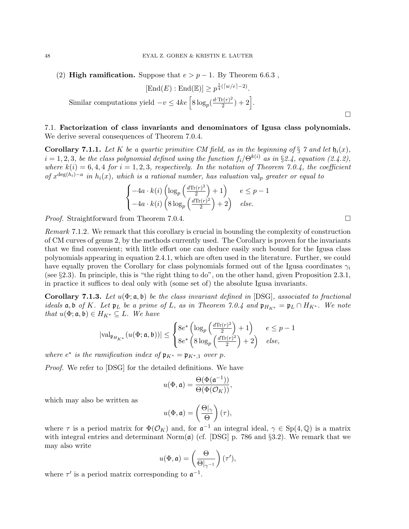(2) **High ramification.** Suppose that  $e > p - 1$ . By Theorem 6.6.3,

$$
[\text{End}(E) : \text{End}(\mathbb{E})] \ge p^{\frac{1}{4}(\lceil w/e \rceil - 2)}.
$$
  
Similar computations yield  $-v \le 4ke \left[ 8 \log_p(\frac{d \cdot \text{Tr}(r)^2}{2}) + 2 \right].$ 

# 7.1. Factorization of class invariants and denominators of Igusa class polynomials. We derive several consequences of Theorem 7.0.4.

**Corollary 7.1.1.** Let K be a quartic primitive CM field, as in the beginning of § 7 and let  $\mathfrak{h}_i(x)$ ,  $i = 1, 2, 3$ , be the class polynomial defined using the function  $f_i/\Theta^{k(i)}$  as in §2.4, equation (2.4.2), where  $k(i) = 6, 4, 4$  for  $i = 1, 2, 3$ , respectively. In the notation of Theorem 7.0.4, the coefficient of  $x^{\deg(h_i)-a}$  in  $h_i(x)$ , which is a rational number, has valuation val<sub>p</sub> greater or equal to

$$
\begin{cases}\n-4a \cdot k(i) \left(\log_p\left(\frac{d \text{Tr}(r)^2}{2}\right) + 1\right) & e \leq p - 1 \\
-4a \cdot k(i) \left(8 \log_p\left(\frac{d \text{Tr}(r)^2}{2}\right) + 2\right) & else.\n\end{cases}
$$

*Proof.* Straightforward from Theorem 7.0.4.

Remark 7.1.2. We remark that this corollary is crucial in bounding the complexity of construction of CM curves of genus 2, by the methods currently used. The Corollary is proven for the invariants that we find convenient; with little effort one can deduce easily such bound for the Igusa class polynomials appearing in equation 2.4.1, which are often used in the literature. Further, we could have equally proven the Corollary for class polynomials formed out of the Igusa coordinates  $\gamma_i$ (see §2.3). In principle, this is "the right thing to do", on the other hand, given Proposition 2.3.1, in practice it suffices to deal only with (some set of) the absolute Igusa invariants.

**Corollary 7.1.3.** Let  $u(\Phi; \mathfrak{a}, \mathfrak{b})$  be the class invariant defined in [DSG], associated to fractional ideals  $\mathfrak{a}, \mathfrak{b}$  of K. Let  $\mathfrak{p}_L$  be a prime of L, as in Theorem 7.0.4 and  $\mathfrak{p}_{H_{K^*}} = \mathfrak{p}_L \cap H_{K^*}$ . We note that  $u(\Phi; \mathfrak{a}, \mathfrak{b}) \in H_{K^*} \subseteq L$ . We have

$$
|\text{val}_{\mathfrak{p}_{H_{K^*}}}(u(\Phi;\mathfrak{a},\mathfrak{b}))| \leq \begin{cases} 8e^*\left(\log_p\left(\frac{d\text{Tr}(r)^2}{2}\right)+1\right) & e \leq p-1\\ 8e^*\left(8\log_p\left(\frac{d\text{Tr}(r)^2}{2}\right)+2\right) & else, \end{cases}
$$

where  $e^*$  is the ramification index of  $\mathfrak{p}_{K^*} = \mathfrak{p}_{K^*,1}$  over p.

Proof. We refer to [DSG] for the detailed definitions. We have

$$
u(\Phi, \mathfrak{a}) = \frac{\Theta(\Phi(\mathfrak{a}^{-1}))}{\Theta(\Phi(\mathcal{O}_K))},
$$

which may also be written as

$$
u(\Phi, \mathfrak{a}) = \left(\frac{\Theta|_{\gamma}}{\Theta}\right)(\tau),
$$

where  $\tau$  is a period matrix for  $\Phi(\mathcal{O}_K)$  and, for  $\mathfrak{a}^{-1}$  an integral ideal,  $\gamma \in Sp(4,\mathbb{Q})$  is a matrix with integral entries and determinant Norm $(a)$  (cf. [DSG] p. 786 and §3.2). We remark that we may also write

$$
u(\Phi, \mathfrak{a}) = \left(\frac{\Theta}{\Theta|_{\gamma^{-1}}}\right)(\tau'),
$$

where  $\tau'$  is a period matrix corresponding to  $\mathfrak{a}^{-1}$ .

 $\Box$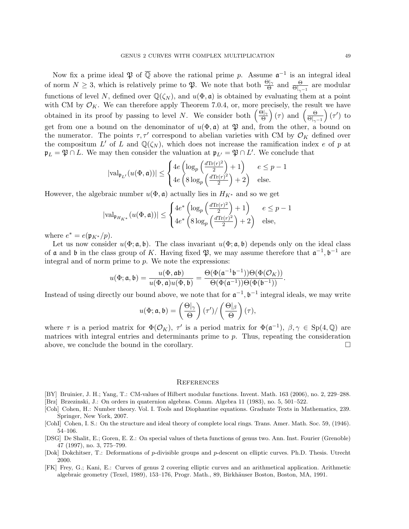Now fix a prime ideal  $\mathfrak{P}$  of  $\overline{\mathbb{Q}}$  above the rational prime p. Assume  $\mathfrak{a}^{-1}$  is an integral ideal of norm  $N \geq 3$ , which is relatively prime to  $\mathfrak{P}$ . We note that both  $\frac{\Theta|\gamma}{\Theta}$  and  $\frac{\Theta}{\Theta|\gamma-1}$  are modular functions of level N, defined over  $\mathbb{Q}(\zeta_N)$ , and  $u(\Phi, \mathfrak{a})$  is obtained by evaluating them at a point with CM by  $\mathcal{O}_K$ . We can therefore apply Theorem 7.0.4, or, more precisely, the result we have obtained in its proof by passing to level N. We consider both  $\left(\frac{\Theta|_{\gamma}}{\Theta}\right)$  $\left(\frac{\partial}{\partial \theta}\right)(\tau)$  and  $\left(\frac{\partial}{\partial \theta}\right)$  $\overline{\Theta|_{\gamma^{-1}}}$  $(\tau')$  to get from one a bound on the denominator of  $u(\Phi, \mathfrak{a})$  at  $\mathfrak{P}$  and, from the other, a bound on the numerator. The points  $\tau, \tau'$  correspond to abelian varieties with CM by  $\mathcal{O}_K$  defined over the compositum L' of L and  $\mathbb{Q}(\zeta_N)$ , which does not increase the ramification index e of p at  $\mathfrak{p}_L = \mathfrak{P} \cap L$ . We may then consider the valuation at  $\mathfrak{p}_{L'} = \mathfrak{P} \cap L'$ . We conclude that

$$
|\text{val}_{\mathfrak{p}_{L'}}(u(\Phi, \mathfrak{a}))| \leq \begin{cases} 4e\left(\log_p\left(\frac{d\text{Tr}(r)^2}{2}\right) + 1\right) & e \leq p - 1\\ 4e\left(8\log_p\left(\frac{d\text{Tr}(r)^2}{2}\right) + 2\right) & \text{else.} \end{cases}
$$

However, the algebraic number  $u(\Phi, \mathfrak{a})$  actually lies in  $H_{K^*}$  and so we get

$$
|\text{val}_{\mathfrak{p}_{H_{K^*}}}(u(\Phi,\mathfrak{a}))| \leq \begin{cases} 4e^*\left(\log_p\left(\frac{d\text{Tr}(r)^2}{2}\right) + 1\right) & e \leq p - 1\\ 4e^*\left(8\log_p\left(\frac{d\text{Tr}(r)^2}{2}\right) + 2\right) & \text{else,} \end{cases}
$$

where  $e^* = e(\mathfrak{p}_{K^*}/p)$ .

Let us now consider  $u(\Phi; \mathfrak{a}, \mathfrak{b})$ . The class invariant  $u(\Phi; \mathfrak{a}, \mathfrak{b})$  depends only on the ideal class of  $\mathfrak a$  and  $\mathfrak b$  in the class group of K. Having fixed  $\mathfrak P$ , we may assume therefore that  $\mathfrak a^{-1}, \mathfrak b^{-1}$  are integral and of norm prime to  $p$ . We note the expressions:

$$
u(\Phi;\mathfrak{a},\mathfrak{b})=\frac{u(\Phi,\mathfrak{a}\mathfrak{b})}{u(\Phi,\mathfrak{a})u(\Phi,\mathfrak{b})}=\frac{\Theta(\Phi(\mathfrak{a}^{-1}\mathfrak{b}^{-1}))\Theta(\Phi(\mathcal{O}_K))}{\Theta(\Phi(\mathfrak{a}^{-1}))\Theta(\Phi(\mathfrak{b}^{-1}))}.
$$

Instead of using directly our bound above, we note that for  $\mathfrak{a}^{-1}$ ,  $\mathfrak{b}^{-1}$  integral ideals, we may write

$$
u(\Phi; \mathfrak{a}, \mathfrak{b}) = \left(\frac{\Theta|_{\gamma}}{\Theta}\right) (\tau') / \left(\frac{\Theta|_{\beta}}{\Theta}\right) (\tau),
$$

where  $\tau$  is a period matrix for  $\Phi(\mathcal{O}_K)$ ,  $\tau'$  is a period matrix for  $\Phi(\mathfrak{a}^{-1})$ ,  $\beta, \gamma \in Sp(4, \mathbb{Q})$  are matrices with integral entries and determinants prime to  $p$ . Thus, repeating the consideration above, we conclude the bound in the corollary.  $\Box$ 

#### **REFERENCES**

- [BY] Bruinier, J. H.; Yang, T.: CM-values of Hilbert modular functions. Invent. Math. 163 (2006), no. 2, 229–288.
- [Brz] Brzezinski, J.: On orders in quaternion algebras. Comm. Algebra 11 (1983), no. 5, 501–522.
- [Coh] Cohen, H.: Number theory. Vol. I. Tools and Diophantine equations. Graduate Texts in Mathematics, 239. Springer, New York, 2007.
- [CohI] Cohen, I. S.: On the structure and ideal theory of complete local rings. Trans. Amer. Math. Soc. 59, (1946). 54–106.
- [DSG] De Shalit, E.; Goren, E. Z.: On special values of theta functions of genus two. Ann. Inst. Fourier (Grenoble) 47 (1997), no. 3, 775–799.
- [Dok] Dokchitser, T.: Deformations of p-divisible groups and p-descent on elliptic curves. Ph.D. Thesis. Utrecht 2000.
- [FK] Frey, G.; Kani, E.: Curves of genus 2 covering elliptic curves and an arithmetical application. Arithmetic algebraic geometry (Texel, 1989), 153–176, Progr. Math., 89, Birkhäuser Boston, Boston, MA, 1991.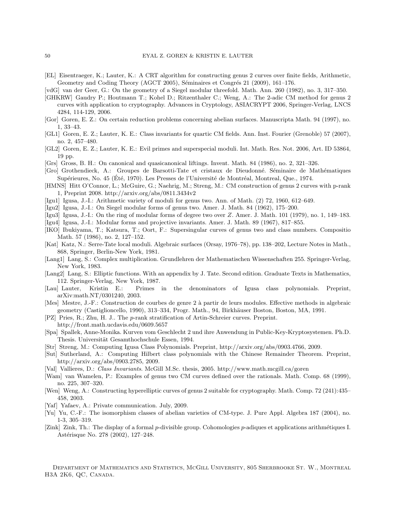- [EL] Eisentraeger, K.; Lauter, K.: A CRT algorithm for constructing genus 2 curves over finite fields, Arithmetic, Geometry and Coding Theory (AGCT 2005), Séminaires et Congrés 21 (2009), 161–176.
- [vdG] van der Geer, G.: On the geometry of a Siegel modular threefold. Math. Ann. 260 (1982), no. 3, 317–350.
- [GHKRW] Gaudry P.; Houtmann T.; Kohel D.; Ritzenthaler C.; Weng, A.: The 2-adic CM method for genus 2 curves with application to cryptography. Advances in Cryptology, ASIACRYPT 2006, Springer-Verlag, LNCS 4284, 114-129, 2006.
- [Gor] Goren, E. Z.: On certain reduction problems concerning abelian surfaces. Manuscripta Math. 94 (1997), no. 1, 33–43.
- [GL1] Goren, E. Z.; Lauter, K. E.: Class invariants for quartic CM fields. Ann. Inst. Fourier (Grenoble) 57 (2007), no. 2, 457–480.
- [GL2] Goren, E. Z.; Lauter, K. E.: Evil primes and superspecial moduli. Int. Math. Res. Not. 2006, Art. ID 53864, 19 pp.
- [Grs] Gross, B. H.: On canonical and quasicanonical liftings. Invent. Math. 84 (1986), no. 2, 321–326.
- [Gro] Grothendieck, A.: Groupes de Barsotti-Tate et cristaux de Dieudonn´e. S´eminaire de Math´ematiques Supérieures, No. 45 (Été, 1970). Les Presses de l'Université de Montréal, Montreal, Que., 1974.
- [HMNS] Hitt O'Connor, L.; McGuire, G.; Naehrig, M.; Streng, M.: CM construction of genus 2 curves with p-rank 1, Preprint 2008. http://arxiv.org/abs/0811.3434v2
- [Igu1] Igusa, J.-I.: Arithmetic variety of moduli for genus two. Ann. of Math. (2) 72, 1960, 612–649.
- [Igu2] Igusa, J.-I.: On Siegel modular forms of genus two. Amer. J. Math. 84 (1962), 175–200.
- [Igu3] Igusa, J.-I.: On the ring of modular forms of degree two over Z. Amer. J. Math. 101 (1979), no. 1, 149–183.
- [Igu4] Igusa, J.-I.: Modular forms and projective invariants. Amer. J. Math. 89 (1967), 817–855.
- [IKO] Ibukiyama, T.; Katsura, T.; Oort, F.: Supersingular curves of genus two and class numbers. Compositio Math. 57 (1986), no. 2, 127–152.
- [Kat] Katz, N.: Serre-Tate local moduli. Algebraic surfaces (Orsay, 1976–78), pp. 138–202, Lecture Notes in Math., 868, Springer, Berlin-New York, 1981.
- [Lang1] Lang, S.: Complex multiplication. Grundlehren der Mathematischen Wissenschaften 255. Springer-Verlag, New York, 1983.
- [Lang2] Lang, S.: Elliptic functions. With an appendix by J. Tate. Second edition. Graduate Texts in Mathematics, 112. Springer-Verlag, New York, 1987.
- [Lau] Lauter, Kristin E.: Primes in the denominators of Igusa class polynomials. Preprint, arXiv:math.NT/0301240, 2003.
- [Mes] Mestre, J.-F.: Construction de courbes de genre 2 à partir de leurs modules. Effective methods in algebraic geometry (Castiglioncello, 1990), 313–334, Progr. Math., 94, Birkhäuser Boston, Boston, MA, 1991.
- [PZ] Pries, R.; Zhu, H. J.. The p-rank stratification of Artin-Schreier curves. Preprint. http://front.math.ucdavis.edu/0609.5657
- [Spa] Spallek, Anne-Monika. Kurven vom Geschlecht 2 und ihre Anwendung in Public-Key-Kryptosystemen. Ph.D. Thesis. Universität Gesamthochschule Essen, 1994.
- [Str] Streng, M.: Computing Igusa Class Polynomials. Preprint, http://arxiv.org/abs/0903.4766, 2009.
- [Sut] Sutherland, A.: Computing Hilbert class polynomials with the Chinese Remainder Theorem. Preprint, http://arxiv.org/abs/0903.2785, 2009.
- [Val] Vallieres, D.: Class Invariants. McGill M.Sc. thesis, 2005. http://www.math.mcgill.ca/goren
- [Wam] van Wamelen, P.: Examples of genus two CM curves defined over the rationals. Math. Comp. 68 (1999), no. 225, 307–320.
- [Wen] Weng, A.: Constructing hyperelliptic curves of genus 2 suitable for cryptography. Math. Comp. 72 (241):435– 458, 2003.
- [Yaf] Yafaev, A.: Private communication. July, 2009.
- [Yu] Yu, C.-F.: The isomorphism classes of abelian varieties of CM-type. J. Pure Appl. Algebra 187 (2004), no. 1-3, 305–319.
- [Zink] Zink, Th.: The display of a formal p-divisible group. Cohomologies p-adiques et applications arithmétiques I. Astérisque No. 278 (2002), 127–248.

DEPARTMENT OF MATHEMATICS AND STATISTICS, MCGILL UNIVERSITY, 805 SHERBROOKE ST. W., MONTREAL H3A 2K6, QC, Canada.